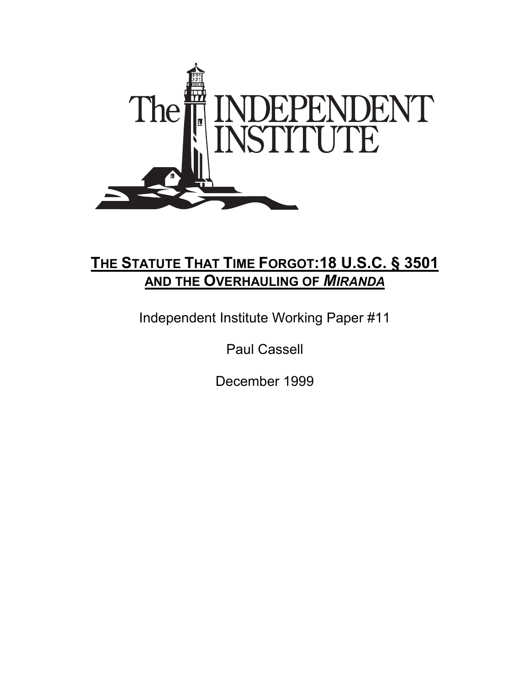

# **THE STATUTE THAT TIME FORGOT:18 U.S.C. § 3501 AND THE OVERHAULING OF** *MIRANDA*

Independent Institute Working Paper #11

Paul Cassell

December 1999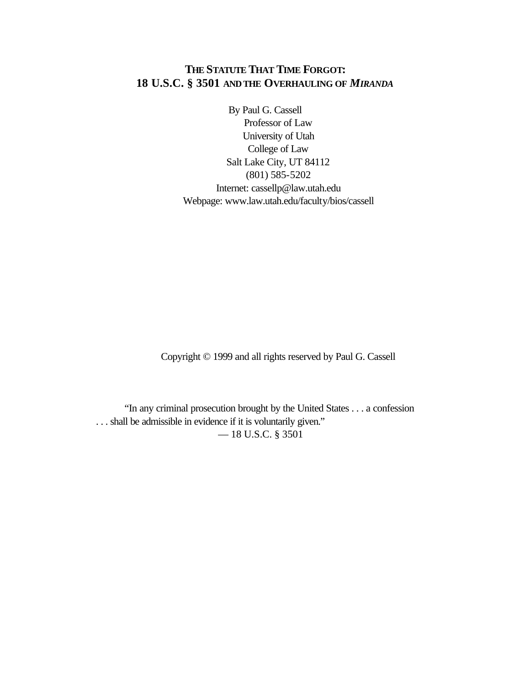# **THE STATUTE THAT TIME FORGOT: 18 U.S.C. § 3501 AND THE OVERHAULING OF** *MIRANDA*

By Paul G. Cassell Professor of Law University of Utah College of Law Salt Lake City, UT 84112 (801) 585-5202 Internet: cassellp@law.utah.edu Webpage: www.law.utah.edu/faculty/bios/cassell

Copyright © 1999 and all rights reserved by Paul G. Cassell

"In any criminal prosecution brought by the United States . . . a confession . . . shall be admissible in evidence if it is voluntarily given." — 18 U.S.C. § 3501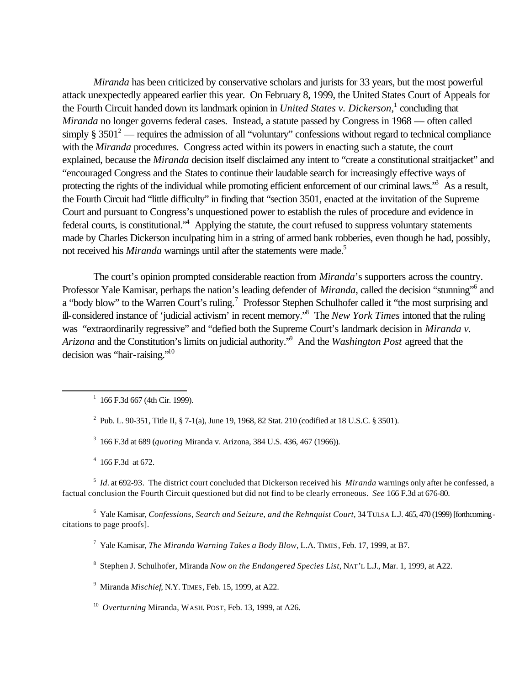*Miranda* has been criticized by conservative scholars and jurists for 33 years, but the most powerful attack unexpectedly appeared earlier this year. On February 8, 1999, the United States Court of Appeals for the Fourth Circuit handed down its landmark opinion in *United States v. Dickerson*,<sup>1</sup> concluding that *Miranda* no longer governs federal cases. Instead, a statute passed by Congress in 1968 — often called simply  $\S 3501^2$  — requires the admission of all "voluntary" confessions without regard to technical compliance with the *Miranda* procedures. Congress acted within its powers in enacting such a statute, the court explained, because the *Miranda* decision itself disclaimed any intent to "create a constitutional straitjacket" and "encouraged Congress and the States to continue their laudable search for increasingly effective ways of protecting the rights of the individual while promoting efficient enforcement of our criminal laws.<sup>3</sup> As a result, the Fourth Circuit had "little difficulty" in finding that "section 3501, enacted at the invitation of the Supreme Court and pursuant to Congress's unquestioned power to establish the rules of procedure and evidence in federal courts, is constitutional.<sup>4</sup> Applying the statute, the court refused to suppress voluntary statements made by Charles Dickerson inculpating him in a string of armed bank robberies, even though he had, possibly, not received his *Miranda* warnings until after the statements were made.<sup>5</sup>

The court's opinion prompted considerable reaction from *Miranda*'s supporters across the country. Professor Yale Kamisar, perhaps the nation's leading defender of *Miranda*, called the decision "stunning"<sup>6</sup> and a "body blow" to the Warren Court's ruling.<sup>7</sup> Professor Stephen Schulhofer called it "the most surprising and ill-considered instance of 'judicial activism' in recent memory."<sup>8</sup> The *New York Times* intoned that the ruling was "extraordinarily regressive" and "defied both the Supreme Court's landmark decision in *Miranda v. Arizona* and the Constitution's limits on judicial authority."<sup>9</sup> And the *Washington Post* agreed that the decision was "hair-raising."<sup>10</sup>

 $1\,$  166 F.3d 667 (4th Cir. 1999).

<sup>2</sup> Pub. L. 90-351, Title II, § 7-1(a), June 19, 1968, 82 Stat. 210 (codified at 18 U.S.C. § 3501).

3 166 F.3d at 689 (*quoting* Miranda v. Arizona, 384 U.S. 436, 467 (1966)).

 $4\,$  166 F.3d at 672.

l

5 *Id.* at 692-93. The district court concluded that Dickerson received his *Miranda* warnings only after he confessed, a factual conclusion the Fourth Circuit questioned but did not find to be clearly erroneous. *See* 166 F.3d at 676-80.

6 Yale Kamisar, *Confessions, Search and Seizure, and the Rehnquist Court*, 34 TULSA L.J. 465, 470 (1999) [forthcoming citations to page proofs].

7 Yale Kamisar, *The Miranda Warning Takes a Body Blow*, L.A. TIMES, Feb. 17, 1999, at B7.

8 Stephen J. Schulhofer, Miranda *Now on the Endangered Species List*, NAT'L L.J., Mar. 1, 1999, at A22.

9 Miranda *Mischief*, N.Y. TIMES, Feb. 15, 1999, at A22.

10 *Overturning* Miranda, WASH. POST, Feb. 13, 1999, at A26.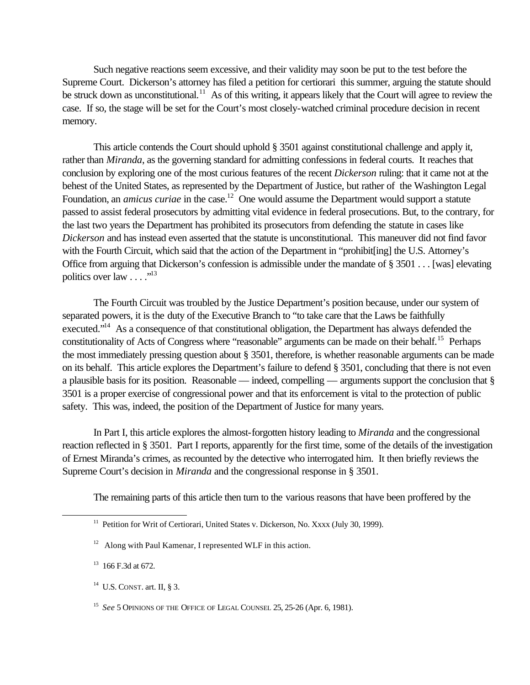Such negative reactions seem excessive, and their validity may soon be put to the test before the Supreme Court. Dickerson's attorney has filed a petition for certiorari this summer, arguing the statute should be struck down as unconstitutional.<sup>11</sup> As of this writing, it appears likely that the Court will agree to review the case. If so, the stage will be set for the Court's most closely-watched criminal procedure decision in recent memory.

This article contends the Court should uphold § 3501 against constitutional challenge and apply it, rather than *Miranda*, as the governing standard for admitting confessions in federal courts. It reaches that conclusion by exploring one of the most curious features of the recent *Dickerson* ruling: that it came not at the behest of the United States, as represented by the Department of Justice, but rather of the Washington Legal Foundation, an *amicus curiae* in the case.<sup>12</sup> One would assume the Department would support a statute passed to assist federal prosecutors by admitting vital evidence in federal prosecutions. But, to the contrary, for the last two years the Department has prohibited its prosecutors from defending the statute in cases like *Dickerson* and has instead even asserted that the statute is unconstitutional. This maneuver did not find favor with the Fourth Circuit, which said that the action of the Department in "prohibit[ing] the U.S. Attorney's Office from arguing that Dickerson's confession is admissible under the mandate of § 3501 . . . [was] elevating politics over law  $\dots$ ."<sup>13</sup>

The Fourth Circuit was troubled by the Justice Department's position because, under our system of separated powers, it is the duty of the Executive Branch to "to take care that the Laws be faithfully executed."<sup>14</sup> As a consequence of that constitutional obligation, the Department has always defended the constitutionality of Acts of Congress where "reasonable" arguments can be made on their behalf.<sup>15</sup> Perhaps the most immediately pressing question about § 3501, therefore, is whether reasonable arguments can be made on its behalf. This article explores the Department's failure to defend § 3501, concluding that there is not even a plausible basis for its position. Reasonable — indeed, compelling — arguments support the conclusion that § 3501 is a proper exercise of congressional power and that its enforcement is vital to the protection of public safety. This was, indeed, the position of the Department of Justice for many years.

In Part I, this article explores the almost-forgotten history leading to *Miranda* and the congressional reaction reflected in § 3501. Part I reports, apparently for the first time, some of the details of the investigation of Ernest Miranda's crimes, as recounted by the detective who interrogated him. It then briefly reviews the Supreme Court's decision in *Miranda* and the congressional response in § 3501.

The remaining parts of this article then turn to the various reasons that have been proffered by the

<sup>&</sup>lt;sup>11</sup> Petition for Writ of Certiorari, United States v. Dickerson, No. Xxxx (July 30, 1999).

<sup>&</sup>lt;sup>12</sup> Along with Paul Kamenar, I represented WLF in this action.

 $13$  166 F.3d at 672.

 $14$  U.S. CONST. art. II, § 3.

<sup>&</sup>lt;sup>15</sup> See 5 OPINIONS OF THE OFFICE OF LEGAL COUNSEL 25, 25-26 (Apr. 6, 1981).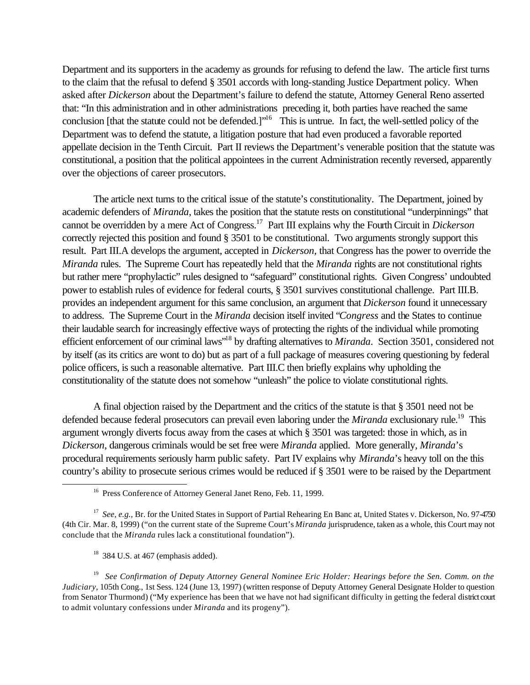Department and its supporters in the academy as grounds for refusing to defend the law. The article first turns to the claim that the refusal to defend § 3501 accords with long-standing Justice Department policy. When asked after *Dickerson* about the Department's failure to defend the statute, Attorney General Reno asserted that: "In this administration and in other administrations preceding it, both parties have reached the same conclusion [that the statute could not be defended.]"<sup>16</sup> This is untrue. In fact, the well-settled policy of the Department was to defend the statute, a litigation posture that had even produced a favorable reported appellate decision in the Tenth Circuit. Part II reviews the Department's venerable position that the statute was constitutional, a position that the political appointees in the current Administration recently reversed, apparently over the objections of career prosecutors.

The article next turns to the critical issue of the statute's constitutionality. The Department, joined by academic defenders of *Miranda*, takes the position that the statute rests on constitutional "underpinnings" that cannot be overridden by a mere Act of Congress.<sup>17</sup> Part III explains why the Fourth Circuit in *Dickerson* correctly rejected this position and found § 3501 to be constitutional. Two arguments strongly support this result. Part III.A develops the argument, accepted in *Dickerson,* that Congress has the power to override the *Miranda* rules. The Supreme Court has repeatedly held that the *Miranda* rights are not constitutional rights but rather mere "prophylactic" rules designed to "safeguard" constitutional rights. Given Congress' undoubted power to establish rules of evidence for federal courts, § 3501 survives constitutional challenge. Part III.B. provides an independent argument for this same conclusion, an argument that *Dickerson* found it unnecessary to address. The Supreme Court in the *Miranda* decision itself invited "*Congress* and the States to continue their laudable search for increasingly effective ways of protecting the rights of the individual while promoting efficient enforcement of our criminal laws"<sup>18</sup> by drafting alternatives to *Miranda*. Section 3501, considered not by itself (as its critics are wont to do) but as part of a full package of measures covering questioning by federal police officers, is such a reasonable alternative. Part III.C then briefly explains why upholding the constitutionality of the statute does not somehow "unleash" the police to violate constitutional rights.

A final objection raised by the Department and the critics of the statute is that § 3501 need not be defended because federal prosecutors can prevail even laboring under the *Miranda* exclusionary rule.<sup>19</sup> This argument wrongly diverts focus away from the cases at which § 3501 was targeted: those in which, as in *Dickerson*, dangerous criminals would be set free were *Miranda* applied. More generally, *Miranda*'s procedural requirements seriously harm public safety. Part IV explains why *Miranda*'s heavy toll on the this country's ability to prosecute serious crimes would be reduced if § 3501 were to be raised by the Department

<sup>&</sup>lt;sup>16</sup> Press Conference of Attorney General Janet Reno, Feb. 11, 1999.

<sup>&</sup>lt;sup>17</sup> See, e.g., Br. for the United States in Support of Partial Rehearing En Banc at, United States v. Dickerson, No. 97-4750 (4th Cir. Mar. 8, 1999) ("on the current state of the Supreme Court's *Miranda* jurisprudence, taken as a whole, this Court may not conclude that the *Miranda* rules lack a constitutional foundation").

 $18$  384 U.S. at 467 (emphasis added).

<sup>&</sup>lt;sup>19</sup> See Confirmation of Deputy Attorney General Nominee Eric Holder: Hearings before the Sen. Comm. on the *Judiciary*, 105th Cong., 1st Sess. 124 (June 13, 1997) (written response of Deputy Attorney General Designate Holder to question from Senator Thurmond) ("My experience has been that we have not had significant difficulty in getting the federal district court to admit voluntary confessions under *Miranda* and its progeny").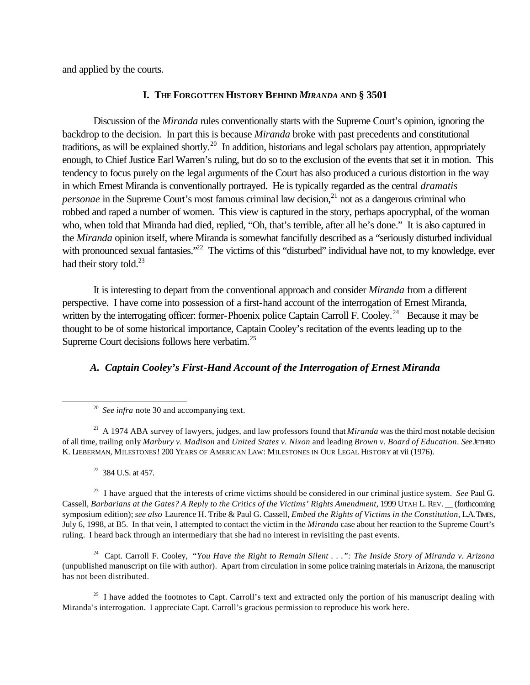and applied by the courts.

# **I. THE FORGOTTEN HISTORY BEHIND** *MIRANDA* **AND § 3501**

Discussion of the *Miranda* rules conventionally starts with the Supreme Court's opinion, ignoring the backdrop to the decision. In part this is because *Miranda* broke with past precedents and constitutional traditions, as will be explained shortly.<sup>20</sup> In addition, historians and legal scholars pay attention, appropriately enough, to Chief Justice Earl Warren's ruling, but do so to the exclusion of the events that set it in motion. This tendency to focus purely on the legal arguments of the Court has also produced a curious distortion in the way in which Ernest Miranda is conventionally portrayed. He is typically regarded as the central *dramatis personae* in the Supreme Court's most famous criminal law decision,<sup>21</sup> not as a dangerous criminal who robbed and raped a number of women. This view is captured in the story, perhaps apocryphal, of the woman who, when told that Miranda had died, replied, "Oh, that's terrible, after all he's done." It is also captured in the *Miranda* opinion itself, where Miranda is somewhat fancifully described as a "seriously disturbed individual with pronounced sexual fantasies."<sup>22</sup> The victims of this "disturbed" individual have not, to my knowledge, ever had their story told.<sup>23</sup>

It is interesting to depart from the conventional approach and consider *Miranda* from a different perspective. I have come into possession of a first-hand account of the interrogation of Ernest Miranda, written by the interrogating officer: former-Phoenix police Captain Carroll F. Cooley.<sup>24</sup> Because it may be thought to be of some historical importance, Captain Cooley's recitation of the events leading up to the Supreme Court decisions follows here verbatim.<sup>25</sup>

# *A. Captain Cooley's First-Hand Account of the Interrogation of Ernest Miranda*

<sup>21</sup> A 1974 ABA survey of lawyers, judges, and law professors found that *Miranda* was the third most notable decision of all time, trailing only *Marbury v. Madison* and *United States v. Nixon* and leading *Brown v. Board of Education*. *See*JETHRO K. LIEBERMAN, MILESTONES! 200 YEARS OF AMERICAN LAW: MILESTONES IN OUR LEGAL HISTORY at vii (1976).

 $22$  384 U.S. at 457.

l

<sup>23</sup> I have argued that the interests of crime victims should be considered in our criminal justice system. *See* Paul G. Cassell, *Barbarians at the Gates? A Reply to the Critics of the Victims' Rights Amendment*, 1999 UTAH L. REV. \_\_ (forthcoming symposium edition); *see also* Laurence H. Tribe & Paul G. Cassell, *Embed the Rights of Victims in the Constitution*, L.A. TIMES, July 6, 1998, at B5. In that vein, I attempted to contact the victim in the *Miranda* case about her reaction to the Supreme Court's ruling. I heard back through an intermediary that she had no interest in revisiting the past events.

<sup>24</sup> Capt. Carroll F. Cooley, *"You Have the Right to Remain Silent . . .": The Inside Story of Miranda v. Arizona* (unpublished manuscript on file with author). Apart from circulation in some police training materials in Arizona, the manuscript has not been distributed.

<sup>25</sup> I have added the footnotes to Capt. Carroll's text and extracted only the portion of his manuscript dealing with Miranda's interrogation. I appreciate Capt. Carroll's gracious permission to reproduce his work here.

<sup>&</sup>lt;sup>20</sup> See infra note 30 and accompanying text.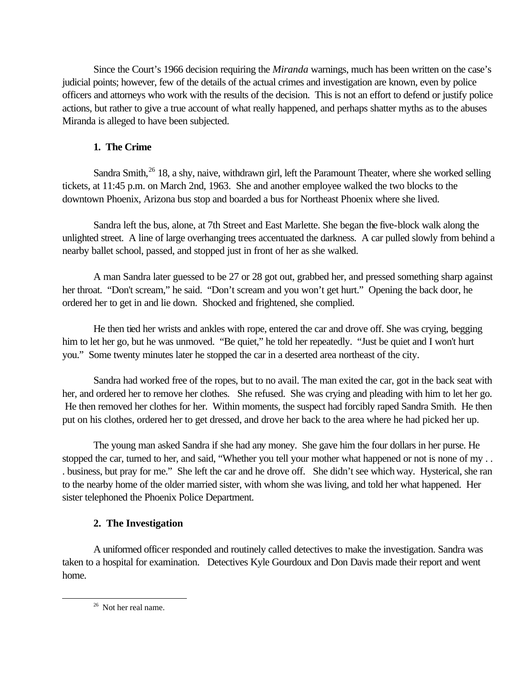Since the Court's 1966 decision requiring the *Miranda* warnings, much has been written on the case's judicial points; however, few of the details of the actual crimes and investigation are known, even by police officers and attorneys who work with the results of the decision. This is not an effort to defend or justify police actions, but rather to give a true account of what really happened, and perhaps shatter myths as to the abuses Miranda is alleged to have been subjected.

# **1. The Crime**

Sandra Smith, $^{26}$  18, a shy, naive, withdrawn girl, left the Paramount Theater, where she worked selling tickets, at 11:45 p.m. on March 2nd, 1963. She and another employee walked the two blocks to the downtown Phoenix, Arizona bus stop and boarded a bus for Northeast Phoenix where she lived.

Sandra left the bus, alone, at 7th Street and East Marlette. She began the five-block walk along the unlighted street. A line of large overhanging trees accentuated the darkness. A car pulled slowly from behind a nearby ballet school, passed, and stopped just in front of her as she walked.

A man Sandra later guessed to be 27 or 28 got out, grabbed her, and pressed something sharp against her throat. "Don't scream," he said. "Don't scream and you won't get hurt." Opening the back door, he ordered her to get in and lie down. Shocked and frightened, she complied.

He then tied her wrists and ankles with rope, entered the car and drove off. She was crying, begging him to let her go, but he was unmoved. "Be quiet," he told her repeatedly. "Just be quiet and I won't hurt you." Some twenty minutes later he stopped the car in a deserted area northeast of the city.

Sandra had worked free of the ropes, but to no avail. The man exited the car, got in the back seat with her, and ordered her to remove her clothes. She refused. She was crying and pleading with him to let her go. He then removed her clothes for her. Within moments, the suspect had forcibly raped Sandra Smith. He then put on his clothes, ordered her to get dressed, and drove her back to the area where he had picked her up.

The young man asked Sandra if she had any money. She gave him the four dollars in her purse. He stopped the car, turned to her, and said, "Whether you tell your mother what happened or not is none of my . . . business, but pray for me." She left the car and he drove off. She didn't see which way. Hysterical, she ran to the nearby home of the older married sister, with whom she was living, and told her what happened. Her sister telephoned the Phoenix Police Department.

# **2. The Investigation**

A uniformed officer responded and routinely called detectives to make the investigation. Sandra was taken to a hospital for examination. Detectives Kyle Gourdoux and Don Davis made their report and went home.

<sup>&</sup>lt;sup>26</sup> Not her real name.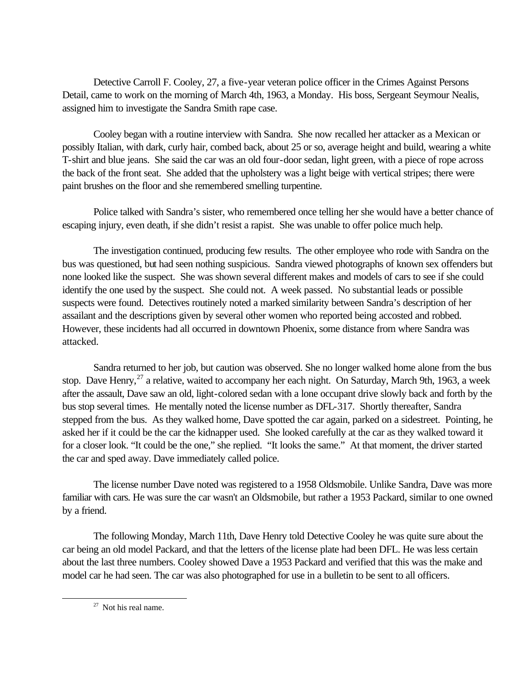Detective Carroll F. Cooley, 27, a five-year veteran police officer in the Crimes Against Persons Detail, came to work on the morning of March 4th, 1963, a Monday. His boss, Sergeant Seymour Nealis, assigned him to investigate the Sandra Smith rape case.

Cooley began with a routine interview with Sandra. She now recalled her attacker as a Mexican or possibly Italian, with dark, curly hair, combed back, about 25 or so, average height and build, wearing a white T-shirt and blue jeans. She said the car was an old four-door sedan, light green, with a piece of rope across the back of the front seat. She added that the upholstery was a light beige with vertical stripes; there were paint brushes on the floor and she remembered smelling turpentine.

Police talked with Sandra's sister, who remembered once telling her she would have a better chance of escaping injury, even death, if she didn't resist a rapist. She was unable to offer police much help.

The investigation continued, producing few results. The other employee who rode with Sandra on the bus was questioned, but had seen nothing suspicious. Sandra viewed photographs of known sex offenders but none looked like the suspect. She was shown several different makes and models of cars to see if she could identify the one used by the suspect. She could not. A week passed. No substantial leads or possible suspects were found. Detectives routinely noted a marked similarity between Sandra's description of her assailant and the descriptions given by several other women who reported being accosted and robbed. However, these incidents had all occurred in downtown Phoenix, some distance from where Sandra was attacked.

Sandra returned to her job, but caution was observed. She no longer walked home alone from the bus stop. Dave Henry,<sup>27</sup> a relative, waited to accompany her each night. On Saturday, March 9th, 1963, a week after the assault, Dave saw an old, light-colored sedan with a lone occupant drive slowly back and forth by the bus stop several times. He mentally noted the license number as DFL-317. Shortly thereafter, Sandra stepped from the bus. As they walked home, Dave spotted the car again, parked on a sidestreet. Pointing, he asked her if it could be the car the kidnapper used. She looked carefully at the car as they walked toward it for a closer look. "It could be the one," she replied. "It looks the same." At that moment, the driver started the car and sped away. Dave immediately called police.

The license number Dave noted was registered to a 1958 Oldsmobile. Unlike Sandra, Dave was more familiar with cars. He was sure the car wasn't an Oldsmobile, but rather a 1953 Packard, similar to one owned by a friend.

The following Monday, March 11th, Dave Henry told Detective Cooley he was quite sure about the car being an old model Packard, and that the letters of the license plate had been DFL. He was less certain about the last three numbers. Cooley showed Dave a 1953 Packard and verified that this was the make and model car he had seen. The car was also photographed for use in a bulletin to be sent to all officers.

 $27$  Not his real name.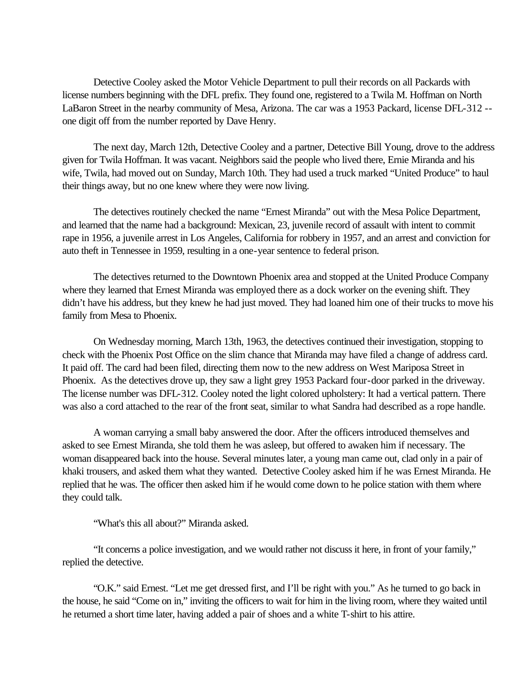Detective Cooley asked the Motor Vehicle Department to pull their records on all Packards with license numbers beginning with the DFL prefix. They found one, registered to a Twila M. Hoffman on North LaBaron Street in the nearby community of Mesa, Arizona. The car was a 1953 Packard, license DFL-312 - one digit off from the number reported by Dave Henry.

The next day, March 12th, Detective Cooley and a partner, Detective Bill Young, drove to the address given for Twila Hoffman. It was vacant. Neighbors said the people who lived there, Ernie Miranda and his wife, Twila, had moved out on Sunday, March 10th. They had used a truck marked "United Produce" to haul their things away, but no one knew where they were now living.

The detectives routinely checked the name "Ernest Miranda" out with the Mesa Police Department, and learned that the name had a background: Mexican, 23, juvenile record of assault with intent to commit rape in 1956, a juvenile arrest in Los Angeles, California for robbery in 1957, and an arrest and conviction for auto theft in Tennessee in 1959, resulting in a one-year sentence to federal prison.

The detectives returned to the Downtown Phoenix area and stopped at the United Produce Company where they learned that Ernest Miranda was employed there as a dock worker on the evening shift. They didn't have his address, but they knew he had just moved. They had loaned him one of their trucks to move his family from Mesa to Phoenix.

On Wednesday morning, March 13th, 1963, the detectives continued their investigation, stopping to check with the Phoenix Post Office on the slim chance that Miranda may have filed a change of address card. It paid off. The card had been filed, directing them now to the new address on West Mariposa Street in Phoenix. As the detectives drove up, they saw a light grey 1953 Packard four-door parked in the driveway. The license number was DFL-312. Cooley noted the light colored upholstery: It had a vertical pattern. There was also a cord attached to the rear of the front seat, similar to what Sandra had described as a rope handle.

A woman carrying a small baby answered the door. After the officers introduced themselves and asked to see Ernest Miranda, she told them he was asleep, but offered to awaken him if necessary. The woman disappeared back into the house. Several minutes later, a young man came out, clad only in a pair of khaki trousers, and asked them what they wanted. Detective Cooley asked him if he was Ernest Miranda. He replied that he was. The officer then asked him if he would come down to he police station with them where they could talk.

"What's this all about?" Miranda asked.

"It concerns a police investigation, and we would rather not discuss it here, in front of your family," replied the detective.

"O.K." said Ernest. "Let me get dressed first, and I'll be right with you." As he turned to go back in the house, he said "Come on in," inviting the officers to wait for him in the living room, where they waited until he returned a short time later, having added a pair of shoes and a white T-shirt to his attire.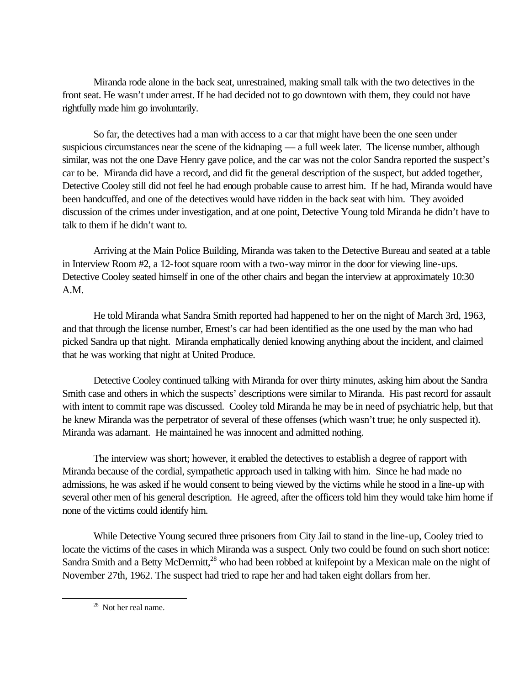Miranda rode alone in the back seat, unrestrained, making small talk with the two detectives in the front seat. He wasn't under arrest. If he had decided not to go downtown with them, they could not have rightfully made him go involuntarily.

So far, the detectives had a man with access to a car that might have been the one seen under suspicious circumstances near the scene of the kidnaping — a full week later. The license number, although similar, was not the one Dave Henry gave police, and the car was not the color Sandra reported the suspect's car to be. Miranda did have a record, and did fit the general description of the suspect, but added together, Detective Cooley still did not feel he had enough probable cause to arrest him. If he had, Miranda would have been handcuffed, and one of the detectives would have ridden in the back seat with him. They avoided discussion of the crimes under investigation, and at one point, Detective Young told Miranda he didn't have to talk to them if he didn't want to.

Arriving at the Main Police Building, Miranda was taken to the Detective Bureau and seated at a table in Interview Room #2, a 12-foot square room with a two-way mirror in the door for viewing line-ups. Detective Cooley seated himself in one of the other chairs and began the interview at approximately 10:30 A.M.

He told Miranda what Sandra Smith reported had happened to her on the night of March 3rd, 1963, and that through the license number, Ernest's car had been identified as the one used by the man who had picked Sandra up that night. Miranda emphatically denied knowing anything about the incident, and claimed that he was working that night at United Produce.

Detective Cooley continued talking with Miranda for over thirty minutes, asking him about the Sandra Smith case and others in which the suspects' descriptions were similar to Miranda. His past record for assault with intent to commit rape was discussed. Cooley told Miranda he may be in need of psychiatric help, but that he knew Miranda was the perpetrator of several of these offenses (which wasn't true; he only suspected it). Miranda was adamant. He maintained he was innocent and admitted nothing.

The interview was short; however, it enabled the detectives to establish a degree of rapport with Miranda because of the cordial, sympathetic approach used in talking with him. Since he had made no admissions, he was asked if he would consent to being viewed by the victims while he stood in a line-up with several other men of his general description. He agreed, after the officers told him they would take him home if none of the victims could identify him.

While Detective Young secured three prisoners from City Jail to stand in the line-up, Cooley tried to locate the victims of the cases in which Miranda was a suspect. Only two could be found on such short notice: Sandra Smith and a Betty McDermitt,<sup>28</sup> who had been robbed at knifepoint by a Mexican male on the night of November 27th, 1962. The suspect had tried to rape her and had taken eight dollars from her.

<sup>28</sup> Not her real name.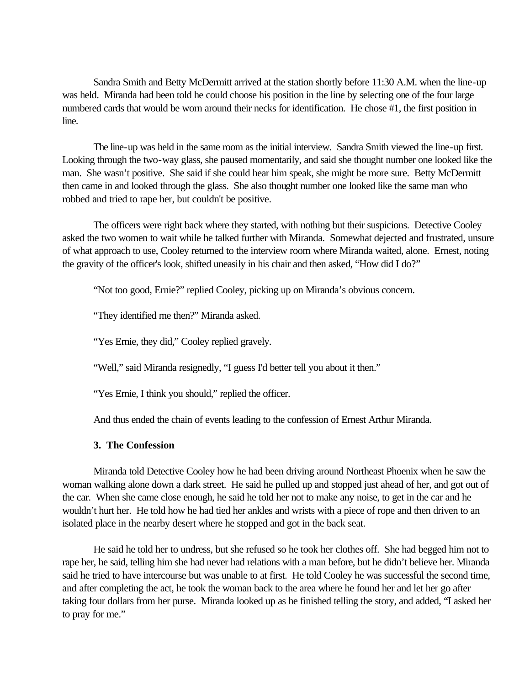Sandra Smith and Betty McDermitt arrived at the station shortly before 11:30 A.M. when the line-up was held. Miranda had been told he could choose his position in the line by selecting one of the four large numbered cards that would be worn around their necks for identification. He chose #1, the first position in line.

The line-up was held in the same room as the initial interview. Sandra Smith viewed the line-up first. Looking through the two-way glass, she paused momentarily, and said she thought number one looked like the man. She wasn't positive. She said if she could hear him speak, she might be more sure. Betty McDermitt then came in and looked through the glass. She also thought number one looked like the same man who robbed and tried to rape her, but couldn't be positive.

The officers were right back where they started, with nothing but their suspicions. Detective Cooley asked the two women to wait while he talked further with Miranda. Somewhat dejected and frustrated, unsure of what approach to use, Cooley returned to the interview room where Miranda waited, alone. Ernest, noting the gravity of the officer's look, shifted uneasily in his chair and then asked, "How did I do?"

"Not too good, Ernie?" replied Cooley, picking up on Miranda's obvious concern.

"They identified me then?" Miranda asked.

"Yes Ernie, they did," Cooley replied gravely.

"Well," said Miranda resignedly, "I guess I'd better tell you about it then."

"Yes Ernie, I think you should," replied the officer.

And thus ended the chain of events leading to the confession of Ernest Arthur Miranda.

# **3. The Confession**

Miranda told Detective Cooley how he had been driving around Northeast Phoenix when he saw the woman walking alone down a dark street. He said he pulled up and stopped just ahead of her, and got out of the car. When she came close enough, he said he told her not to make any noise, to get in the car and he wouldn't hurt her. He told how he had tied her ankles and wrists with a piece of rope and then driven to an isolated place in the nearby desert where he stopped and got in the back seat.

He said he told her to undress, but she refused so he took her clothes off. She had begged him not to rape her, he said, telling him she had never had relations with a man before, but he didn't believe her. Miranda said he tried to have intercourse but was unable to at first. He told Cooley he was successful the second time, and after completing the act, he took the woman back to the area where he found her and let her go after taking four dollars from her purse. Miranda looked up as he finished telling the story, and added, "I asked her to pray for me."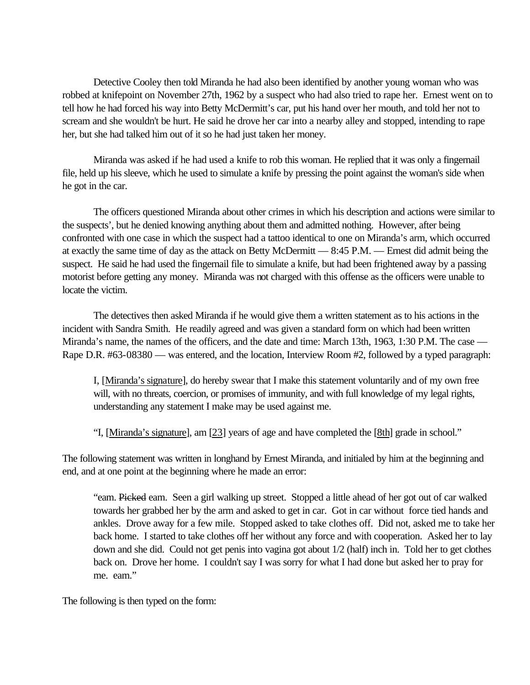Detective Cooley then told Miranda he had also been identified by another young woman who was robbed at knifepoint on November 27th, 1962 by a suspect who had also tried to rape her. Ernest went on to tell how he had forced his way into Betty McDermitt's car, put his hand over her mouth, and told her not to scream and she wouldn't be hurt. He said he drove her car into a nearby alley and stopped, intending to rape her, but she had talked him out of it so he had just taken her money.

Miranda was asked if he had used a knife to rob this woman. He replied that it was only a fingernail file, held up his sleeve, which he used to simulate a knife by pressing the point against the woman's side when he got in the car.

The officers questioned Miranda about other crimes in which his description and actions were similar to the suspects', but he denied knowing anything about them and admitted nothing. However, after being confronted with one case in which the suspect had a tattoo identical to one on Miranda's arm, which occurred at exactly the same time of day as the attack on Betty McDermitt — 8:45 P.M. — Ernest did admit being the suspect. He said he had used the fingernail file to simulate a knife, but had been frightened away by a passing motorist before getting any money. Miranda was not charged with this offense as the officers were unable to locate the victim.

The detectives then asked Miranda if he would give them a written statement as to his actions in the incident with Sandra Smith. He readily agreed and was given a standard form on which had been written Miranda's name, the names of the officers, and the date and time: March 13th, 1963, 1:30 P.M. The case — Rape D.R. #63-08380 — was entered, and the location, Interview Room #2, followed by a typed paragraph:

I, [Miranda's signature], do hereby swear that I make this statement voluntarily and of my own free will, with no threats, coercion, or promises of immunity, and with full knowledge of my legal rights, understanding any statement I make may be used against me.

"I, [Miranda's signature], am [23] years of age and have completed the [8th] grade in school."

The following statement was written in longhand by Ernest Miranda, and initialed by him at the beginning and end, and at one point at the beginning where he made an error:

"eam. Picked eam. Seen a girl walking up street. Stopped a little ahead of her got out of car walked towards her grabbed her by the arm and asked to get in car. Got in car without force tied hands and ankles. Drove away for a few mile. Stopped asked to take clothes off. Did not, asked me to take her back home. I started to take clothes off her without any force and with cooperation. Asked her to lay down and she did. Could not get penis into vagina got about 1/2 (half) inch in. Told her to get clothes back on. Drove her home. I couldn't say I was sorry for what I had done but asked her to pray for me. eam."

The following is then typed on the form: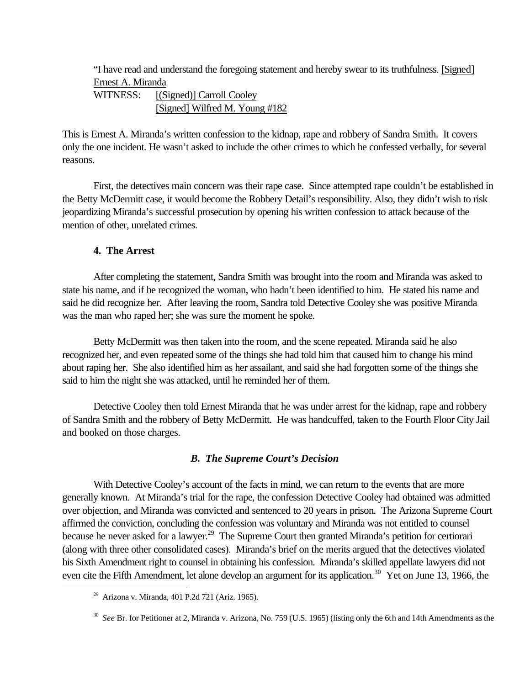"I have read and understand the foregoing statement and hereby swear to its truthfulness. [Signed] Ernest A. Miranda

WITNESS: [(Signed)] Carroll Cooley [Signed] Wilfred M. Young #182

This is Ernest A. Miranda's written confession to the kidnap, rape and robbery of Sandra Smith. It covers only the one incident. He wasn't asked to include the other crimes to which he confessed verbally, for several reasons.

First, the detectives main concern was their rape case. Since attempted rape couldn't be established in the Betty McDermitt case, it would become the Robbery Detail's responsibility. Also, they didn't wish to risk jeopardizing Miranda's successful prosecution by opening his written confession to attack because of the mention of other, unrelated crimes.

# **4. The Arrest**

After completing the statement, Sandra Smith was brought into the room and Miranda was asked to state his name, and if he recognized the woman, who hadn't been identified to him. He stated his name and said he did recognize her. After leaving the room, Sandra told Detective Cooley she was positive Miranda was the man who raped her; she was sure the moment he spoke.

Betty McDermitt was then taken into the room, and the scene repeated. Miranda said he also recognized her, and even repeated some of the things she had told him that caused him to change his mind about raping her. She also identified him as her assailant, and said she had forgotten some of the things she said to him the night she was attacked, until he reminded her of them.

Detective Cooley then told Ernest Miranda that he was under arrest for the kidnap, rape and robbery of Sandra Smith and the robbery of Betty McDermitt. He was handcuffed, taken to the Fourth Floor City Jail and booked on those charges.

# *B. The Supreme Court's Decision*

With Detective Cooley's account of the facts in mind, we can return to the events that are more generally known. At Miranda's trial for the rape, the confession Detective Cooley had obtained was admitted over objection, and Miranda was convicted and sentenced to 20 years in prison. The Arizona Supreme Court affirmed the conviction, concluding the confession was voluntary and Miranda was not entitled to counsel because he never asked for a lawyer.<sup>29</sup> The Supreme Court then granted Miranda's petition for certiorari (along with three other consolidated cases). Miranda's brief on the merits argued that the detectives violated his Sixth Amendment right to counsel in obtaining his confession. Miranda's skilled appellate lawyers did not even cite the Fifth Amendment, let alone develop an argument for its application.<sup>30</sup> Yet on June 13, 1966, the

 $29$  Arizona v. Miranda, 401 P.2d 721 (Ariz. 1965).

<sup>30</sup> *See* Br. for Petitioner at 2, Miranda v. Arizona, No. 759 (U.S. 1965) (listing only the 6th and 14th Amendments as the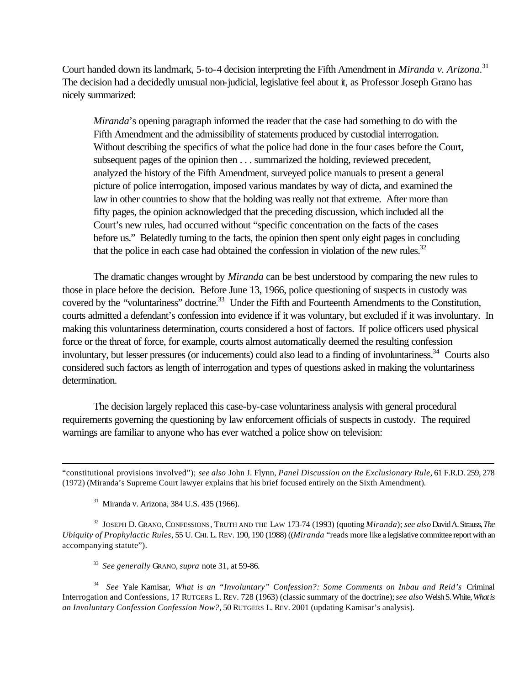Court handed down its landmark, 5-to-4 decision interpreting the Fifth Amendment in *Miranda v. Arizona*. 31 The decision had a decidedly unusual non-judicial, legislative feel about it, as Professor Joseph Grano has nicely summarized:

*Miranda*'s opening paragraph informed the reader that the case had something to do with the Fifth Amendment and the admissibility of statements produced by custodial interrogation. Without describing the specifics of what the police had done in the four cases before the Court, subsequent pages of the opinion then . . . summarized the holding, reviewed precedent, analyzed the history of the Fifth Amendment, surveyed police manuals to present a general picture of police interrogation, imposed various mandates by way of dicta, and examined the law in other countries to show that the holding was really not that extreme. After more than fifty pages, the opinion acknowledged that the preceding discussion, which included all the Court's new rules, had occurred without "specific concentration on the facts of the cases before us." Belatedly turning to the facts, the opinion then spent only eight pages in concluding that the police in each case had obtained the confession in violation of the new rules. $32$ 

The dramatic changes wrought by *Miranda* can be best understood by comparing the new rules to those in place before the decision. Before June 13, 1966, police questioning of suspects in custody was covered by the "voluntariness" doctrine.<sup>33</sup> Under the Fifth and Fourteenth Amendments to the Constitution, courts admitted a defendant's confession into evidence if it was voluntary, but excluded if it was involuntary. In making this voluntariness determination, courts considered a host of factors. If police officers used physical force or the threat of force, for example, courts almost automatically deemed the resulting confession involuntary, but lesser pressures (or inducements) could also lead to a finding of involuntariness.<sup>34</sup> Courts also considered such factors as length of interrogation and types of questions asked in making the voluntariness determination.

The decision largely replaced this case-by-case voluntariness analysis with general procedural requirements governing the questioning by law enforcement officials of suspects in custody. The required warnings are familiar to anyone who has ever watched a police show on television:

<sup>31</sup> Miranda v. Arizona, 384 U.S. 435 (1966).

l

32 JOSEPH D. GRANO, CONFESSIONS, TRUTH AND THE LAW 173-74 (1993) (quoting *Miranda*); *see also* David A. Strauss, *The Ubiquity of Prophylactic Rules*, 55 U. CHI. L. REV. 190, 190 (1988) ((*Miranda* "reads more like a legislative committee report with an accompanying statute").

33 *See generally* GRANO, *supra* note 31, at 59-86.

34 *See* Yale Kamisar, *What is an "Involuntary" Confession?: Some Comments on Inbau and Reid's* Criminal Interrogation and Confessions, 17 RUTGERS L. REV. 728 (1963) (classic summary of the doctrine); *see also* Welsh S. White, *What is an Involuntary Confession Confession Now?*, 50 RUTGERS L. REV. 2001 (updating Kamisar's analysis).

<sup>&</sup>quot;constitutional provisions involved"); *see also* John J. Flynn, *Panel Discussion on the Exclusionary Rule*, 61 F.R.D. 259, 278 (1972) (Miranda's Supreme Court lawyer explains that his brief focused entirely on the Sixth Amendment).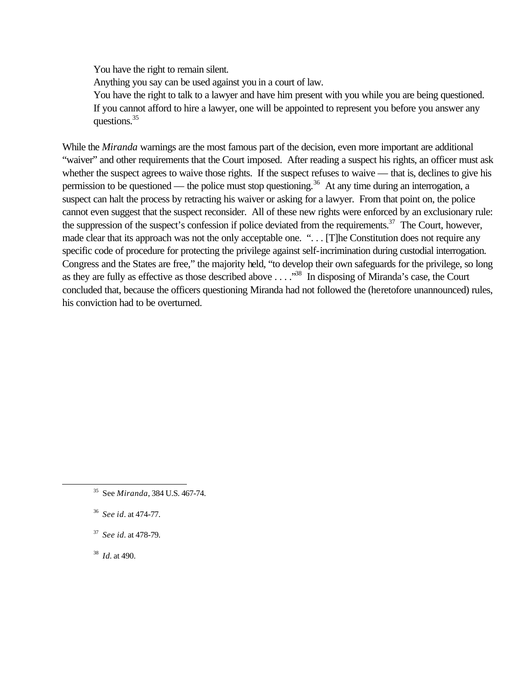You have the right to remain silent.

Anything you say can be used against you in a court of law.

You have the right to talk to a lawyer and have him present with you while you are being questioned. If you cannot afford to hire a lawyer, one will be appointed to represent you before you answer any questions.<sup>35</sup>

While the *Miranda* warnings are the most famous part of the decision, even more important are additional "waiver" and other requirements that the Court imposed. After reading a suspect his rights, an officer must ask whether the suspect agrees to waive those rights. If the suspect refuses to waive — that is, declines to give his permission to be questioned — the police must stop questioning.<sup>36</sup> At any time during an interrogation, a suspect can halt the process by retracting his waiver or asking for a lawyer. From that point on, the police cannot even suggest that the suspect reconsider. All of these new rights were enforced by an exclusionary rule: the suppression of the suspect's confession if police deviated from the requirements.<sup>37</sup> The Court, however, made clear that its approach was not the only acceptable one. "... [T]he Constitution does not require any specific code of procedure for protecting the privilege against self-incrimination during custodial interrogation. Congress and the States are free," the majority held, "to develop their own safeguards for the privilege, so long as they are fully as effective as those described above . . . ."<sup>38</sup> In disposing of Miranda's case, the Court concluded that, because the officers questioning Miranda had not followed the (heretofore unannounced) rules, his conviction had to be overturned.

37 *See id.* at 478-79.

38 *Id.* at 490.

<sup>35</sup> See *Miranda*, 384 U.S. 467-74.

<sup>36</sup> *See id.* at 474-77.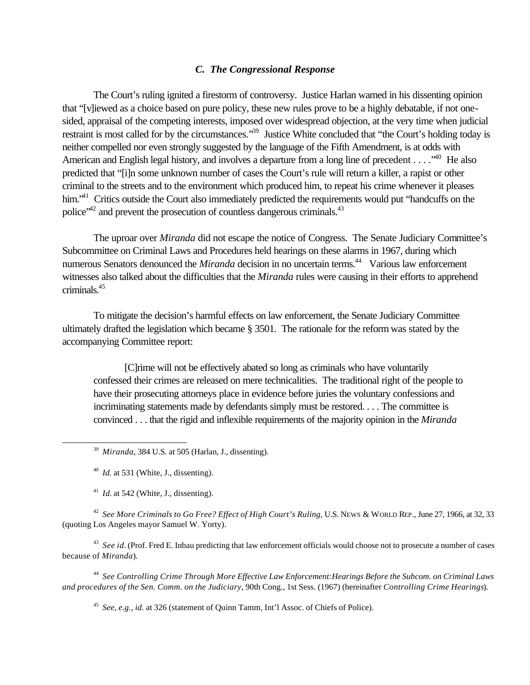#### *C. The Congressional Response*

The Court's ruling ignited a firestorm of controversy. Justice Harlan warned in his dissenting opinion that "[v]iewed as a choice based on pure policy, these new rules prove to be a highly debatable, if not onesided, appraisal of the competing interests, imposed over widespread objection, at the very time when judicial restraint is most called for by the circumstances."<sup>39</sup> Justice White concluded that "the Court's holding today is neither compelled nor even strongly suggested by the language of the Fifth Amendment, is at odds with American and English legal history, and involves a departure from a long line of precedent . . . .<sup>.40</sup> He also predicted that "[i]n some unknown number of cases the Court's rule will return a killer, a rapist or other criminal to the streets and to the environment which produced him, to repeat his crime whenever it pleases him.<sup>"41</sup> Critics outside the Court also immediately predicted the requirements would put "handcuffs on the police"<sup>42</sup> and prevent the prosecution of countless dangerous criminals.<sup>43</sup>

The uproar over *Miranda* did not escape the notice of Congress. The Senate Judiciary Committee's Subcommittee on Criminal Laws and Procedures held hearings on these alarms in 1967, during which numerous Senators denounced the *Miranda* decision in no uncertain terms.<sup>44</sup> Various law enforcement witnesses also talked about the difficulties that the *Miranda* rules were causing in their efforts to apprehend criminals.<sup>45</sup>

To mitigate the decision's harmful effects on law enforcement, the Senate Judiciary Committee ultimately drafted the legislation which became § 3501. The rationale for the reform was stated by the accompanying Committee report:

[C]rime will not be effectively abated so long as criminals who have voluntarily confessed their crimes are released on mere technicalities. The traditional right of the people to have their prosecuting attorneys place in evidence before juries the voluntary confessions and incriminating statements made by defendants simply must be restored. . . . The committee is convinced . . . that the rigid and inflexible requirements of the majority opinion in the *Miranda*

l

 $^{41}$  *Id.* at 542 (White, J., dissenting).

42 *See More Criminals to Go Free? Effect of High Court's Ruling*, U.S. NEWS & WORLD REP., June 27, 1966, at 32, 33 (quoting Los Angeles mayor Samuel W. Yorty).

<sup>43</sup> See id. (Prof. Fred E. Inbau predicting that law enforcement officials would choose not to prosecute a number of cases because of *Miranda*).

44 *See Controlling Crime Through More Effective Law Enforcement:Hearings Before the Subcom. on Criminal Laws and procedures of the Sen. Comm. on the Judiciary*, 90th Cong., 1st Sess. (1967) (hereinafter *Controlling Crime Hearings*).

45 *See, e.g., id.* at 326 (statement of Quinn Tamm, Int'l Assoc. of Chiefs of Police).

<sup>39</sup> *Miranda*, 384 U.S. at 505 (Harlan, J., dissenting).

<sup>40</sup> *Id.* at 531 (White, J., dissenting).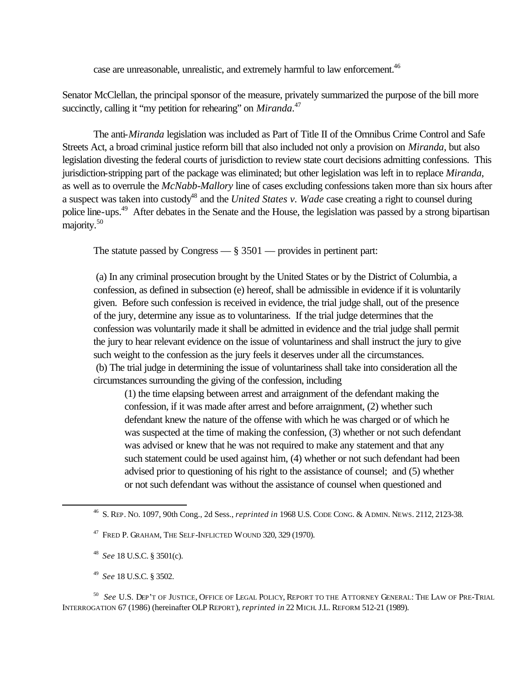case are unreasonable, unrealistic, and extremely harmful to law enforcement.<sup>46</sup>

Senator McClellan, the principal sponsor of the measure, privately summarized the purpose of the bill more succinctly, calling it "my petition for rehearing" on *Miranda*.<sup>47</sup>

The anti-*Miranda* legislation was included as Part of Title II of the Omnibus Crime Control and Safe Streets Act, a broad criminal justice reform bill that also included not only a provision on *Miranda*, but also legislation divesting the federal courts of jurisdiction to review state court decisions admitting confessions. This jurisdiction-stripping part of the package was eliminated; but other legislation was left in to replace *Miranda*, as well as to overrule the *McNabb-Mallory* line of cases excluding confessions taken more than six hours after a suspect was taken into custody<sup>48</sup> and the *United States v. Wade* case creating a right to counsel during police line-ups.<sup>49</sup> After debates in the Senate and the House, the legislation was passed by a strong bipartisan majority.<sup>50</sup>

The statute passed by Congress  $\frac{1}{8}$  3501  $\frac{1}{2}$  provides in pertinent part:

 (a) In any criminal prosecution brought by the United States or by the District of Columbia, a confession, as defined in subsection (e) hereof, shall be admissible in evidence if it is voluntarily given. Before such confession is received in evidence, the trial judge shall, out of the presence of the jury, determine any issue as to voluntariness. If the trial judge determines that the confession was voluntarily made it shall be admitted in evidence and the trial judge shall permit the jury to hear relevant evidence on the issue of voluntariness and shall instruct the jury to give such weight to the confession as the jury feels it deserves under all the circumstances. (b) The trial judge in determining the issue of voluntariness shall take into consideration all the circumstances surrounding the giving of the confession, including

(1) the time elapsing between arrest and arraignment of the defendant making the confession, if it was made after arrest and before arraignment, (2) whether such defendant knew the nature of the offense with which he was charged or of which he was suspected at the time of making the confession, (3) whether or not such defendant was advised or knew that he was not required to make any statement and that any such statement could be used against him, (4) whether or not such defendant had been advised prior to questioning of his right to the assistance of counsel; and (5) whether or not such defendant was without the assistance of counsel when questioned and

49 *See* 18 U.S.C. § 3502.

l

<sup>50</sup> *See* U.S. DEP'T OF JUSTICE, OFFICE OF LEGAL POLICY, REPORT TO THE ATTORNEY GENERAL: THE LAW OF PRE-TRIAL INTERROGATION 67 (1986) (hereinafter OLP REPORT), *reprinted in* 22 MICH. J.L. REFORM 512-21 (1989).

<sup>46</sup> S. REP. NO. 1097, 90th Cong., 2d Sess., *reprinted in* 1968 U.S. CODE CONG. & ADMIN. NEWS. 2112, 2123-38.

 $^{47}$  Fred P. Graham, The Self-Inflicted Wound 320, 329 (1970).

<sup>48</sup> *See* 18 U.S.C. § 3501(c).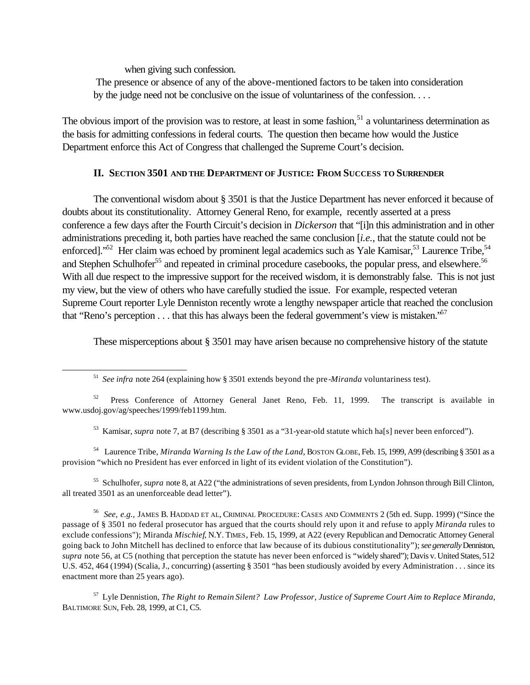when giving such confession.

l

 The presence or absence of any of the above-mentioned factors to be taken into consideration by the judge need not be conclusive on the issue of voluntariness of the confession. . . .

The obvious import of the provision was to restore, at least in some fashion, $51$  a voluntariness determination as the basis for admitting confessions in federal courts. The question then became how would the Justice Department enforce this Act of Congress that challenged the Supreme Court's decision.

### **II. SECTION 3501 AND THE DEPARTMENT OF JUSTICE: FROM SUCCESS TO SURRENDER**

The conventional wisdom about § 3501 is that the Justice Department has never enforced it because of doubts about its constitutionality. Attorney General Reno, for example, recently asserted at a press conference a few days after the Fourth Circuit's decision in *Dickerson* that "[i]n this administration and in other administrations preceding it, both parties have reached the same conclusion [*i.e.*, that the statute could not be enforced]."<sup>52</sup> Her claim was echoed by prominent legal academics such as Yale Kamisar, <sup>53</sup> Laurence Tribe, <sup>54</sup> and Stephen Schulhofer<sup>55</sup> and repeated in criminal procedure casebooks, the popular press, and elsewhere.<sup>56</sup> With all due respect to the impressive support for the received wisdom, it is demonstrably false. This is not just my view, but the view of others who have carefully studied the issue. For example, respected veteran Supreme Court reporter Lyle Denniston recently wrote a lengthy newspaper article that reached the conclusion that "Reno's perception  $\dots$  that this has always been the federal government's view is mistaken."<sup>57</sup>

These misperceptions about § 3501 may have arisen because no comprehensive history of the statute

<sup>53</sup> Kamisar, *supra* note 7, at B7 (describing § 3501 as a "31-year-old statute which ha[s] never been enforced").

<sup>54</sup> Laurence Tribe, *Miranda Warning Is the Law of the Land*, BOSTON GLOBE, Feb. 15, 1999, A99 (describing § 3501 as a provision "which no President has ever enforced in light of its evident violation of the Constitution").

<sup>55</sup> Schulhofer, *supra* note 8, at A22 ("the administrations of seven presidents, from Lyndon Johnson through Bill Clinton, all treated 3501 as an unenforceable dead letter").

56 *See, e.g.,* JAMES B. HADDAD ET AL, CRIMINAL PROCEDURE: CASES AND COMMENTS 2 (5th ed. Supp. 1999) ("Since the passage of § 3501 no federal prosecutor has argued that the courts should rely upon it and refuse to apply *Miranda* rules to exclude confessions"); Miranda *Mischief*, N.Y. TIMES, Feb. 15, 1999, at A22 (every Republican and Democratic Attorney General going back to John Mitchell has declined to enforce that law because of its dubious constitutionality"); *see generally* Denniston, *supra* note 56, at C5 (nothing that perception the statute has never been enforced is "widely shared"); Davis v. United States, 512 U.S. 452, 464 (1994) (Scalia, J., concurring) (asserting § 3501 "has been studiously avoided by every Administration . . . since its enactment more than 25 years ago).

<sup>57</sup> Lyle Dennistion, *The Right to Remain Silent? Law Professor, Justice of Supreme Court Aim to Replace Miranda*, BALTIMORE SUN, Feb. 28, 1999, at C1, C5.

<sup>51</sup> *See infra* note 264 (explaining how § 3501 extends beyond the pre-*Miranda* voluntariness test).

<sup>&</sup>lt;sup>52</sup> Press Conference of Attorney General Janet Reno, Feb. 11, 1999. The transcript is available in www.usdoj.gov/ag/speeches/1999/feb1199.htm.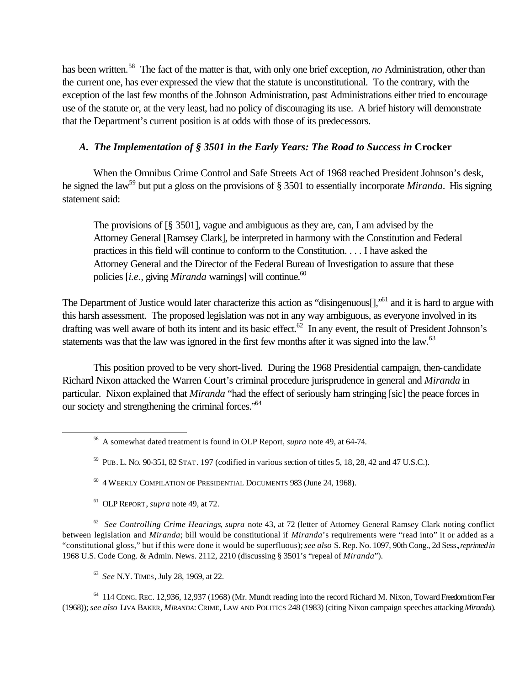has been written.<sup>58</sup> The fact of the matter is that, with only one brief exception, *no* Administration, other than the current one, has ever expressed the view that the statute is unconstitutional. To the contrary, with the exception of the last few months of the Johnson Administration, past Administrations either tried to encourage use of the statute or, at the very least, had no policy of discouraging its use. A brief history will demonstrate that the Department's current position is at odds with those of its predecessors.

# A. *The Implementation of § 3501 in the Early Years: The Road to Success in Crocker*

When the Omnibus Crime Control and Safe Streets Act of 1968 reached President Johnson's desk, he signed the law<sup>59</sup> but put a gloss on the provisions of § 3501 to essentially incorporate *Miranda*. His signing statement said:

The provisions of [§ 3501], vague and ambiguous as they are, can, I am advised by the Attorney General [Ramsey Clark], be interpreted in harmony with the Constitution and Federal practices in this field will continue to conform to the Constitution. . . . I have asked the Attorney General and the Director of the Federal Bureau of Investigation to assure that these policies *[i.e., giving Miranda warnings]* will continue.<sup>60</sup>

The Department of Justice would later characterize this action as "disingenuous<sup>[]</sup>,<sup>"61</sup> and it is hard to argue with this harsh assessment. The proposed legislation was not in any way ambiguous, as everyone involved in its drafting was well aware of both its intent and its basic effect.<sup>62</sup> In any event, the result of President Johnson's statements was that the law was ignored in the first few months after it was signed into the law.<sup>63</sup>

This position proved to be very short-lived. During the 1968 Presidential campaign, then-candidate Richard Nixon attacked the Warren Court's criminal procedure jurisprudence in general and *Miranda* in particular. Nixon explained that *Miranda* "had the effect of seriously ham stringing [sic] the peace forces in our society and strengthening the criminal forces."<sup>64</sup>

- <sup>60</sup> 4 WEEKLY COMPILATION OF PRESIDENTIAL DOCUMENTS 983 (June 24, 1968).
- 61 OLP REPORT, *supra* note 49, at 72.

l

62 *See Controlling Crime Hearings*, *supra* note 43, at 72 (letter of Attorney General Ramsey Clark noting conflict between legislation and *Miranda*; bill would be constitutional if *Miranda*'s requirements were "read into" it or added as a "constitutional gloss," but if this were done it would be superfluous); *see also* S. Rep. No. 1097, 90th Cong., 2d Sess., *reprinted in* 1968 U.S. Code Cong. & Admin. News. 2112, 2210 (discussing § 3501's "repeal of *Miranda*").

63 *See* N.Y. TIMES, July 28, 1969, at 22.

<sup>64</sup> 114 CONG. REC. 12,936, 12,937 (1968) (Mr. Mundt reading into the record Richard M. Nixon, Toward Freedom from Fear (1968)); *see also* LIVA BAKER, *MIRANDA*: CRIME, LAW AND POLITICS 248 (1983) (citing Nixon campaign speeches attacking *Miranda*).

<sup>58</sup> A somewhat dated treatment is found in OLP Report, *supra* note 49, at 64-74.

 $^{59}$  PUB. L. No. 90-351, 82 STAT. 197 (codified in various section of titles 5, 18, 28, 42 and 47 U.S.C.).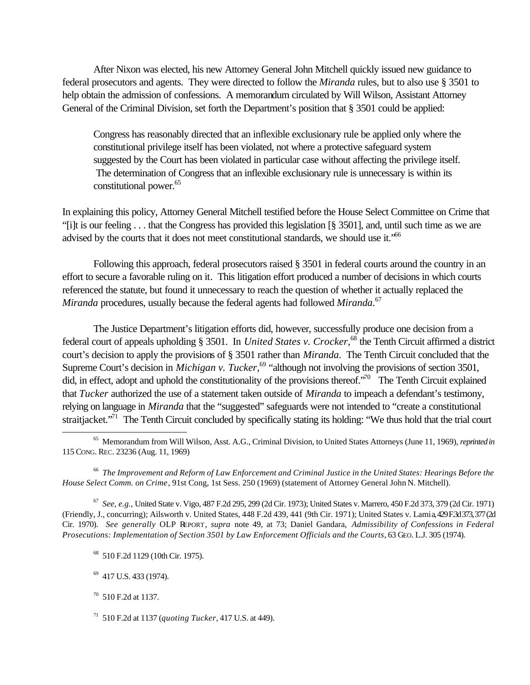After Nixon was elected, his new Attorney General John Mitchell quickly issued new guidance to federal prosecutors and agents. They were directed to follow the *Miranda* rules, but to also use § 3501 to help obtain the admission of confessions. A memorandum circulated by Will Wilson, Assistant Attorney General of the Criminal Division, set forth the Department's position that § 3501 could be applied:

Congress has reasonably directed that an inflexible exclusionary rule be applied only where the constitutional privilege itself has been violated, not where a protective safeguard system suggested by the Court has been violated in particular case without affecting the privilege itself. The determination of Congress that an inflexible exclusionary rule is unnecessary is within its constitutional power.<sup>65</sup>

In explaining this policy, Attorney General Mitchell testified before the House Select Committee on Crime that "[i]t is our feeling . . . that the Congress has provided this legislation [§ 3501], and, until such time as we are advised by the courts that it does not meet constitutional standards, we should use it."<sup>66</sup>

Following this approach, federal prosecutors raised § 3501 in federal courts around the country in an effort to secure a favorable ruling on it. This litigation effort produced a number of decisions in which courts referenced the statute, but found it unnecessary to reach the question of whether it actually replaced the *Miranda* procedures, usually because the federal agents had followed *Miranda*. 67

The Justice Department's litigation efforts did, however, successfully produce one decision from a federal court of appeals upholding § 3501. In *United States v. Crocker*, <sup>68</sup> the Tenth Circuit affirmed a district court's decision to apply the provisions of § 3501 rather than *Miranda*. The Tenth Circuit concluded that the Supreme Court's decision in *Michigan v. Tucker*,<sup>69</sup> "although not involving the provisions of section 3501, did, in effect, adopt and uphold the constitutionality of the provisions thereof."<sup>70</sup> The Tenth Circuit explained that *Tucker* authorized the use of a statement taken outside of *Miranda* to impeach a defendant's testimony, relying on language in *Miranda* that the "suggested" safeguards were not intended to "create a constitutional straitjacket."<sup>71</sup> The Tenth Circuit concluded by specifically stating its holding: "We thus hold that the trial court

66 *The Improvement and Reform of Law Enforcement and Criminal Justice in the United States: Hearings Before the House Select Comm. on Crime*, 91st Cong, 1st Sess. 250 (1969) (statement of Attorney General John N. Mitchell).

67 *See, e.g.,* United State v. Vigo, 487 F.2d 295, 299 (2d Cir. 1973); United States v. Marrero, 450 F.2d 373, 379 (2d Cir. 1971) (Friendly, J., concurring); Ailsworth v. United States, 448 F.2d 439, 441 (9th Cir. 1971); United States v. Lamia, 429 F.3d 373, 377 (2d Cir. 1970). *See generally* OLP REPORT, *supra* note 49, at 73; Daniel Gandara, *Admissibility of Confessions in Federal Prosecutions: Implementation of Section 3501 by Law Enforcement Officials and the Courts*, 63 GEO. L.J. 305 (1974).

<sup>65</sup> Memorandum from Will Wilson, Asst. A.G., Criminal Division, to United States Attorneys (June 11, 1969), *reprinted in* 115 CONG. REC. 23236 (Aug. 11, 1969)

<sup>68</sup> 510 F.2d 1129 (10th Cir. 1975).

<sup>&</sup>lt;sup>69</sup> 417 U.S. 433 (1974).

 $70$  510 F.2d at 1137.

<sup>71</sup> 510 F.2d at 1137 (*quoting Tucker*, 417 U.S. at 449).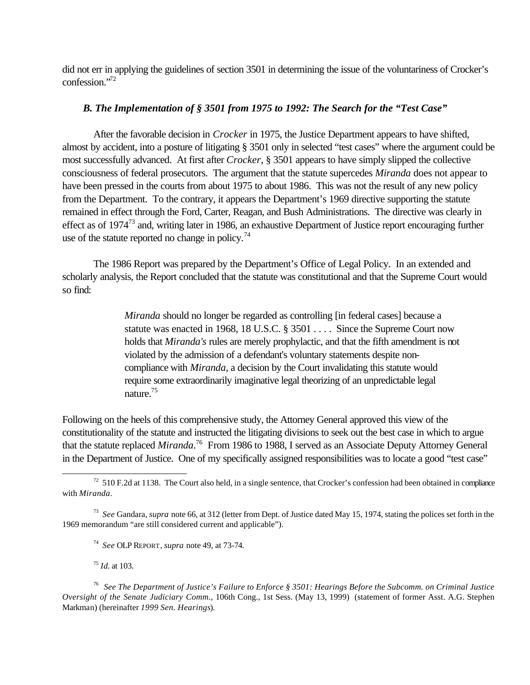did not err in applying the guidelines of section 3501 in determining the issue of the voluntariness of Crocker's confession."<sup>72</sup>

### *B. The Implementation of § 3501 from 1975 to 1992: The Search for the "Test Case"*

After the favorable decision in *Crocker* in 1975, the Justice Department appears to have shifted, almost by accident, into a posture of litigating § 3501 only in selected "test cases" where the argument could be most successfully advanced. At first after *Crocker*, § 3501 appears to have simply slipped the collective consciousness of federal prosecutors. The argument that the statute supercedes *Miranda* does not appear to have been pressed in the courts from about 1975 to about 1986. This was not the result of any new policy from the Department. To the contrary, it appears the Department's 1969 directive supporting the statute remained in effect through the Ford, Carter, Reagan, and Bush Administrations. The directive was clearly in effect as of 1974<sup>73</sup> and, writing later in 1986, an exhaustive Department of Justice report encouraging further use of the statute reported no change in policy.<sup>74</sup>

The 1986 Report was prepared by the Department's Office of Legal Policy. In an extended and scholarly analysis, the Report concluded that the statute was constitutional and that the Supreme Court would so find:

> *Miranda* should no longer be regarded as controlling [in federal cases] because a statute was enacted in 1968, 18 U.S.C. § 3501 . . . . Since the Supreme Court now holds that *Miranda's* rules are merely prophylactic, and that the fifth amendment is not violated by the admission of a defendant's voluntary statements despite noncompliance with *Miranda*, a decision by the Court invalidating this statute would require some extraordinarily imaginative legal theorizing of an unpredictable legal nature.<sup>75</sup>

Following on the heels of this comprehensive study, the Attorney General approved this view of the constitutionality of the statute and instructed the litigating divisions to seek out the best case in which to argue that the statute replaced *Miranda*. <sup>76</sup> From 1986 to 1988, I served as an Associate Deputy Attorney General in the Department of Justice. One of my specifically assigned responsibilities was to locate a good "test case"

74 *See* OLP REPORT, *supra* note 49, at 73-74.

<sup>75</sup> *Id.* at 103.

l

76 *See The Department of Justice's Failure to Enforce § 3501: Hearings Before the Subcomm. on Criminal Justice Oversight of the Senate Judiciary Comm.*, 106th Cong., 1st Sess. (May 13, 1999) (statement of former Asst. A.G. Stephen Markman) (hereinafter *1999 Sen. Hearings*).

 $72$  510 F.2d at 1138. The Court also held, in a single sentence, that Crocker's confession had been obtained in compliance with *Miranda*.

<sup>73</sup> *See* Gandara, *supra* note 66, at 312 (letter from Dept. of Justice dated May 15, 1974, stating the polices set forth in the 1969 memorandum "are still considered current and applicable").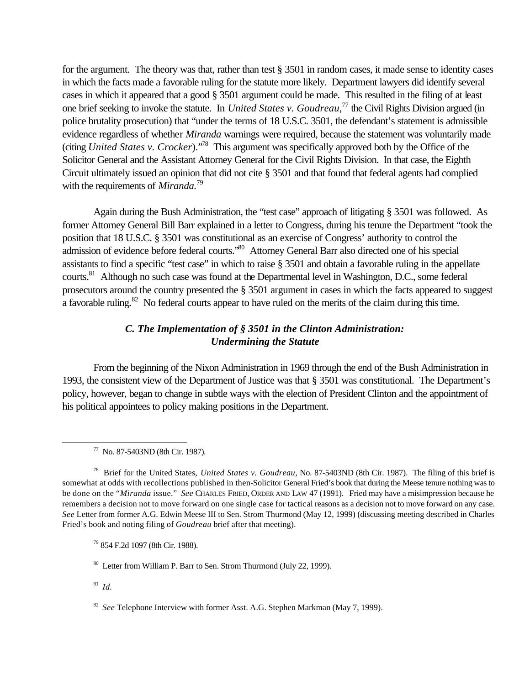for the argument. The theory was that, rather than test § 3501 in random cases, it made sense to identity cases in which the facts made a favorable ruling for the statute more likely. Department lawyers did identify several cases in which it appeared that a good § 3501 argument could be made. This resulted in the filing of at least one brief seeking to invoke the statute. In *United States v. Goudreau*, <sup>77</sup> the Civil Rights Division argued (in police brutality prosecution) that "under the terms of 18 U.S.C. 3501, the defendant's statement is admissible evidence regardless of whether *Miranda* warnings were required, because the statement was voluntarily made (citing *United States v. Crocker*)."<sup>78</sup> This argument was specifically approved both by the Office of the Solicitor General and the Assistant Attorney General for the Civil Rights Division. In that case, the Eighth Circuit ultimately issued an opinion that did not cite § 3501 and that found that federal agents had complied with the requirements of *Miranda.*<sup>79</sup>

Again during the Bush Administration, the "test case" approach of litigating § 3501 was followed. As former Attorney General Bill Barr explained in a letter to Congress, during his tenure the Department "took the position that 18 U.S.C. § 3501 was constitutional as an exercise of Congress' authority to control the admission of evidence before federal courts."<sup>80</sup> Attorney General Barr also directed one of his special assistants to find a specific "test case" in which to raise § 3501 and obtain a favorable ruling in the appellate courts.<sup>81</sup> Although no such case was found at the Departmental level in Washington, D.C., some federal prosecutors around the country presented the § 3501 argument in cases in which the facts appeared to suggest a favorable ruling.<sup>82</sup> No federal courts appear to have ruled on the merits of the claim during this time.

# *C. The Implementation of § 3501 in the Clinton Administration: Undermining the Statute*

From the beginning of the Nixon Administration in 1969 through the end of the Bush Administration in 1993, the consistent view of the Department of Justice was that § 3501 was constitutional. The Department's policy, however, began to change in subtle ways with the election of President Clinton and the appointment of his political appointees to policy making positions in the Department.

<sup>79</sup> 854 F.2d 1097 (8th Cir. 1988).

<sup>80</sup> Letter from William P. Barr to Sen. Strom Thurmond (July 22, 1999).

81 *Id.*

<sup>77</sup> No. 87-5403ND (8th Cir. 1987).

<sup>78</sup> Brief for the United States, *United States v. Goudreau*, No. 87-5403ND (8th Cir. 1987). The filing of this brief is somewhat at odds with recollections published in then-Solicitor General Fried's book that during the Meese tenure nothing was to be done on the "*Miranda* issue." *See* CHARLES FRIED, ORDER AND LAW 47 (1991). Fried may have a misimpression because he remembers a decision not to move forward on one single case for tactical reasons as a decision not to move forward on any case. *See* Letter from former A.G. Edwin Meese III to Sen. Strom Thurmond (May 12, 1999) (discussing meeting described in Charles Fried's book and noting filing of *Goudreau* brief after that meeting).

<sup>&</sup>lt;sup>82</sup> See Telephone Interview with former Asst. A.G. Stephen Markman (May 7, 1999).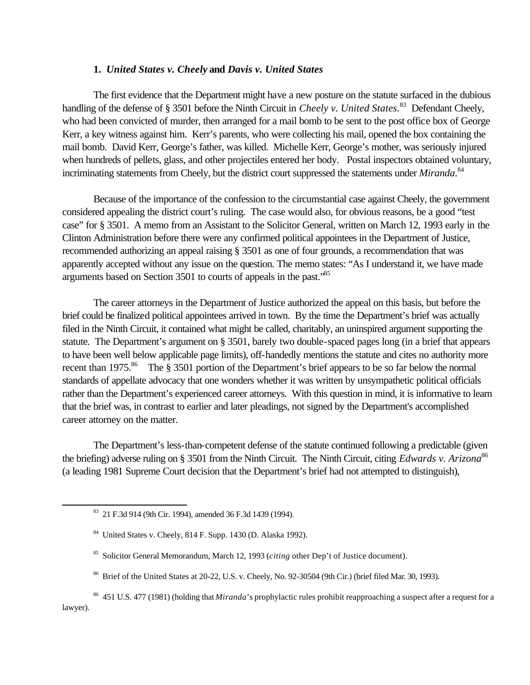#### **1.** *United States v. Cheely* **and** *Davis v. United States*

The first evidence that the Department might have a new posture on the statute surfaced in the dubious handling of the defense of § 3501 before the Ninth Circuit in *Cheely v. United States.*<sup>83</sup> Defendant Cheely, who had been convicted of murder, then arranged for a mail bomb to be sent to the post office box of George Kerr, a key witness against him. Kerr's parents, who were collecting his mail, opened the box containing the mail bomb. David Kerr, George's father, was killed. Michelle Kerr, George's mother, was seriously injured when hundreds of pellets, glass, and other projectiles entered her body. Postal inspectors obtained voluntary, incriminating statements from Cheely, but the district court suppressed the statements under *Miranda*.<sup>84</sup>

Because of the importance of the confession to the circumstantial case against Cheely, the government considered appealing the district court's ruling. The case would also, for obvious reasons, be a good "test case" for § 3501. A memo from an Assistant to the Solicitor General, written on March 12, 1993 early in the Clinton Administration before there were any confirmed political appointees in the Department of Justice, recommended authorizing an appeal raising § 3501 as one of four grounds, a recommendation that was apparently accepted without any issue on the question. The memo states: "As I understand it, we have made arguments based on Section 3501 to courts of appeals in the past."<sup>85</sup>

The career attorneys in the Department of Justice authorized the appeal on this basis, but before the brief could be finalized political appointees arrived in town. By the time the Department's brief was actually filed in the Ninth Circuit, it contained what might be called, charitably, an uninspired argument supporting the statute. The Department's argument on § 3501, barely two double-spaced pages long (in a brief that appears to have been well below applicable page limits), off-handedly mentions the statute and cites no authority more recent than 1975.<sup>86</sup> The § 3501 portion of the Department's brief appears to be so far below the normal standards of appellate advocacy that one wonders whether it was written by unsympathetic political officials rather than the Department's experienced career attorneys. With this question in mind, it is informative to learn that the brief was, in contrast to earlier and later pleadings, not signed by the Department's accomplished career attorney on the matter.

The Department's less-than-competent defense of the statute continued following a predictable (given the briefing) adverse ruling on § 3501 from the Ninth Circuit. The Ninth Circuit, citing *Edwards v. Arizona*<sup>86</sup> (a leading 1981 Supreme Court decision that the Department's brief had not attempted to distinguish),

l

- <sup>85</sup> Solicitor General Memorandum, March 12, 1993 (*citing* other Dep't of Justice document).
- <sup>86</sup> Brief of the United States at 20-22, U.S. v. Cheely, No. 92-30504 (9th Cir.) (brief filed Mar. 30, 1993).

<sup>86</sup> 451 U.S. 477 (1981) (holding that *Miranda*'s prophylactic rules prohibit reapproaching a suspect after a request for a lawyer).

<sup>83</sup> 21 F.3d 914 (9th Cir. 1994), amended 36 F.3d 1439 (1994).

<sup>84</sup> United States v. Cheely, 814 F. Supp. 1430 (D. Alaska 1992).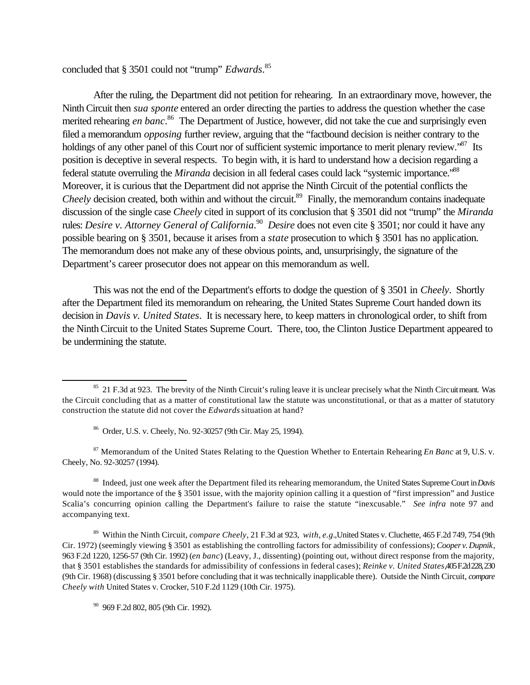concluded that § 3501 could not "trump" *Edwards*. 85

After the ruling, the Department did not petition for rehearing. In an extraordinary move, however, the Ninth Circuit then *sua sponte* entered an order directing the parties to address the question whether the case merited rehearing *en banc*. <sup>86</sup> The Department of Justice, however, did not take the cue and surprisingly even filed a memorandum *opposing* further review, arguing that the "factbound decision is neither contrary to the holdings of any other panel of this Court nor of sufficient systemic importance to merit plenary review."<sup>87</sup> Its position is deceptive in several respects. To begin with, it is hard to understand how a decision regarding a federal statute overruling the *Miranda* decision in all federal cases could lack "systemic importance."<sup>88</sup> Moreover, it is curious that the Department did not apprise the Ninth Circuit of the potential conflicts the *Cheely* decision created, both within and without the circuit.<sup>89</sup> Finally, the memorandum contains inadequate discussion of the single case *Cheely* cited in support of its conclusion that § 3501 did not "trump" the *Miranda* rules: *Desire v. Attorney General of California.*<sup>90</sup> *Desire* does not even cite § 3501; nor could it have any possible bearing on § 3501, because it arises from a *state* prosecution to which § 3501 has no application. The memorandum does not make any of these obvious points, and, unsurprisingly, the signature of the Department's career prosecutor does not appear on this memorandum as well.

This was not the end of the Department's efforts to dodge the question of § 3501 in *Cheely*. Shortly after the Department filed its memorandum on rehearing, the United States Supreme Court handed down its decision in *Davis v. United States*. It is necessary here, to keep matters in chronological order, to shift from the Ninth Circuit to the United States Supreme Court. There, too, the Clinton Justice Department appeared to be undermining the statute.

<sup>87</sup> Memorandum of the United States Relating to the Question Whether to Entertain Rehearing *En Banc* at 9, U.S. v. Cheely, No. 92-30257 (1994).

<sup>88</sup> Indeed, just one week after the Department filed its rehearing memorandum, the United States Supreme Court in *Davis* would note the importance of the § 3501 issue, with the majority opinion calling it a question of "first impression" and Justice Scalia's concurring opinion calling the Department's failure to raise the statute "inexcusable." *See infra* note 97 and accompanying text.

<sup>89</sup> Within the Ninth Circuit, *compare Cheely*, 21 F.3d at 923, *with*, *e.g.*,United States v. Cluchette, 465 F.2d 749, 754 (9th Cir. 1972) (seemingly viewing § 3501 as establishing the controlling factors for admissibility of confessions); *Cooper v. Dupnik*, 963 F.2d 1220, 1256-57 (9th Cir. 1992) (*en banc*) (Leavy, J., dissenting) (pointing out, without direct response from the majority, that § 3501 establishes the standards for admissibility of confessions in federal cases); *Reinke v. United States*,405 F.2d 228, 230 (9th Cir. 1968) (discussing § 3501 before concluding that it was technically inapplicable there). Outside the Ninth Circuit, *compare Cheely with* United States v. Crocker, 510 F.2d 1129 (10th Cir. 1975).

<sup>90</sup> 969 F.2d 802, 805 (9th Cir. 1992).

<sup>&</sup>lt;sup>85</sup> 21 F.3d at 923. The brevity of the Ninth Circuit's ruling leave it is unclear precisely what the Ninth Circuit meant. Was the Circuit concluding that as a matter of constitutional law the statute was unconstitutional, or that as a matter of statutory construction the statute did not cover the *Edwards* situation at hand?

<sup>86</sup> Order, U.S. v. Cheely, No. 92-30257 (9th Cir. May 25, 1994).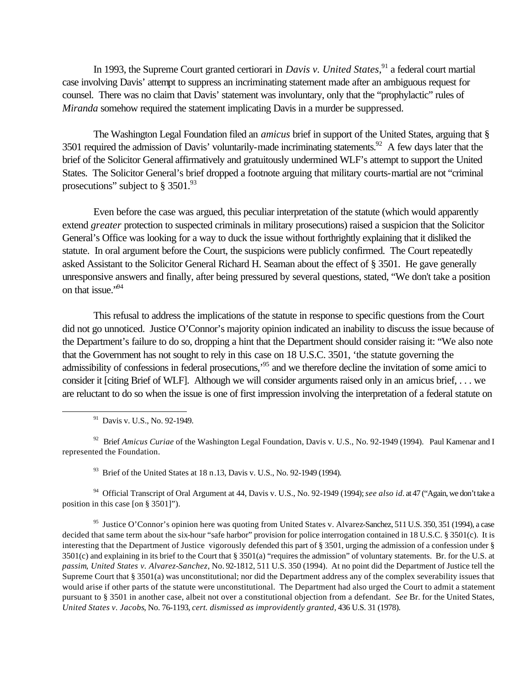In 1993, the Supreme Court granted certiorari in *Davis v. United States*,<sup>91</sup> a federal court martial case involving Davis' attempt to suppress an incriminating statement made after an ambiguous request for counsel. There was no claim that Davis' statement was involuntary, only that the "prophylactic" rules of *Miranda* somehow required the statement implicating Davis in a murder be suppressed.

The Washington Legal Foundation filed an *amicus* brief in support of the United States, arguing that § 3501 required the admission of Davis' voluntarily-made incriminating statements.<sup>92</sup> A few days later that the brief of the Solicitor General affirmatively and gratuitously undermined WLF's attempt to support the United States. The Solicitor General's brief dropped a footnote arguing that military courts-martial are not "criminal prosecutions" subject to  $\S 3501.^{93}$ 

Even before the case was argued, this peculiar interpretation of the statute (which would apparently extend *greater* protection to suspected criminals in military prosecutions) raised a suspicion that the Solicitor General's Office was looking for a way to duck the issue without forthrightly explaining that it disliked the statute. In oral argument before the Court, the suspicions were publicly confirmed. The Court repeatedly asked Assistant to the Solicitor General Richard H. Seaman about the effect of § 3501. He gave generally unresponsive answers and finally, after being pressured by several questions, stated, "We don't take a position on that issue."<sup>94</sup>

This refusal to address the implications of the statute in response to specific questions from the Court did not go unnoticed. Justice O'Connor's majority opinion indicated an inability to discuss the issue because of the Department's failure to do so, dropping a hint that the Department should consider raising it: "We also note that the Government has not sought to rely in this case on 18 U.S.C. 3501, 'the statute governing the admissibility of confessions in federal prosecutions,'<sup>95</sup> and we therefore decline the invitation of some amici to consider it [citing Brief of WLF]. Although we will consider arguments raised only in an amicus brief, . . . we are reluctant to do so when the issue is one of first impression involving the interpretation of a federal statute on

l

<sup>92</sup> Brief *Amicus Curiae* of the Washington Legal Foundation, Davis v. U.S., No. 92-1949 (1994). Paul Kamenar and I represented the Foundation.

<sup>93</sup> Brief of the United States at 18 n.13, Davis v. U.S., No. 92-1949 (1994).

<sup>94</sup> Official Transcript of Oral Argument at 44, Davis v. U.S., No. 92-1949 (1994); *see also id.* at 47 ("Again, we don't take a position in this case [on § 3501]").

<sup>95</sup> Justice O'Connor's opinion here was quoting from United States v. Alvarez-Sanchez, 511 U.S. 350, 351 (1994), a case decided that same term about the six-hour "safe harbor" provision for police interrogation contained in 18 U.S.C. § 3501(c). It is interesting that the Department of Justice vigorously defended this part of § 3501, urging the admission of a confession under § 3501(c) and explaining in its brief to the Court that § 3501(a) "requires the admission" of voluntary statements. Br. for the U.S. at *passim*, *United States v. Alvarez-Sanchez*, No. 92-1812, 511 U.S. 350 (1994). At no point did the Department of Justice tell the Supreme Court that  $\S 3501(a)$  was unconstitutional; nor did the Department address any of the complex severability issues that would arise if other parts of the statute were unconstitutional. The Department had also urged the Court to admit a statement pursuant to § 3501 in another case, albeit not over a constitutional objection from a defendant. *See* Br. for the United States, *United States v. Jacobs*, No. 76-1193, *cert. dismissed as improvidently granted*, 436 U.S. 31 (1978).

<sup>91</sup> Davis v. U.S., No. 92-1949.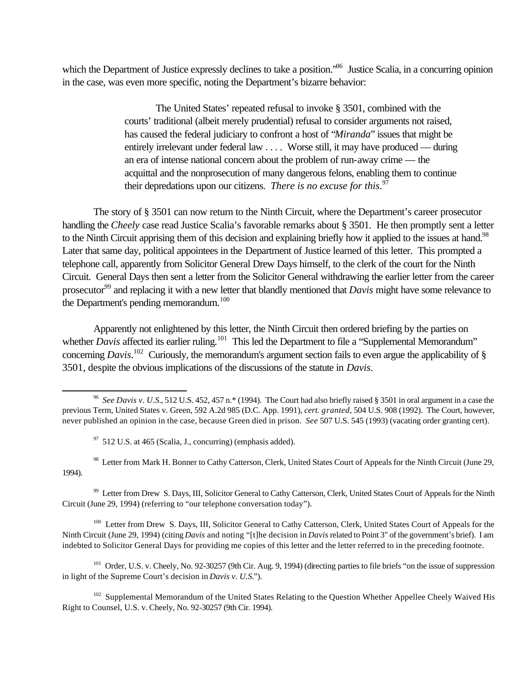which the Department of Justice expressly declines to take a position.<sup>796</sup> Justice Scalia, in a concurring opinion in the case, was even more specific, noting the Department's bizarre behavior:

> The United States' repeated refusal to invoke § 3501, combined with the courts' traditional (albeit merely prudential) refusal to consider arguments not raised, has caused the federal judiciary to confront a host of "*Miranda*" issues that might be entirely irrelevant under federal law .... Worse still, it may have produced — during an era of intense national concern about the problem of run-away crime — the acquittal and the nonprosecution of many dangerous felons, enabling them to continue their depredations upon our citizens. *There is no excuse for this*. 97

The story of § 3501 can now return to the Ninth Circuit, where the Department's career prosecutor handling the *Cheely* case read Justice Scalia's favorable remarks about § 3501. He then promptly sent a letter to the Ninth Circuit apprising them of this decision and explaining briefly how it applied to the issues at hand.<sup>98</sup> Later that same day, political appointees in the Department of Justice learned of this letter. This prompted a telephone call, apparently from Solicitor General Drew Days himself, to the clerk of the court for the Ninth Circuit. General Days then sent a letter from the Solicitor General withdrawing the earlier letter from the career prosecutor<sup>99</sup> and replacing it with a new letter that blandly mentioned that *Davis* might have some relevance to the Department's pending memorandum.<sup>100</sup>

Apparently not enlightened by this letter, the Ninth Circuit then ordered briefing by the parties on whether *Davis* affected its earlier ruling.<sup>101</sup> This led the Department to file a "Supplemental Memorandum" concerning *Davis*. <sup>102</sup> Curiously, the memorandum's argument section fails to even argue the applicability of § 3501, despite the obvious implications of the discussions of the statute in *Davis*.

l

<sup>98</sup> Letter from Mark H. Bonner to Cathy Catterson, Clerk, United States Court of Appeals for the Ninth Circuit (June 29, 1994).

<sup>99</sup> Letter from Drew S. Days, III, Solicitor General to Cathy Catterson, Clerk, United States Court of Appeals for the Ninth Circuit (June 29, 1994) (referring to "our telephone conversation today").

<sup>100</sup> Letter from Drew S. Days, III, Solicitor General to Cathy Catterson, Clerk, United States Court of Appeals for the Ninth Circuit (June 29, 1994) (citing *Davis* and noting "[t]he decision in *Davis* related to Point 3" of the government's brief). I am indebted to Solicitor General Days for providing me copies of this letter and the letter referred to in the preceding footnote.

<sup>101</sup> Order, U.S. v. Cheely, No. 92-30257 (9th Cir. Aug. 9, 1994) (directing parties to file briefs "on the issue of suppression in light of the Supreme Court's decision in *Davis v. U.S.*").

<sup>102</sup> Supplemental Memorandum of the United States Relating to the Question Whether Appellee Cheely Waived His Right to Counsel, U.S. v. Cheely, No. 92-30257 (9th Cir. 1994).

<sup>96</sup> *See Davis v. U.S.*, 512 U.S. 452, 457 n.\* (1994). The Court had also briefly raised § 3501 in oral argument in a case the previous Term, United States v. Green, 592 A.2d 985 (D.C. App. 1991), *cert. granted*, 504 U.S. 908 (1992). The Court, however, never published an opinion in the case, because Green died in prison. *See* 507 U.S. 545 (1993) (vacating order granting cert).

 $97$  512 U.S. at 465 (Scalia, J., concurring) (emphasis added).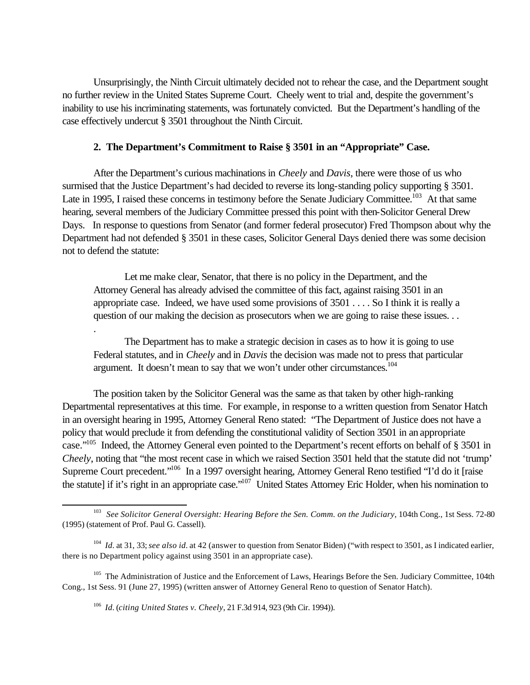Unsurprisingly, the Ninth Circuit ultimately decided not to rehear the case, and the Department sought no further review in the United States Supreme Court. Cheely went to trial and, despite the government's inability to use his incriminating statements, was fortunately convicted. But the Department's handling of the case effectively undercut § 3501 throughout the Ninth Circuit.

### **2. The Department's Commitment to Raise § 3501 in an "Appropriate" Case.**

After the Department's curious machinations in *Cheely* and *Davis*, there were those of us who surmised that the Justice Department's had decided to reverse its long-standing policy supporting § 3501. Late in 1995, I raised these concerns in testimony before the Senate Judiciary Committee.<sup>103</sup> At that same hearing, several members of the Judiciary Committee pressed this point with then-Solicitor General Drew Days. In response to questions from Senator (and former federal prosecutor) Fred Thompson about why the Department had not defended § 3501 in these cases, Solicitor General Days denied there was some decision not to defend the statute:

Let me make clear, Senator, that there is no policy in the Department, and the Attorney General has already advised the committee of this fact, against raising 3501 in an appropriate case. Indeed, we have used some provisions of 3501 . . . . So I think it is really a question of our making the decision as prosecutors when we are going to raise these issues. . .

The Department has to make a strategic decision in cases as to how it is going to use Federal statutes, and in *Cheely* and in *Davis* the decision was made not to press that particular argument. It doesn't mean to say that we won't under other circumstances.<sup>104</sup>

The position taken by the Solicitor General was the same as that taken by other high-ranking Departmental representatives at this time. For example, in response to a written question from Senator Hatch in an oversight hearing in 1995, Attorney General Reno stated: "The Department of Justice does not have a policy that would preclude it from defending the constitutional validity of Section 3501 in an appropriate case."<sup>105</sup> Indeed, the Attorney General even pointed to the Department's recent efforts on behalf of § 3501 in *Cheely*, noting that "the most recent case in which we raised Section 3501 held that the statute did not 'trump' Supreme Court precedent."<sup>106</sup> In a 1997 oversight hearing, Attorney General Reno testified "I'd do it [raise the statute] if it's right in an appropriate case."<sup>107</sup> United States Attorney Eric Holder, when his nomination to

.

<sup>&</sup>lt;sup>103</sup> See Solicitor General Oversight: Hearing Before the Sen. Comm. on the Judiciary, 104th Cong., 1st Sess. 72-80 (1995) (statement of Prof. Paul G. Cassell).

<sup>&</sup>lt;sup>104</sup> *Id.* at 31, 33; *see also id.* at 42 (answer to question from Senator Biden) ("with respect to 3501, as I indicated earlier, there is no Department policy against using 3501 in an appropriate case).

<sup>&</sup>lt;sup>105</sup> The Administration of Justice and the Enforcement of Laws, Hearings Before the Sen. Judiciary Committee, 104th Cong., 1st Sess. 91 (June 27, 1995) (written answer of Attorney General Reno to question of Senator Hatch).

<sup>106</sup> *Id.* (*citing United States v. Cheely*, 21 F.3d 914, 923 (9th Cir. 1994)).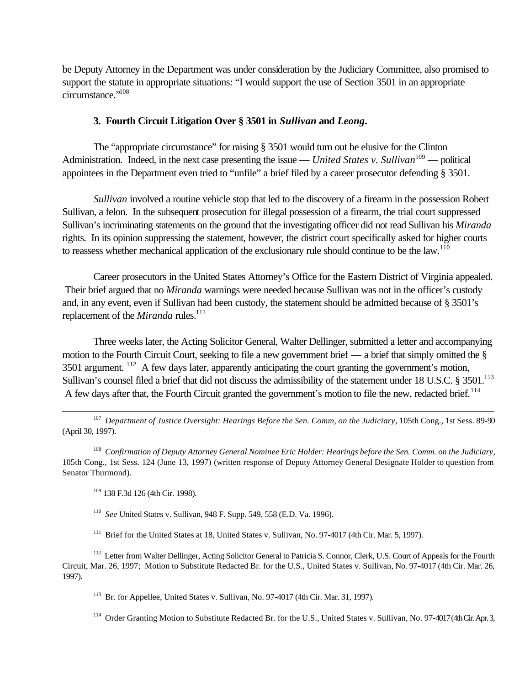be Deputy Attorney in the Department was under consideration by the Judiciary Committee, also promised to support the statute in appropriate situations: "I would support the use of Section 3501 in an appropriate circumstance."<sup>108</sup>

# **3. Fourth Circuit Litigation Over § 3501 in** *Sullivan* **and** *Leong***.**

The "appropriate circumstance" for raising § 3501 would turn out be elusive for the Clinton Administration. Indeed, in the next case presenting the issue — *United States v. Sullivan*<sup>109</sup> — political appointees in the Department even tried to "unfile" a brief filed by a career prosecutor defending § 3501.

*Sullivan* involved a routine vehicle stop that led to the discovery of a firearm in the possession Robert Sullivan, a felon. In the subsequent prosecution for illegal possession of a firearm, the trial court suppressed Sullivan's incriminating statements on the ground that the investigating officer did not read Sullivan his *Miranda* rights. In its opinion suppressing the statement, however, the district court specifically asked for higher courts to reassess whether mechanical application of the exclusionary rule should continue to be the law.<sup>110</sup>

Career prosecutors in the United States Attorney's Office for the Eastern District of Virginia appealed. Their brief argued that no *Miranda* warnings were needed because Sullivan was not in the officer's custody and, in any event, even if Sullivan had been custody, the statement should be admitted because of § 3501's replacement of the *Miranda* rules.<sup>111</sup>

Three weeks later, the Acting Solicitor General, Walter Dellinger, submitted a letter and accompanying motion to the Fourth Circuit Court, seeking to file a new government brief — a brief that simply omitted the § 3501 argument. <sup>112</sup> A few days later, apparently anticipating the court granting the government's motion, Sullivan's counsel filed a brief that did not discuss the admissibility of the statement under 18 U.S.C. § 3501.<sup>113</sup> A few days after that, the Fourth Circuit granted the government's motion to file the new, redacted brief.<sup>114</sup>

<sup>107</sup> Department of Justice Oversight: Hearings Before the Sen. Comm, on the Judiciary, 105th Cong., 1st Sess. 89-90 (April 30, 1997).

108 *Confirmation of Deputy Attorney General Nominee Eric Holder: Hearings before the Sen. Comm. on the Judiciary*, 105th Cong., 1st Sess. 124 (June 13, 1997) (written response of Deputy Attorney General Designate Holder to question from Senator Thurmond).

<sup>109</sup> 138 F.3d 126 (4th Cir. 1998).

l

110 *See* United States v. Sullivan, 948 F. Supp. 549, 558 (E.D. Va. 1996).

<sup>111</sup> Brief for the United States at 18, United States v. Sullivan, No. 97-4017 (4th Cir. Mar. 5, 1997).

<sup>112</sup> Letter from Walter Dellinger, Acting Solicitor General to Patricia S. Connor, Clerk, U.S. Court of Appeals for the Fourth Circuit, Mar. 26, 1997; Motion to Substitute Redacted Br. for the U.S., United States v. Sullivan, No. 97-4017 (4th Cir. Mar. 26, 1997).

<sup>113</sup> Br. for Appellee, United States v. Sullivan, No. 97-4017 (4th Cir. Mar. 31, 1997).

<sup>114</sup> Order Granting Motion to Substitute Redacted Br. for the U.S., United States v. Sullivan, No. 97-4017 (4th Cir. Apr. 3,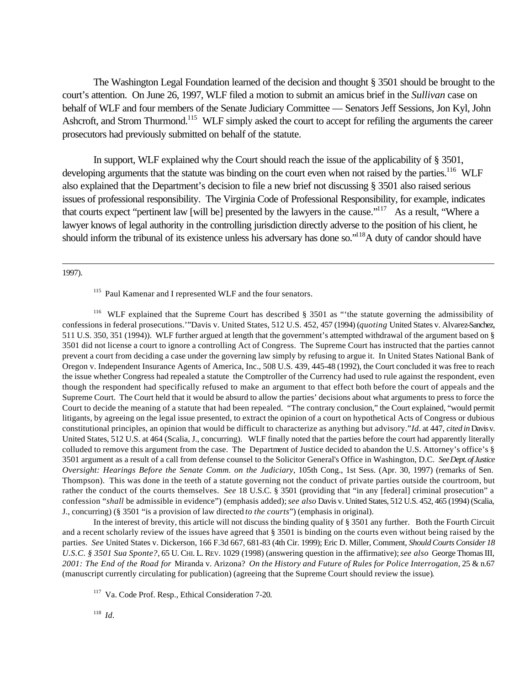The Washington Legal Foundation learned of the decision and thought § 3501 should be brought to the court's attention. On June 26, 1997, WLF filed a motion to submit an amicus brief in the *Sullivan* case on behalf of WLF and four members of the Senate Judiciary Committee — Senators Jeff Sessions, Jon Kyl, John Ashcroft, and Strom Thurmond.<sup>115</sup> WLF simply asked the court to accept for refiling the arguments the career prosecutors had previously submitted on behalf of the statute.

In support, WLF explained why the Court should reach the issue of the applicability of § 3501, developing arguments that the statute was binding on the court even when not raised by the parties.<sup>116</sup> WLF also explained that the Department's decision to file a new brief not discussing § 3501 also raised serious issues of professional responsibility. The Virginia Code of Professional Responsibility, for example, indicates that courts expect "pertinent law [will be] presented by the lawyers in the cause."<sup>117</sup> As a result, "Where a lawyer knows of legal authority in the controlling jurisdiction directly adverse to the position of his client, he should inform the tribunal of its existence unless his adversary has done so."<sup>118</sup>A duty of candor should have

#### 1997).

l

<sup>116</sup> WLF explained that the Supreme Court has described § 3501 as "the statute governing the admissibility of confessions in federal prosecutions.'"Davis v. United States, 512 U.S. 452, 457 (1994) (*quoting* United States v. Alvarez-Sanchez, 511 U.S. 350, 351 (1994)). WLF further argued at length that the government's attempted withdrawal of the argument based on § 3501 did not license a court to ignore a controlling Act of Congress. The Supreme Court has instructed that the parties cannot prevent a court from deciding a case under the governing law simply by refusing to argue it. In United States National Bank of Oregon v. Independent Insurance Agents of America, Inc., 508 U.S. 439, 445-48 (1992), the Court concluded it was free to reach the issue whether Congress had repealed a statute the Comptroller of the Currency had used to rule against the respondent, even though the respondent had specifically refused to make an argument to that effect both before the court of appeals and the Supreme Court. The Court held that it would be absurd to allow the parties' decisions about what arguments to press to force the Court to decide the meaning of a statute that had been repealed. "The contrary conclusion," the Court explained, "would permit litigants, by agreeing on the legal issue presented, to extract the opinion of a court on hypothetical Acts of Congress or dubious constitutional principles, an opinion that would be difficult to characterize as anything but advisory."*Id.* at 447, *cited in* Davis v. United States, 512 U.S. at 464 (Scalia, J., concurring). WLF finally noted that the parties before the court had apparently literally colluded to remove this argument from the case. The Department of Justice decided to abandon the U.S. Attorney's office's § 3501 argument as a result of a call from defense counsel to the Solicitor General's Office in Washington, D.C. *See Dept. of Justice Oversight: Hearings Before the Senate Comm. on the Judiciary*, 105th Cong., 1st Sess. (Apr. 30, 1997) (remarks of Sen. Thompson). This was done in the teeth of a statute governing not the conduct of private parties outside the courtroom, but rather the conduct of the courts themselves. *See* 18 U.S.C. § 3501 (providing that "in any [federal] criminal prosecution" a confession "*shall* be admissible in evidence") (emphasis added); *see also* Davis v. United States, 512 U.S. 452, 465 (1994) (Scalia, J., concurring) (§ 3501 "is a provision of law directed *to the courts*") (emphasis in original).

In the interest of brevity, this article will not discuss the binding quality of § 3501 any further. Both the Fourth Circuit and a recent scholarly review of the issues have agreed that § 3501 is binding on the courts even without being raised by the parties. *See* United States v. Dickerson, 166 F.3d 667, 681-83 (4th Cir. 1999); Eric D. Miller, Comment, *Should Courts Consider 18 U.S.C. § 3501 Sua Sponte?*, 65 U. CHI. L. REV. 1029 (1998) (answering question in the affirmative); *see also* George Thomas III, *2001: The End of the Road for* Miranda v. Arizona? *On the History and Future of Rules for Police Interrogation*, 25 & n.67 (manuscript currently circulating for publication) (agreeing that the Supreme Court should review the issue).

<sup>117</sup> Va. Code Prof. Resp., Ethical Consideration 7-20.

118 *Id.*

<sup>&</sup>lt;sup>115</sup> Paul Kamenar and I represented WLF and the four senators.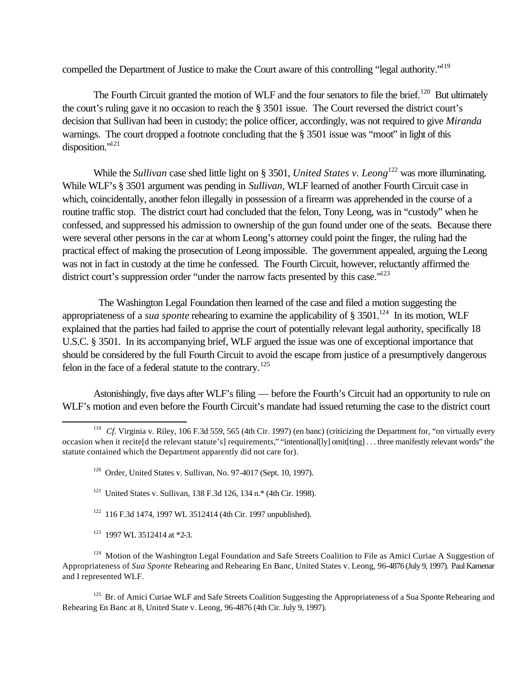compelled the Department of Justice to make the Court aware of this controlling "legal authority."<sup>119</sup>

The Fourth Circuit granted the motion of WLF and the four senators to file the brief.<sup>120</sup> But ultimately the court's ruling gave it no occasion to reach the § 3501 issue. The Court reversed the district court's decision that Sullivan had been in custody; the police officer, accordingly, was not required to give *Miranda*  warnings. The court dropped a footnote concluding that the § 3501 issue was "moot" in light of this disposition."<sup>121</sup>

While the *Sullivan* case shed little light on § 3501, *United States v. Leong*<sup>122</sup> was more illuminating. While WLF's § 3501 argument was pending in *Sullivan*, WLF learned of another Fourth Circuit case in which, coincidentally, another felon illegally in possession of a firearm was apprehended in the course of a routine traffic stop. The district court had concluded that the felon, Tony Leong, was in "custody" when he confessed, and suppressed his admission to ownership of the gun found under one of the seats. Because there were several other persons in the car at whom Leong's attorney could point the finger, the ruling had the practical effect of making the prosecution of Leong impossible. The government appealed, arguing the Leong was not in fact in custody at the time he confessed. The Fourth Circuit, however, reluctantly affirmed the district court's suppression order "under the narrow facts presented by this case."<sup>123</sup>

 The Washington Legal Foundation then learned of the case and filed a motion suggesting the appropriateness of a *sua sponte* rehearing to examine the applicability of  $\S 3501$ .<sup>124</sup> In its motion, WLF explained that the parties had failed to apprise the court of potentially relevant legal authority, specifically 18 U.S.C. § 3501. In its accompanying brief, WLF argued the issue was one of exceptional importance that should be considered by the full Fourth Circuit to avoid the escape from justice of a presumptively dangerous felon in the face of a federal statute to the contrary.<sup>125</sup>

Astonishingly, five days after WLF's filing — before the Fourth's Circuit had an opportunity to rule on WLF's motion and even before the Fourth Circuit's mandate had issued returning the case to the district court

- <sup>121</sup> United States v. Sullivan, 138 F.3d 126, 134 n.\* (4th Cir. 1998).
- <sup>122</sup> 116 F.3d 1474, 1997 WL 3512414 (4th Cir. 1997 unpublished).
- <sup>123</sup> 1997 WL 3512414 at \*2-3.

l

<sup>124</sup> Motion of the Washington Legal Foundation and Safe Streets Coalition to File as Amici Curiae A Suggestion of Appropriateness of *Sua Sponte* Rehearing and Rehearing En Banc, United States v. Leong, 96-4876 (July 9, 1997). Paul Kamenar and I represented WLF.

<sup>125</sup> Br. of Amici Curiae WLF and Safe Streets Coalition Suggesting the Appropriateness of a Sua Sponte Rehearing and Rehearing En Banc at 8, United State v. Leong, 96-4876 (4th Cir. July 9, 1997).

<sup>&</sup>lt;sup>119</sup> *Cf.* Virginia v. Riley, 106 F.3d 559, 565 (4th Cir. 1997) (en banc) (criticizing the Department for, "on virtually every occasion when it recite[d the relevant statute's] requirements," "intentional[ly] omit[ting] . . . three manifestly relevant words" the statute contained which the Department apparently did not care for).

 $120$  Order, United States v. Sullivan, No. 97-4017 (Sept. 10, 1997).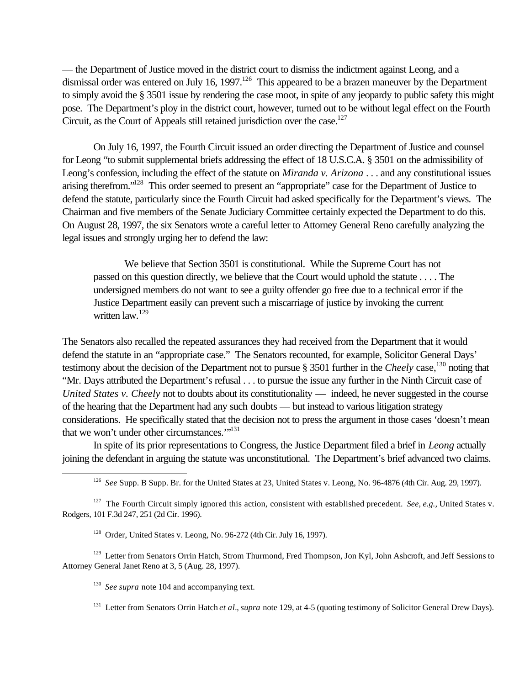— the Department of Justice moved in the district court to dismiss the indictment against Leong, and a dismissal order was entered on July 16, 1997.<sup>126</sup> This appeared to be a brazen maneuver by the Department to simply avoid the § 3501 issue by rendering the case moot, in spite of any jeopardy to public safety this might pose. The Department's ploy in the district court, however, turned out to be without legal effect on the Fourth Circuit, as the Court of Appeals still retained jurisdiction over the case.<sup>127</sup>

On July 16, 1997, the Fourth Circuit issued an order directing the Department of Justice and counsel for Leong "to submit supplemental briefs addressing the effect of 18 U.S.C.A. § 3501 on the admissibility of Leong's confession, including the effect of the statute on *Miranda v. Arizona* . . . and any constitutional issues arising therefrom."<sup>128</sup> This order seemed to present an "appropriate" case for the Department of Justice to defend the statute, particularly since the Fourth Circuit had asked specifically for the Department's views. The Chairman and five members of the Senate Judiciary Committee certainly expected the Department to do this. On August 28, 1997, the six Senators wrote a careful letter to Attorney General Reno carefully analyzing the legal issues and strongly urging her to defend the law:

We believe that Section 3501 is constitutional. While the Supreme Court has not passed on this question directly, we believe that the Court would uphold the statute . . . . The undersigned members do not want to see a guilty offender go free due to a technical error if the Justice Department easily can prevent such a miscarriage of justice by invoking the current written law.<sup>129</sup>

The Senators also recalled the repeated assurances they had received from the Department that it would defend the statute in an "appropriate case." The Senators recounted, for example, Solicitor General Days' testimony about the decision of the Department not to pursue § 3501 further in the *Cheely* case,<sup>130</sup> noting that "Mr. Days attributed the Department's refusal . . . to pursue the issue any further in the Ninth Circuit case of *United States v. Cheely* not to doubts about its constitutionality — indeed, he never suggested in the course of the hearing that the Department had any such doubts — but instead to various litigation strategy considerations. He specifically stated that the decision not to press the argument in those cases 'doesn't mean that we won't under other circumstances."<sup>131</sup>

In spite of its prior representations to Congress, the Justice Department filed a brief in *Leong* actually joining the defendant in arguing the statute was unconstitutional. The Department's brief advanced two claims.

<sup>126</sup> See Supp. B Supp. Br. for the United States at 23, United States v. Leong, No. 96-4876 (4th Cir. Aug. 29, 1997).

<sup>127</sup> The Fourth Circuit simply ignored this action, consistent with established precedent. *See, e.g.,* United States v. Rodgers, 101 F.3d 247, 251 (2d Cir. 1996).

<sup>128</sup> Order, United States v. Leong, No. 96-272 (4th Cir. July 16, 1997).

<sup>129</sup> Letter from Senators Orrin Hatch, Strom Thurmond, Fred Thompson, Jon Kyl, John Ashcroft, and Jeff Sessions to Attorney General Janet Reno at 3, 5 (Aug. 28, 1997).

<sup>130</sup> See supra note 104 and accompanying text.

l

<sup>131</sup> Letter from Senators Orrin Hatch *et al.*, *supra* note 129, at 4-5 (quoting testimony of Solicitor General Drew Days).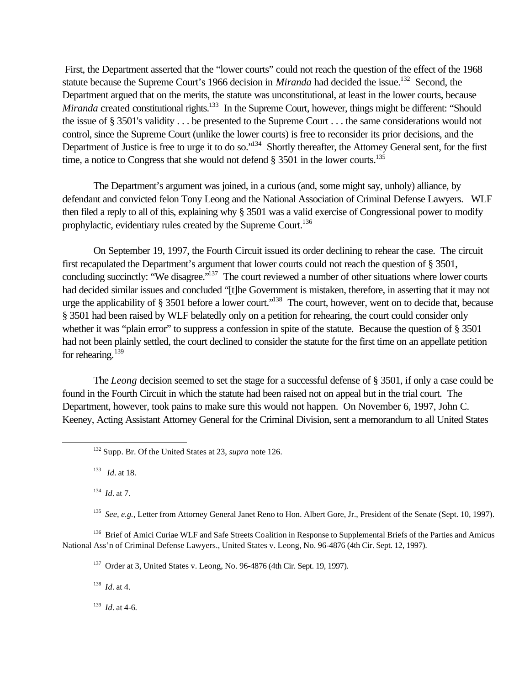First, the Department asserted that the "lower courts" could not reach the question of the effect of the 1968 statute because the Supreme Court's 1966 decision in *Miranda* had decided the issue.<sup>132</sup> Second, the Department argued that on the merits, the statute was unconstitutional, at least in the lower courts, because *Miranda* created constitutional rights.<sup>133</sup> In the Supreme Court, however, things might be different: "Should the issue of § 3501's validity . . . be presented to the Supreme Court . . . the same considerations would not control, since the Supreme Court (unlike the lower courts) is free to reconsider its prior decisions, and the Department of Justice is free to urge it to do so."<sup>134</sup> Shortly thereafter, the Attorney General sent, for the first time, a notice to Congress that she would not defend  $\S$  3501 in the lower courts.<sup>135</sup>

The Department's argument was joined, in a curious (and, some might say, unholy) alliance, by defendant and convicted felon Tony Leong and the National Association of Criminal Defense Lawyers. WLF then filed a reply to all of this, explaining why § 3501 was a valid exercise of Congressional power to modify prophylactic, evidentiary rules created by the Supreme Court.<sup>136</sup>

On September 19, 1997, the Fourth Circuit issued its order declining to rehear the case. The circuit first recapulated the Department's argument that lower courts could not reach the question of § 3501, concluding succinctly: "We disagree."<sup>137</sup> The court reviewed a number of other situations where lower courts had decided similar issues and concluded "[t]he Government is mistaken, therefore, in asserting that it may not urge the applicability of § 3501 before a lower court."<sup>138</sup> The court, however, went on to decide that, because § 3501 had been raised by WLF belatedly only on a petition for rehearing, the court could consider only whether it was "plain error" to suppress a confession in spite of the statute. Because the question of § 3501 had not been plainly settled, the court declined to consider the statute for the first time on an appellate petition for rehearing. $139$ 

The *Leong* decision seemed to set the stage for a successful defense of § 3501, if only a case could be found in the Fourth Circuit in which the statute had been raised not on appeal but in the trial court. The Department, however, took pains to make sure this would not happen. On November 6, 1997, John C. Keeney, Acting Assistant Attorney General for the Criminal Division, sent a memorandum to all United States

133 *Id.* at 18.

l

134 *Id.* at 7.

<sup>135</sup> See, e.g., Letter from Attorney General Janet Reno to Hon. Albert Gore, Jr., President of the Senate (Sept. 10, 1997).

<sup>136</sup> Brief of Amici Curiae WLF and Safe Streets Coalition in Response to Supplemental Briefs of the Parties and Amicus National Ass'n of Criminal Defense Lawyers., United States v. Leong, No. 96-4876 (4th Cir. Sept. 12, 1997).

<sup>137</sup> Order at 3, United States v. Leong, No. 96-4876 (4th Cir. Sept. 19, 1997).

138 *Id.* at 4.

 $139$  *Id.* at 4-6.

<sup>132</sup> Supp. Br. Of the United States at 23, *supra* note 126.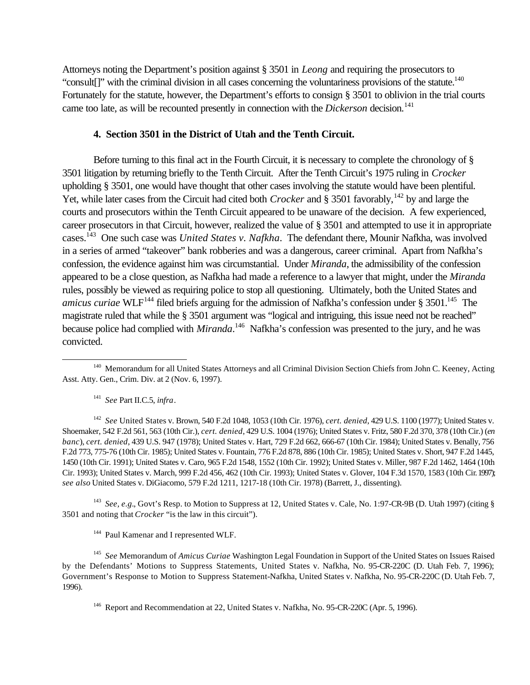Attorneys noting the Department's position against § 3501 in *Leong* and requiring the prosecutors to "consult[]" with the criminal division in all cases concerning the voluntariness provisions of the statute.<sup>140</sup> Fortunately for the statute, however, the Department's efforts to consign § 3501 to oblivion in the trial courts came too late, as will be recounted presently in connection with the *Dickerson* decision.<sup>141</sup>

### **4. Section 3501 in the District of Utah and the Tenth Circuit.**

Before turning to this final act in the Fourth Circuit, it is necessary to complete the chronology of § 3501 litigation by returning briefly to the Tenth Circuit. After the Tenth Circuit's 1975 ruling in *Crocker* upholding § 3501, one would have thought that other cases involving the statute would have been plentiful. Yet, while later cases from the Circuit had cited both *Crocker* and § 3501 favorably,<sup>142</sup> by and large the courts and prosecutors within the Tenth Circuit appeared to be unaware of the decision. A few experienced, career prosecutors in that Circuit, however, realized the value of § 3501 and attempted to use it in appropriate cases.<sup>143</sup> One such case was *United States v. Nafkha*. The defendant there, Mounir Nafkha, was involved in a series of armed "takeover" bank robberies and was a dangerous, career criminal. Apart from Nafkha's confession, the evidence against him was circumstantial. Under *Miranda*, the admissibility of the confession appeared to be a close question, as Nafkha had made a reference to a lawyer that might, under the *Miranda* rules, possibly be viewed as requiring police to stop all questioning. Ultimately, both the United States and *amicus curiae* WLF<sup>144</sup> filed briefs arguing for the admission of Nafkha's confession under § 3501.<sup>145</sup> The magistrate ruled that while the § 3501 argument was "logical and intriguing, this issue need not be reached" because police had complied with *Miranda*.<sup>146</sup> Nafkha's confession was presented to the jury, and he was convicted.

141 *See* Part II.C.5, *infra*.

l

142 *See* United States v. Brown, 540 F.2d 1048, 1053 (10th Cir. 1976), *cert. denied*, 429 U.S. 1100 (1977); United States v. Shoemaker, 542 F.2d 561, 563 (10th Cir.), *cert. denied*, 429 U.S. 1004 (1976); United States v. Fritz, 580 F.2d 370, 378 (10th Cir.) (*en banc*), *cert. denied*, 439 U.S. 947 (1978); United States v. Hart, 729 F.2d 662, 666-67 (10th Cir. 1984); United States v. Benally, 756 F.2d 773, 775-76 (10th Cir. 1985); United States v. Fountain, 776 F.2d 878, 886 (10th Cir. 1985); United States v. Short, 947 F.2d 1445, 1450 (10th Cir. 1991); United States v. Caro, 965 F.2d 1548, 1552 (10th Cir. 1992); United States v. Miller, 987 F.2d 1462, 1464 (10th Cir. 1993); United States v. March, 999 F.2d 456, 462 (10th Cir. 1993); United States v. Glover, 104 F.3d 1570, 1583 (10th Cir. 1997); *see also* United States v. DiGiacomo, 579 F.2d 1211, 1217-18 (10th Cir. 1978) (Barrett, J., dissenting).

<sup>143</sup> See, e.g., Govt's Resp. to Motion to Suppress at 12, United States v. Cale, No. 1:97-CR-9B (D. Utah 1997) (citing § 3501 and noting that *Crocker* "is the law in this circuit").

<sup>144</sup> Paul Kamenar and I represented WLF.

145 *See* Memorandum of *Amicus Curiae* Washington Legal Foundation in Support of the United States on Issues Raised by the Defendants' Motions to Suppress Statements, United States v. Nafkha, No. 95-CR-220C (D. Utah Feb. 7, 1996); Government's Response to Motion to Suppress Statement-Nafkha, United States v. Nafkha, No. 95-CR-220C (D. Utah Feb. 7, 1996).

<sup>&</sup>lt;sup>140</sup> Memorandum for all United States Attorneys and all Criminal Division Section Chiefs from John C. Keeney, Acting Asst. Atty. Gen., Crim. Div. at 2 (Nov. 6, 1997).

<sup>&</sup>lt;sup>146</sup> Report and Recommendation at 22, United States v. Nafkha, No. 95-CR-220C (Apr. 5, 1996).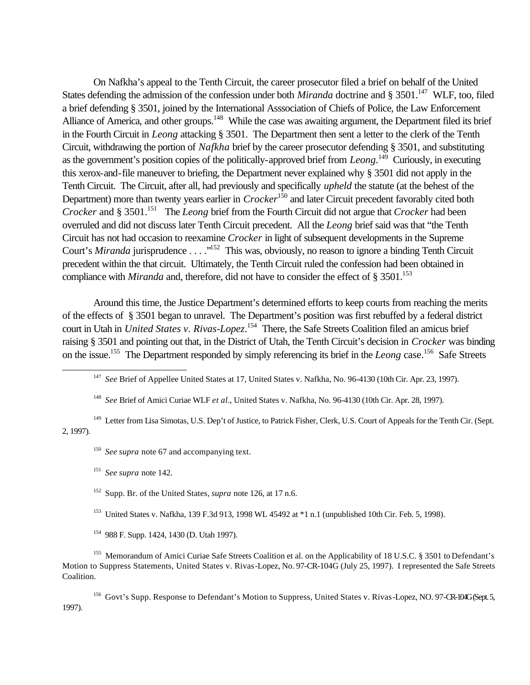On Nafkha's appeal to the Tenth Circuit, the career prosecutor filed a brief on behalf of the United States defending the admission of the confession under both *Miranda* doctrine and § 3501.<sup>147</sup> WLF, too, filed a brief defending § 3501, joined by the International Asssociation of Chiefs of Police, the Law Enforcement Alliance of America, and other groups.<sup>148</sup> While the case was awaiting argument, the Department filed its brief in the Fourth Circuit in *Leong* attacking § 3501. The Department then sent a letter to the clerk of the Tenth Circuit, withdrawing the portion of *Nafkha* brief by the career prosecutor defending § 3501, and substituting as the government's position copies of the politically-approved brief from *Leong*.<sup>149</sup> Curiously, in executing this xerox-and-file maneuver to briefing, the Department never explained why § 3501 did not apply in the Tenth Circuit. The Circuit, after all, had previously and specifically *upheld* the statute (at the behest of the Department) more than twenty years earlier in *Crocker*<sup>150</sup> and later Circuit precedent favorably cited both *Crocker* and § 3501.<sup>151</sup> The *Leong* brief from the Fourth Circuit did not argue that *Crocker* had been overruled and did not discuss later Tenth Circuit precedent. All the *Leong* brief said was that "the Tenth Circuit has not had occasion to reexamine *Crocker* in light of subsequent developments in the Supreme Court's *Miranda* jurisprudence . . . .<sup>"152</sup> This was, obviously, no reason to ignore a binding Tenth Circuit precedent within the that circuit. Ultimately, the Tenth Circuit ruled the confession had been obtained in compliance with *Miranda* and, therefore, did not have to consider the effect of  $\S 3501$ .<sup>153</sup>

Around this time, the Justice Department's determined efforts to keep courts from reaching the merits of the effects of § 3501 began to unravel. The Department's position was first rebuffed by a federal district court in Utah in *United States v. Rivas-Lopez*. <sup>154</sup> There, the Safe Streets Coalition filed an amicus brief raising § 3501 and pointing out that, in the District of Utah, the Tenth Circuit's decision in *Crocker* was binding on the issue.<sup>155</sup> The Department responded by simply referencing its brief in the *Leong* case.<sup>156</sup> Safe Streets

<sup>147</sup> See Brief of Appellee United States at 17, United States v. Nafkha, No. 96-4130 (10th Cir. Apr. 23, 1997).

148 *See* Brief of Amici Curiae WLF *et al.*, United States v. Nafkha, No. 96-4130 (10th Cir. Apr. 28, 1997).

<sup>149</sup> Letter from Lisa Simotas, U.S. Dep't of Justice, to Patrick Fisher, Clerk, U.S. Court of Appeals for the Tenth Cir. (Sept. 2, 1997).

<sup>150</sup> See supra note 67 and accompanying text.

151 *See supra* note 142.

l

<sup>152</sup> Supp. Br. of the United States, *supra* note 126, at 17 n.6.

<sup>153</sup> United States v. Nafkha, 139 F.3d 913, 1998 WL 45492 at \*1 n.1 (unpublished 10th Cir. Feb. 5, 1998).

<sup>154</sup> 988 F. Supp. 1424, 1430 (D. Utah 1997).

<sup>155</sup> Memorandum of Amici Curiae Safe Streets Coalition et al. on the Applicability of 18 U.S.C. § 3501 to Defendant's Motion to Suppress Statements, United States v. Rivas-Lopez, No. 97-CR-104G (July 25, 1997). I represented the Safe Streets Coalition.

<sup>156</sup> Govt's Supp. Response to Defendant's Motion to Suppress, United States v. Rivas-Lopez, NO. 97-CR-104G (Sept. 5, 1997).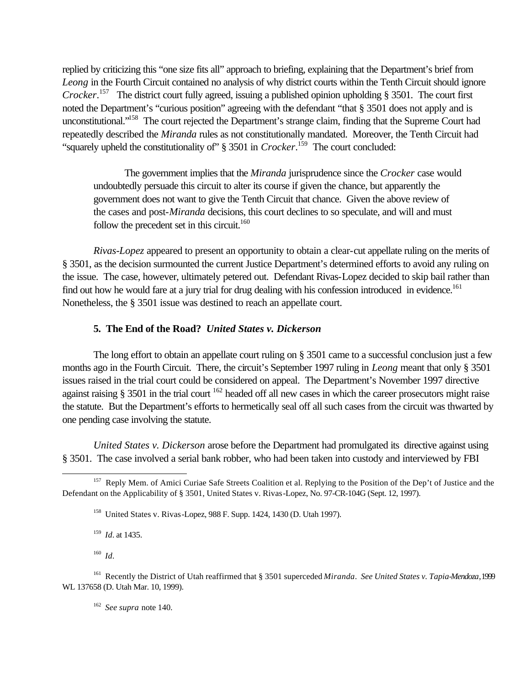replied by criticizing this "one size fits all" approach to briefing, explaining that the Department's brief from *Leong* in the Fourth Circuit contained no analysis of why district courts within the Tenth Circuit should ignore *Crocker*. <sup>157</sup> The district court fully agreed, issuing a published opinion upholding § 3501. The court first noted the Department's "curious position" agreeing with the defendant "that § 3501 does not apply and is unconstitutional."<sup>158</sup> The court rejected the Department's strange claim, finding that the Supreme Court had repeatedly described the *Miranda* rules as not constitutionally mandated. Moreover, the Tenth Circuit had "squarely upheld the constitutionality of" § 3501 in *Crocker*. <sup>159</sup> The court concluded:

The government implies that the *Miranda* jurisprudence since the *Crocker* case would undoubtedly persuade this circuit to alter its course if given the chance, but apparently the government does not want to give the Tenth Circuit that chance. Given the above review of the cases and post-*Miranda* decisions, this court declines to so speculate, and will and must follow the precedent set in this circuit. $160$ 

*Rivas-Lopez* appeared to present an opportunity to obtain a clear-cut appellate ruling on the merits of § 3501, as the decision surmounted the current Justice Department's determined efforts to avoid any ruling on the issue. The case, however, ultimately petered out. Defendant Rivas-Lopez decided to skip bail rather than find out how he would fare at a jury trial for drug dealing with his confession introduced in evidence.<sup>161</sup> Nonetheless, the § 3501 issue was destined to reach an appellate court.

# **5. The End of the Road?** *United States v. Dickerson*

The long effort to obtain an appellate court ruling on § 3501 came to a successful conclusion just a few months ago in the Fourth Circuit. There, the circuit's September 1997 ruling in *Leong* meant that only § 3501 issues raised in the trial court could be considered on appeal. The Department's November 1997 directive against raising  $\S 3501$  in the trial court <sup>162</sup> headed off all new cases in which the career prosecutors might raise the statute. But the Department's efforts to hermetically seal off all such cases from the circuit was thwarted by one pending case involving the statute.

*United States v. Dickerson* arose before the Department had promulgated its directive against using § 3501. The case involved a serial bank robber, who had been taken into custody and interviewed by FBI

159 *Id.* at 1435.

160 *Id.*

l

162 *See supra* note 140.

<sup>&</sup>lt;sup>157</sup> Reply Mem. of Amici Curiae Safe Streets Coalition et al. Replying to the Position of the Dep't of Justice and the Defendant on the Applicability of § 3501, United States v. Rivas-Lopez, No. 97-CR-104G (Sept. 12, 1997).

<sup>158</sup> United States v. Rivas-Lopez, 988 F. Supp. 1424, 1430 (D. Utah 1997).

<sup>161</sup> Recently the District of Utah reaffirmed that § 3501 superceded *Miranda*. *See United States v. Tapia-Mendoza*, 1999 WL 137658 (D. Utah Mar. 10, 1999).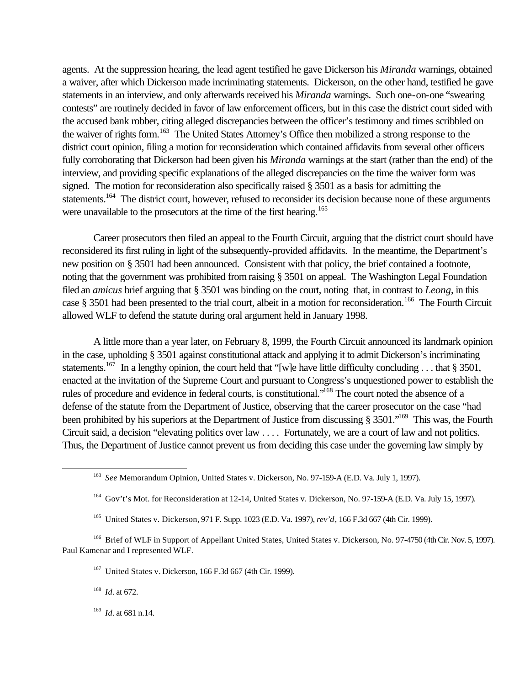agents. At the suppression hearing, the lead agent testified he gave Dickerson his *Miranda* warnings, obtained a waiver, after which Dickerson made incriminating statements. Dickerson, on the other hand, testified he gave statements in an interview, and only afterwards received his *Miranda* warnings. Such one-on-one "swearing contests" are routinely decided in favor of law enforcement officers, but in this case the district court sided with the accused bank robber, citing alleged discrepancies between the officer's testimony and times scribbled on the waiver of rights form.<sup>163</sup> The United States Attorney's Office then mobilized a strong response to the district court opinion, filing a motion for reconsideration which contained affidavits from several other officers fully corroborating that Dickerson had been given his *Miranda* warnings at the start (rather than the end) of the interview, and providing specific explanations of the alleged discrepancies on the time the waiver form was signed. The motion for reconsideration also specifically raised § 3501 as a basis for admitting the statements.<sup>164</sup> The district court, however, refused to reconsider its decision because none of these arguments were unavailable to the prosecutors at the time of the first hearing.<sup>165</sup>

Career prosecutors then filed an appeal to the Fourth Circuit, arguing that the district court should have reconsidered its first ruling in light of the subsequently-provided affidavits. In the meantime, the Department's new position on § 3501 had been announced. Consistent with that policy, the brief contained a footnote, noting that the government was prohibited from raising § 3501 on appeal. The Washington Legal Foundation filed an *amicus* brief arguing that § 3501 was binding on the court, noting that, in contrast to *Leong*, in this case § 3501 had been presented to the trial court, albeit in a motion for reconsideration.<sup>166</sup> The Fourth Circuit allowed WLF to defend the statute during oral argument held in January 1998.

A little more than a year later, on February 8, 1999, the Fourth Circuit announced its landmark opinion in the case, upholding § 3501 against constitutional attack and applying it to admit Dickerson's incriminating statements.<sup>167</sup> In a lengthy opinion, the court held that "[w]e have little difficulty concluding . . . that § 3501, enacted at the invitation of the Supreme Court and pursuant to Congress's unquestioned power to establish the rules of procedure and evidence in federal courts, is constitutional."<sup>168</sup> The court noted the absence of a defense of the statute from the Department of Justice, observing that the career prosecutor on the case "had been prohibited by his superiors at the Department of Justice from discussing § 3501."<sup>169</sup> This was, the Fourth Circuit said, a decision "elevating politics over law . . . . Fortunately, we are a court of law and not politics. Thus, the Department of Justice cannot prevent us from deciding this case under the governing law simply by

168 *Id.* at 672.

l

169 *Id.* at 681 n.14.

<sup>163</sup> *See* Memorandum Opinion, United States v. Dickerson, No. 97-159-A (E.D. Va. July 1, 1997).

<sup>&</sup>lt;sup>164</sup> Gov't's Mot. for Reconsideration at 12-14, United States v. Dickerson, No. 97-159-A (E.D. Va. July 15, 1997).

<sup>165</sup> United States v. Dickerson, 971 F. Supp. 1023 (E.D. Va. 1997), *rev'd*, 166 F.3d 667 (4th Cir. 1999).

<sup>&</sup>lt;sup>166</sup> Brief of WLF in Support of Appellant United States, United States v. Dickerson, No. 97-4750 (4th Cir. Nov. 5, 1997). Paul Kamenar and I represented WLF.

<sup>167</sup> United States v. Dickerson, 166 F.3d 667 (4th Cir. 1999).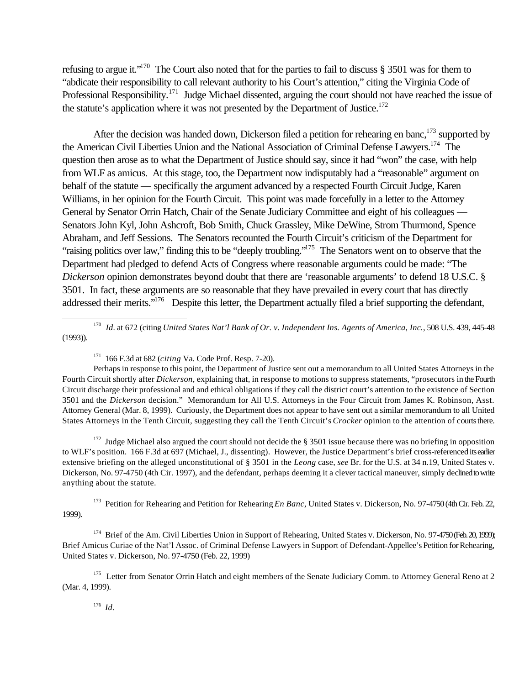refusing to argue it."<sup>170</sup> The Court also noted that for the parties to fail to discuss § 3501 was for them to "abdicate their responsibility to call relevant authority to his Court's attention," citing the Virginia Code of Professional Responsibility.<sup>171</sup> Judge Michael dissented, arguing the court should not have reached the issue of the statute's application where it was not presented by the Department of Justice.<sup>172</sup>

After the decision was handed down, Dickerson filed a petition for rehearing en banc,  $173$  supported by the American Civil Liberties Union and the National Association of Criminal Defense Lawyers.<sup>174</sup> The question then arose as to what the Department of Justice should say, since it had "won" the case, with help from WLF as amicus. At this stage, too, the Department now indisputably had a "reasonable" argument on behalf of the statute — specifically the argument advanced by a respected Fourth Circuit Judge, Karen Williams, in her opinion for the Fourth Circuit. This point was made forcefully in a letter to the Attorney General by Senator Orrin Hatch, Chair of the Senate Judiciary Committee and eight of his colleagues — Senators John Kyl, John Ashcroft, Bob Smith, Chuck Grassley, Mike DeWine, Strom Thurmond, Spence Abraham, and Jeff Sessions. The Senators recounted the Fourth Circuit's criticism of the Department for "raising politics over law," finding this to be "deeply troubling."<sup>175</sup> The Senators went on to observe that the Department had pledged to defend Acts of Congress where reasonable arguments could be made: "The *Dickerson* opinion demonstrates beyond doubt that there are 'reasonable arguments' to defend 18 U.S.C. § 3501. In fact, these arguments are so reasonable that they have prevailed in every court that has directly addressed their merits."<sup>176</sup> Despite this letter, the Department actually filed a brief supporting the defendant,

170 *Id.* at 672 (citing *United States Nat'l Bank of Or. v. Independent Ins. Agents of America, Inc.*, 508 U.S. 439, 445-48 (1993)).

Perhaps in response to this point, the Department of Justice sent out a memorandum to all United States Attorneys in the Fourth Circuit shortly after *Dickerson*, explaining that, in response to motions to suppress statements, "prosecutors in the Fourth Circuit discharge their professional and and ethical obligations if they call the district court's attention to the existence of Section 3501 and the *Dickerson* decision." Memorandum for All U.S. Attorneys in the Four Circuit from James K. Robinson, Asst. Attorney General (Mar. 8, 1999). Curiously, the Department does not appear to have sent out a similar memorandum to all United States Attorneys in the Tenth Circuit, suggesting they call the Tenth Circuit's *Crocker* opinion to the attention of courts there.

<sup>172</sup> Judge Michael also argued the court should not decide the  $\S$  3501 issue because there was no briefing in opposition to WLF's position. 166 F.3d at 697 (Michael, J., dissenting). However, the Justice Department's brief cross-referenced its earlier extensive briefing on the alleged unconstitutional of § 3501 in the *Leong* case, *see* Br. for the U.S. at 34 n.19, United States v. Dickerson, No. 97-4750 (4th Cir. 1997), and the defendant, perhaps deeming it a clever tactical maneuver, simply declined to write anything about the statute.

<sup>173</sup> Petition for Rehearing and Petition for Rehearing *En Banc*, United States v. Dickerson, No. 97-4750 (4th Cir. Feb. 22, 1999).

<sup>174</sup> Brief of the Am. Civil Liberties Union in Support of Rehearing, United States v. Dickerson, No. 97-4750 (Feb. 20, 1999); Brief Amicus Curiae of the Nat'l Assoc. of Criminal Defense Lawyers in Support of Defendant-Appellee's Petition for Rehearing, United States v. Dickerson, No. 97-4750 (Feb. 22, 1999)

<sup>175</sup> Letter from Senator Orrin Hatch and eight members of the Senate Judiciary Comm. to Attorney General Reno at 2 (Mar. 4, 1999).

176 *Id.*

<sup>171</sup> 166 F.3d at 682 (*citing* Va. Code Prof. Resp. 7-20).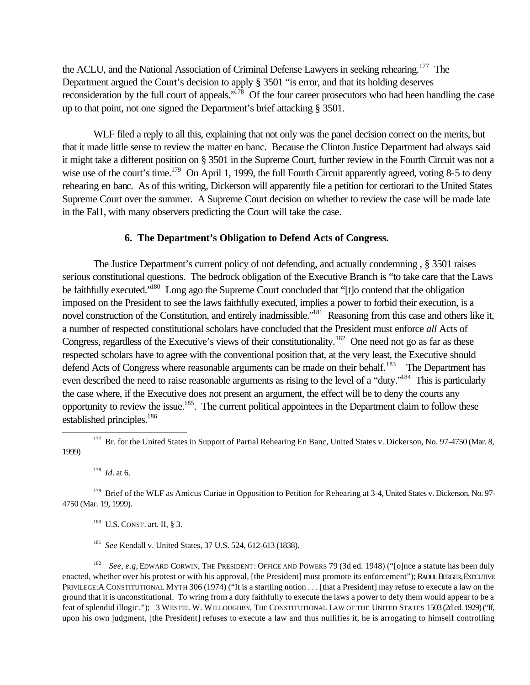the ACLU, and the National Association of Criminal Defense Lawyers in seeking rehearing.<sup>177</sup> The Department argued the Court's decision to apply § 3501 "is error, and that its holding deserves reconsideration by the full court of appeals."<sup>178</sup> Of the four career prosecutors who had been handling the case up to that point, not one signed the Department's brief attacking § 3501.

WLF filed a reply to all this, explaining that not only was the panel decision correct on the merits, but that it made little sense to review the matter en banc. Because the Clinton Justice Department had always said it might take a different position on § 3501 in the Supreme Court, further review in the Fourth Circuit was not a wise use of the court's time.<sup>179</sup> On April 1, 1999, the full Fourth Circuit apparently agreed, voting 8-5 to deny rehearing en banc. As of this writing, Dickerson will apparently file a petition for certiorari to the United States Supreme Court over the summer. A Supreme Court decision on whether to review the case will be made late in the Fal1, with many observers predicting the Court will take the case.

### **6. The Department's Obligation to Defend Acts of Congress.**

The Justice Department's current policy of not defending, and actually condemning , § 3501 raises serious constitutional questions. The bedrock obligation of the Executive Branch is "to take care that the Laws be faithfully executed."<sup>180</sup> Long ago the Supreme Court concluded that "[t]o contend that the obligation imposed on the President to see the laws faithfully executed, implies a power to forbid their execution, is a novel construction of the Constitution, and entirely inadmissible.<sup>"181</sup> Reasoning from this case and others like it, a number of respected constitutional scholars have concluded that the President must enforce *all* Acts of Congress, regardless of the Executive's views of their constitutionality.<sup>182</sup> One need not go as far as these respected scholars have to agree with the conventional position that, at the very least, the Executive should defend Acts of Congress where reasonable arguments can be made on their behalf.<sup>183</sup> The Department has even described the need to raise reasonable arguments as rising to the level of a "duty."<sup>184</sup> This is particularly the case where, if the Executive does not present an argument, the effect will be to deny the courts any opportunity to review the issue.<sup>185</sup>. The current political appointees in the Department claim to follow these established principles.<sup>186</sup>

178 *Id.* at 6.

l

 $180$  U.S. CONST. art. II, § 3.

<sup>181</sup> *See* Kendall v. United States, 37 U.S. 524, 612-613 (1838).

<sup>182</sup> See, e.g, EDWARD CORWIN, THE PRESIDENT: OFFICE AND POWERS 79 (3d ed. 1948) ("[o]nce a statute has been duly enacted, whether over his protest or with his approval, [the President] must promote its enforcement"); RAOUL BERGER, EXECUTIVE PRIVILEGE: A CONSTITUTIONAL MYTH 306 (1974) ("It is a startling notion . . . [that a President] may refuse to execute a law on the ground that it is unconstitutional. To wring from a duty faithfully to execute the laws a power to defy them would appear to be a feat of splendid illogic."); 3 WESTEL W. WILLOUGHBY, THE CONSTITUTIONAL LAW OF THE UNITED STATES 1503 (2d ed. 1929) ("If, upon his own judgment, [the President] refuses to execute a law and thus nullifies it, he is arrogating to himself controlling

<sup>&</sup>lt;sup>177</sup> Br. for the United States in Support of Partial Rehearing En Banc, United States v. Dickerson, No. 97-4750 (Mar. 8, 1999)

<sup>&</sup>lt;sup>179</sup> Brief of the WLF as Amicus Curiae in Opposition to Petition for Rehearing at 3-4, United States v. Dickerson, No. 97-4750 (Mar. 19, 1999).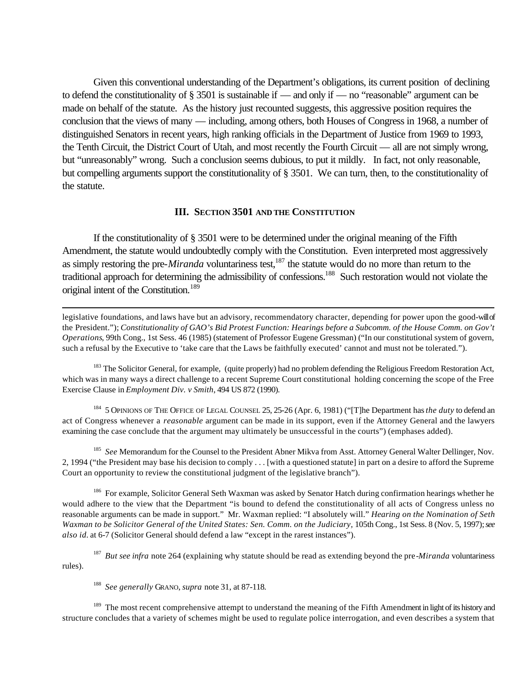Given this conventional understanding of the Department's obligations, its current position of declining to defend the constitutionality of § 3501 is sustainable if — and only if — no "reasonable" argument can be made on behalf of the statute. As the history just recounted suggests, this aggressive position requires the conclusion that the views of many — including, among others, both Houses of Congress in 1968, a number of distinguished Senators in recent years, high ranking officials in the Department of Justice from 1969 to 1993, the Tenth Circuit, the District Court of Utah, and most recently the Fourth Circuit — all are not simply wrong, but "unreasonably" wrong. Such a conclusion seems dubious, to put it mildly. In fact, not only reasonable, but compelling arguments support the constitutionality of § 3501. We can turn, then, to the constitutionality of the statute.

#### **III. SECTION 3501 AND THE CONSTITUTION**

If the constitutionality of § 3501 were to be determined under the original meaning of the Fifth Amendment, the statute would undoubtedly comply with the Constitution. Even interpreted most aggressively as simply restoring the pre-*Miranda* voluntariness test,<sup>187</sup> the statute would do no more than return to the traditional approach for determining the admissibility of confessions.<sup>188</sup> Such restoration would not violate the original intent of the Constitution.<sup>189</sup>

legislative foundations, and laws have but an advisory, recommendatory character, depending for power upon the good-will of the President."); *Constitutionality of GAO's Bid Protest Function: Hearings before a Subcomm. of the House Comm. on Gov't Operations*, 99th Cong., 1st Sess. 46 (1985) (statement of Professor Eugene Gressman) ("In our constitutional system of govern, such a refusal by the Executive to 'take care that the Laws be faithfully executed' cannot and must not be tolerated.").

<sup>183</sup> The Solicitor General, for example, (quite properly) had no problem defending the Religious Freedom Restoration Act, which was in many ways a direct challenge to a recent Supreme Court constitutional holding concerning the scope of the Free Exercise Clause in *Employment Div. v Smith*, 494 US 872 (1990).

<sup>184</sup> 5 OPINIONS OF THE OFFICE OF LEGAL COUNSEL 25, 25-26 (Apr. 6, 1981) ("[T]he Department has *the duty* to defend an act of Congress whenever a *reasonable* argument can be made in its support, even if the Attorney General and the lawyers examining the case conclude that the argument may ultimately be unsuccessful in the courts") (emphases added).

<sup>185</sup> See Memorandum for the Counsel to the President Abner Mikva from Asst. Attorney General Walter Dellinger, Nov. 2, 1994 ("the President may base his decision to comply . . . [with a questioned statute] in part on a desire to afford the Supreme Court an opportunity to review the constitutional judgment of the legislative branch").

<sup>186</sup> For example, Solicitor General Seth Waxman was asked by Senator Hatch during confirmation hearings whether he would adhere to the view that the Department "is bound to defend the constitutionality of all acts of Congress unless no reasonable arguments can be made in support." Mr. Waxman replied: "I absolutely will." *Hearing on the Nomination of Seth Waxman to be Solicitor General of the United States: Sen. Comm. on the Judiciary, 105th Cong., 1st Sess. 8 (Nov. 5, 1997); see also id.* at 6-7 (Solicitor General should defend a law "except in the rarest instances").

<sup>187</sup> But see infra note 264 (explaining why statute should be read as extending beyond the pre-*Miranda* voluntariness rules).

188 *See generally* GRANO, *supra* note 31, at 87-118.

l

<sup>189</sup> The most recent comprehensive attempt to understand the meaning of the Fifth Amendment in light of its history and structure concludes that a variety of schemes might be used to regulate police interrogation, and even describes a system that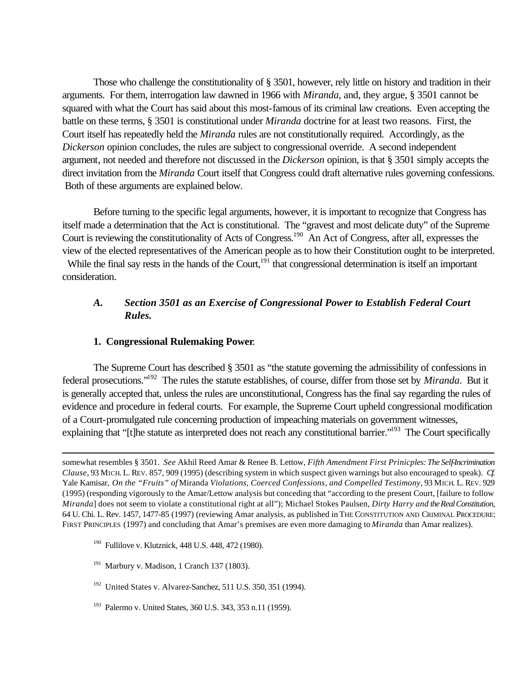Those who challenge the constitutionality of § 3501, however, rely little on history and tradition in their arguments. For them, interrogation law dawned in 1966 with *Miranda*, and, they argue, § 3501 cannot be squared with what the Court has said about this most-famous of its criminal law creations. Even accepting the battle on these terms, § 3501 is constitutional under *Miranda* doctrine for at least two reasons. First, the Court itself has repeatedly held the *Miranda* rules are not constitutionally required. Accordingly, as the *Dickerson* opinion concludes, the rules are subject to congressional override. A second independent argument, not needed and therefore not discussed in the *Dickerson* opinion, is that § 3501 simply accepts the direct invitation from the *Miranda* Court itself that Congress could draft alternative rules governing confessions. Both of these arguments are explained below.

Before turning to the specific legal arguments, however, it is important to recognize that Congress has itself made a determination that the Act is constitutional. The "gravest and most delicate duty" of the Supreme Court is reviewing the constitutionality of Acts of Congress.<sup>190</sup> An Act of Congress, after all, expresses the view of the elected representatives of the American people as to how their Constitution ought to be interpreted.

While the final say rests in the hands of the Court, $191$  that congressional determination is itself an important consideration.

# *A. Section 3501 as an Exercise of Congressional Power to Establish Federal Court Rules.*

# **1. Congressional Rulemaking Power**.

The Supreme Court has described § 3501 as "the statute governing the admissibility of confessions in federal prosecutions."<sup>192</sup> The rules the statute establishes, of course, differ from those set by *Miranda*. But it is generally accepted that, unless the rules are unconstitutional, Congress has the final say regarding the rules of evidence and procedure in federal courts. For example, the Supreme Court upheld congressional modification of a Court-promulgated rule concerning production of impeaching materials on government witnesses, explaining that "[t]he statute as interpreted does not reach any constitutional barrier."<sup>193</sup> The Court specifically

- <sup>190</sup> Fullilove v. Klutznick, 448 U.S. 448, 472 (1980).
- $191$  Marbury v. Madison, 1 Cranch 137 (1803).

- <sup>192</sup> United States v. Alvarez-Sanchez, 511 U.S. 350, 351 (1994).
- <sup>193</sup> Palermo v. United States, 360 U.S. 343, 353 n.11 (1959).

somewhat resembles § 3501. *See* Akhil Reed Amar & Renee B. Lettow, *Fifth Amendment First Prinicples: The Self-Incrimination Clause*, 93 MICH. L. REV. 857, 909 (1995) (describing system in which suspect given warnings but also encouraged to speak). *Cf.* Yale Kamisar, *On the "Fruits" of* Miranda *Violations, Coerced Confessions, and Compelled Testimony*, 93 MICH. L. REV. 929 (1995) (responding vigorously to the Amar/Lettow analysis but conceding that "according to the present Court, [failure to follow *Miranda*] does not seem to violate a constitutional right at all"); Michael Stokes Paulsen, *Dirty Harry and the Real Constitution*, 64 U. Chi. L. Rev. 1457, 1477-85 (1997) (reviewing Amar analysis, as published in THE CONSTITUTION AND CRIMINAL PROCEDURE: FIRST PRINCIPLES (1997) and concluding that Amar's premises are even more damaging to *Miranda* than Amar realizes).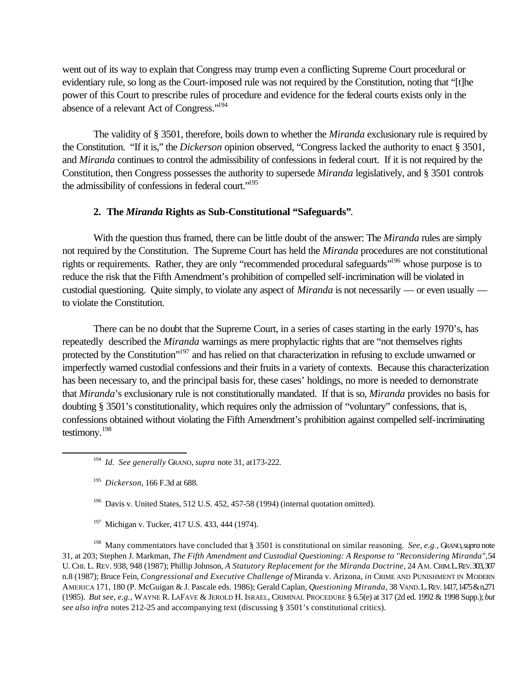went out of its way to explain that Congress may trump even a conflicting Supreme Court procedural or evidentiary rule, so long as the Court-imposed rule was not required by the Constitution, noting that "[t]he power of this Court to prescribe rules of procedure and evidence for the federal courts exists only in the absence of a relevant Act of Congress."<sup>194</sup>

The validity of § 3501, therefore, boils down to whether the *Miranda* exclusionary rule is required by the Constitution. "If it is," the *Dickerson* opinion observed, "Congress lacked the authority to enact § 3501, and *Miranda* continues to control the admissibility of confessions in federal court. If it is not required by the Constitution, then Congress possesses the authority to supersede *Miranda* legislatively, and § 3501 controls the admissibility of confessions in federal court."<sup>195</sup>

#### **2. The** *Miranda* **Rights as Sub-Constitutional "Safeguards"**.

With the question thus framed, there can be little doubt of the answer: The *Miranda* rules are simply not required by the Constitution. The Supreme Court has held the *Miranda* procedures are not constitutional rights or requirements. Rather, they are only "recommended procedural safeguards"<sup>196</sup> whose purpose is to reduce the risk that the Fifth Amendment's prohibition of compelled self-incrimination will be violated in custodial questioning. Quite simply, to violate any aspect of *Miranda* is not necessarily — or even usually to violate the Constitution.

There can be no doubt that the Supreme Court, in a series of cases starting in the early 1970's, has repeatedly described the *Miranda* warnings as mere prophylactic rights that are "not themselves rights protected by the Constitution"<sup>197</sup> and has relied on that characterization in refusing to exclude unwarned or imperfectly warned custodial confessions and their fruits in a variety of contexts. Because this characterization has been necessary to, and the principal basis for, these cases' holdings, no more is needed to demonstrate that *Miranda*'s exclusionary rule is not constitutionally mandated. If that is so, *Miranda* provides no basis for doubting § 3501's constitutionality, which requires only the admission of "voluntary" confessions, that is, confessions obtained without violating the Fifth Amendment's prohibition against compelled self-incriminating testimony.<sup>198</sup>

l

- <sup>196</sup> Davis v. United States, 512 U.S. 452, 457-58 (1994) (internal quotation omitted).
- <sup>197</sup> Michigan v. Tucker, 417 U.S. 433, 444 (1974).

<sup>198</sup> Many commentators have concluded that § 3501 is constitutional on similar reasoning. *See, e.g.,* GRANO, *supra* note 31, at 203; Stephen J. Markman, *The Fifth Amendment and Custodial Questioning: A Response to "Reconsidering Miranda"*, 54 U. CHI. L. REV. 938, 948 (1987); Phillip Johnson, *A Statutory Replacement for the Miranda Doctrine*, 24 AM. CRIM. L. REV. 303, 307 n.8 (1987); Bruce Fein, *Congressional and Executive Challenge of* Miranda v. Arizona, *in* CRIME AND PUNISHMENT IN MODERN AMERICA 171, 180 (P. McGuigan & J. Pascale eds. 1986); Gerald Caplan, *Questioning Miranda*, 38 VAND. L. REV. 1417, 1475 & n.271 (1985). *But see, e.g.,* WAYNE R. LAFAVE & JEROLD H. ISRAEL, CRIMINAL PROCEDURE § 6.5(e) at 317 (2d ed. 1992 & 1998 Supp.); *but see also infra* notes 212-25 and accompanying text (discussing § 3501's constitutional critics).

<sup>194</sup> *Id. See generally* GRANO, *supra* note 31, at173-222.

<sup>195</sup> *Dickerson*, 166 F.3d at 688.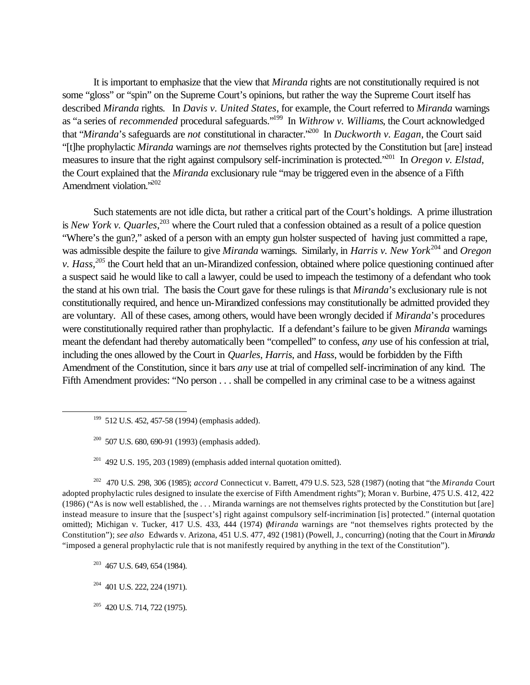It is important to emphasize that the view that *Miranda* rights are not constitutionally required is not some "gloss" or "spin" on the Supreme Court's opinions, but rather the way the Supreme Court itself has described *Miranda* rights. In *Davis v. United States*, for example, the Court referred to *Miranda* warnings as "a series of *recommended* procedural safeguards."<sup>199</sup> In *Withrow v. Williams*, the Court acknowledged that "*Miranda*'s safeguards are *not* constitutional in character."<sup>200</sup> In *Duckworth v. Eagan*, the Court said "[t]he prophylactic *Miranda* warnings are *not* themselves rights protected by the Constitution but [are] instead measures to insure that the right against compulsory self-incrimination is protected."<sup>201</sup> In *Oregon v. Elstad*, the Court explained that the *Miranda* exclusionary rule "may be triggered even in the absence of a Fifth Amendment violation."<sup>202</sup>

Such statements are not idle dicta, but rather a critical part of the Court's holdings. A prime illustration is *New York v. Quarles*, <sup>203</sup> where the Court ruled that a confession obtained as a result of a police question "Where's the gun?," asked of a person with an empty gun holster suspected of having just committed a rape, was admissible despite the failure to give *Miranda* warnings. Similarly, in *Harris v. New York*<sup>204</sup> and *Oregon v. Hass,<sup>205</sup>* the Court held that an un-Mirandized confession, obtained where police questioning continued after a suspect said he would like to call a lawyer, could be used to impeach the testimony of a defendant who took the stand at his own trial. The basis the Court gave for these rulings is that *Miranda*'s exclusionary rule is not constitutionally required, and hence un-Mirandized confessions may constitutionally be admitted provided they are voluntary. All of these cases, among others, would have been wrongly decided if *Miranda*'s procedures were constitutionally required rather than prophylactic. If a defendant's failure to be given *Miranda* warnings meant the defendant had thereby automatically been "compelled" to confess, *any* use of his confession at trial, including the ones allowed by the Court in *Quarles*, *Harris*, and *Hass*, would be forbidden by the Fifth Amendment of the Constitution, since it bars *any* use at trial of compelled self-incrimination of any kind. The Fifth Amendment provides: "No person . . . shall be compelled in any criminal case to be a witness against

 $200$  507 U.S. 680, 690-91 (1993) (emphasis added).

<sup>202</sup> 470 U.S. 298, 306 (1985); *accord* Connecticut v. Barrett, 479 U.S. 523, 528 (1987) (noting that "the *Miranda* Court adopted prophylactic rules designed to insulate the exercise of Fifth Amendment rights"); Moran v. Burbine, 475 U.S. 412, 422 (1986) ("As is now well established, the . . . Miranda warnings are not themselves rights protected by the Constitution but [are] instead measure to insure that the [suspect's] right against compulsory self-incrimination [is] protected." (internal quotation omitted); Michigan v. Tucker, 417 U.S. 433, 444 (1974) (*Miranda* warnings are "not themselves rights protected by the Constitution"); *see also* Edwards v. Arizona, 451 U.S. 477, 492 (1981) (Powell, J., concurring) (noting that the Court in *Miranda* "imposed a general prophylactic rule that is not manifestly required by anything in the text of the Constitution").

<sup>&</sup>lt;sup>199</sup> 512 U.S. 452, 457-58 (1994) (emphasis added).

 $201$  492 U.S. 195, 203 (1989) (emphasis added internal quotation omitted).

<sup>&</sup>lt;sup>203</sup> 467 U.S. 649, 654 (1984).

<sup>204</sup> 401 U.S. 222, 224 (1971).

<sup>&</sup>lt;sup>205</sup> 420 U.S. 714, 722 (1975).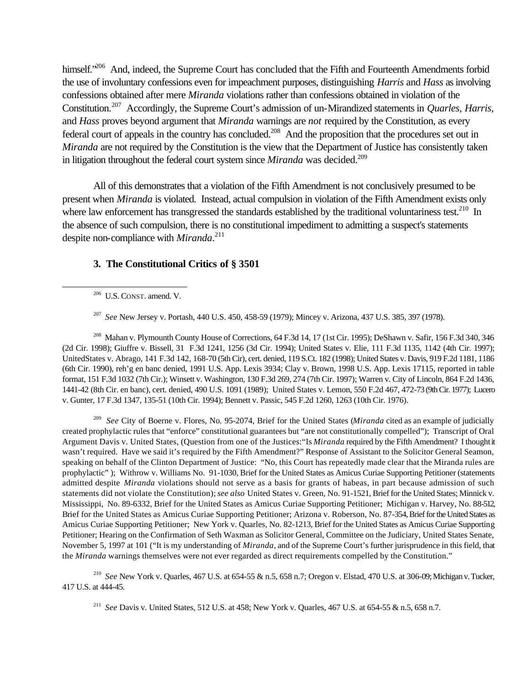himself.<sup>206</sup> And, indeed, the Supreme Court has concluded that the Fifth and Fourteenth Amendments forbid the use of involuntary confessions even for impeachment purposes, distinguishing *Harris* and *Hass* as involving confessions obtained after mere *Miranda* violations rather than confessions obtained in violation of the Constitution.<sup>207</sup> Accordingly, the Supreme Court's admission of un-Mirandized statements in *Quarles*, *Harris*, and *Hass* proves beyond argument that *Miranda* warnings are *not* required by the Constitution, as every federal court of appeals in the country has concluded.<sup>208</sup> And the proposition that the procedures set out in *Miranda* are not required by the Constitution is the view that the Department of Justice has consistently taken in litigation throughout the federal court system since *Miranda* was decided.<sup>209</sup>

All of this demonstrates that a violation of the Fifth Amendment is not conclusively presumed to be present when *Miranda* is violated. Instead, actual compulsion in violation of the Fifth Amendment exists only where law enforcement has transgressed the standards established by the traditional voluntariness test.<sup>210</sup> In the absence of such compulsion, there is no constitutional impediment to admitting a suspect's statements despite non-compliance with *Miranda*. 211

# **3. The Constitutional Critics of § 3501**

 $206$  U.S. CONST. amend. V.

l

207 *See* New Jersey v. Portash, 440 U.S. 450, 458-59 (1979); Mincey v. Arizona, 437 U.S. 385, 397 (1978).

<sup>208</sup> Mahan v. Plymounth County House of Corrections, 64 F.3d 14, 17 (1st Cir. 1995); DeShawn v. Safir, 156 F.3d 340, 346 (2d Cir. 1998); Giuffre v. Bissell, 31 F.3d 1241, 1256 (3d Cir. 1994); United States v. Elie, 111 F.3d 1135, 1142 (4th Cir. 1997); UnitedStates v. Abrago, 141 F.3d 142, 168-70 (5th Cir), cert. denied, 119 S.Ct. 182 (1998); United States v. Davis, 919 F.2d 1181, 1186 (6th Cir. 1990), reh'g en banc denied, 1991 U.S. App. Lexis 3934; Clay v. Brown, 1998 U.S. App. Lexis 17115, reported in table format, 151 F.3d 1032 (7th Cir.); Winsett v. Washington, 130 F.3d 269, 274 (7th Cir. 1997); Warren v. City of Lincoln, 864 F.2d 1436, 1441-42 (8th Cir. en banc), cert. denied, 490 U.S. 1091 (1989); United States v. Lemon, 550 F.2d 467, 472-73 (9th Cir. 1977); Lucero v. Gunter, 17 F.3d 1347, 135-51 (10th Cir. 1994); Bennett v. Passic, 545 F.2d 1260, 1263 (10th Cir. 1976).

209 *See* City of Boerne v. Flores, No. 95-2074, Brief for the United States (*Miranda* cited as an example of judicially created prophylactic rules that "enforce" constitutional guarantees but "are not constitutionally compelled"); Transcript of Oral Argument Davis v. United States, (Question from one of the Justices:"Is *Miranda* required by the Fifth Amendment? I thought it wasn't required. Have we said it's required by the Fifth Amendment?" Response of Assistant to the Solicitor General Seamon, speaking on behalf of the Clinton Department of Justice: "No, this Court has repeatedly made clear that the Miranda rules are prophylactic" ); Withrow v. Williams No. 91-1030, Brief for the United States as Amicus Curiae Supporting Petitioner (statements admitted despite *Miranda* violations should not serve as a basis for grants of habeas, in part because admission of such statements did not violate the Constitution); *see also* United States v. Green, No. 91-1521, Brief for the United States; Minnick v. Mississippi, No. 89-6332, Brief for the United States as Amicus Curiae Supporting Petitioner; Michigan v. Harvey, No. 88-512, Brief for the United States as Amicus Curiae Supporting Petitioner; Arizona v. Roberson, No. 87-354, Brief for the United States as Amicus Curiae Supporting Petitioner; New York v. Quarles, No. 82-1213, Brief for the United States as Amicus Curiae Supporting Petitioner; Hearing on the Confirmation of Seth Waxman as Solicitor General, Committee on the Judiciary, United States Senate, November 5, 1997 at 101 ("It is my understanding of *Miranda*, and of the Supreme Court's further jurisprudence in this field, that the *Miranda* warnings themselves were not ever regarded as direct requirements compelled by the Constitution."

<sup>210</sup> *See* New York v. Quarles, 467 U.S. at 654-55 & n.5, 658 n.7; Oregon v. Elstad, 470 U.S. at 306-09; Michigan v. Tucker, 417 U.S. at 444-45.

211 *See* Davis v. United States, 512 U.S. at 458; New York v. Quarles, 467 U.S. at 654-55 & n.5, 658 n.7.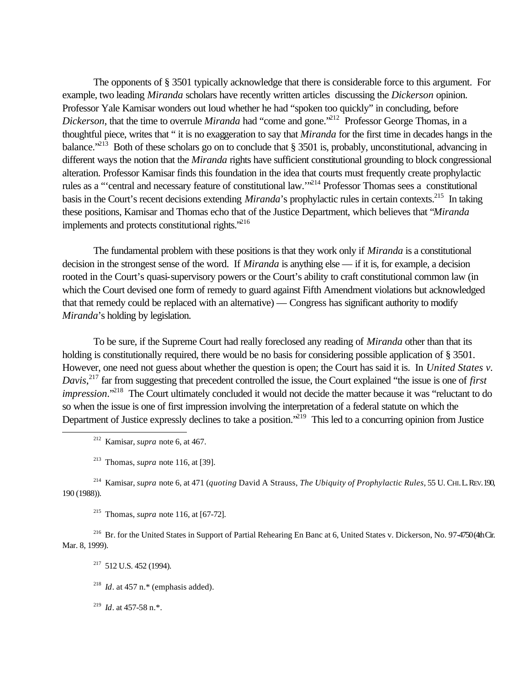The opponents of § 3501 typically acknowledge that there is considerable force to this argument. For example, two leading *Miranda* scholars have recently written articles discussing the *Dickerson* opinion. Professor Yale Kamisar wonders out loud whether he had "spoken too quickly" in concluding, before *Dickerson*, that the time to overrule *Miranda* had "come and gone."<sup>212</sup> Professor George Thomas, in a thoughtful piece, writes that " it is no exaggeration to say that *Miranda* for the first time in decades hangs in the balance."<sup>213</sup> Both of these scholars go on to conclude that § 3501 is, probably, unconstitutional, advancing in different ways the notion that the *Miranda* rights have sufficient constitutional grounding to block congressional alteration. Professor Kamisar finds this foundation in the idea that courts must frequently create prophylactic rules as a "'central and necessary feature of constitutional law.'"<sup>214</sup> Professor Thomas sees a constitutional basis in the Court's recent decisions extending *Miranda*'s prophylactic rules in certain contexts.<sup>215</sup> In taking these positions, Kamisar and Thomas echo that of the Justice Department, which believes that "*Miranda* implements and protects constitutional rights. $^{216}$ 

The fundamental problem with these positions is that they work only if *Miranda* is a constitutional decision in the strongest sense of the word. If *Miranda* is anything else — if it is, for example, a decision rooted in the Court's quasi-supervisory powers or the Court's ability to craft constitutional common law (in which the Court devised one form of remedy to guard against Fifth Amendment violations but acknowledged that that remedy could be replaced with an alternative) — Congress has significant authority to modify *Miranda*'s holding by legislation.

To be sure, if the Supreme Court had really foreclosed any reading of *Miranda* other than that its holding is constitutionally required, there would be no basis for considering possible application of § 3501. However, one need not guess about whether the question is open; the Court has said it is. In *United States v. Davis*, <sup>217</sup> far from suggesting that precedent controlled the issue, the Court explained "the issue is one of *first impression*."<sup>218</sup> The Court ultimately concluded it would not decide the matter because it was "reluctant to do so when the issue is one of first impression involving the interpretation of a federal statute on which the Department of Justice expressly declines to take a position."<sup>219</sup> This led to a concurring opinion from Justice

l

<sup>214</sup> Kamisar, *supra* note 6, at 471 (*quoting* David A Strauss, *The Ubiquity of Prophylactic Rules*, 55 U. CHI. L. REV. 190, 190 (1988)).

<sup>215</sup> Thomas, *supra* note 116, at [67-72].

<sup>216</sup> Br. for the United States in Support of Partial Rehearing En Banc at 6, United States v. Dickerson, No. 97-4750 (4th Cir. Mar. 8, 1999).

 $217$  512 U.S. 452 (1994).

<sup>218</sup> *Id*. at 457 n.\* (emphasis added).

219 *Id*. at 457-58 n.\*.

<sup>212</sup> Kamisar, *supra* note 6, at 467.

<sup>213</sup> Thomas, *supra* note 116, at [39].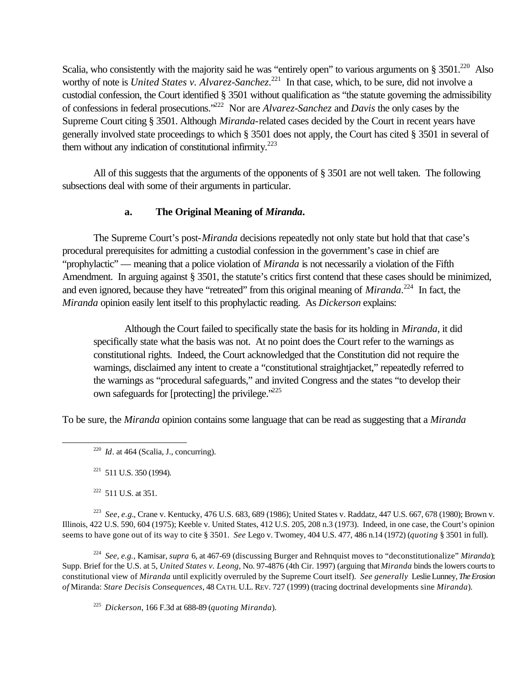Scalia, who consistently with the majority said he was "entirely open" to various arguments on  $\S 3501$ .<sup>220</sup> Also worthy of note is *United States v. Alvarez-Sanchez*.<sup>221</sup> In that case, which, to be sure, did not involve a custodial confession, the Court identified § 3501 without qualification as "the statute governing the admissibility of confessions in federal prosecutions."<sup>222</sup> Nor are *Alvarez-Sanchez* and *Davis* the only cases by the Supreme Court citing § 3501. Although *Miranda*-related cases decided by the Court in recent years have generally involved state proceedings to which § 3501 does not apply, the Court has cited § 3501 in several of them without any indication of constitutional infirmity.<sup>223</sup>

All of this suggests that the arguments of the opponents of § 3501 are not well taken. The following subsections deal with some of their arguments in particular.

# **a. The Original Meaning of** *Miranda***.**

The Supreme Court's post-*Miranda* decisions repeatedly not only state but hold that that case's procedural prerequisites for admitting a custodial confession in the government's case in chief are "prophylactic" — meaning that a police violation of *Miranda* is not necessarily a violation of the Fifth Amendment. In arguing against § 3501, the statute's critics first contend that these cases should be minimized, and even ignored, because they have "retreated" from this original meaning of *Miranda*.<sup>224</sup> In fact, the *Miranda* opinion easily lent itself to this prophylactic reading. As *Dickerson* explains:

Although the Court failed to specifically state the basis for its holding in *Miranda*, it did specifically state what the basis was not. At no point does the Court refer to the warnings as constitutional rights. Indeed, the Court acknowledged that the Constitution did not require the warnings, disclaimed any intent to create a "constitutional straightjacket," repeatedly referred to the warnings as "procedural safeguards," and invited Congress and the states "to develop their own safeguards for [protecting] the privilege.<sup>225</sup>

To be sure, the *Miranda* opinion contains some language that can be read as suggesting that a *Miranda*

 $221$  511 U.S. 350 (1994).

 $222$  511 U.S. at 351.

l

223 *See*, *e.g.*, Crane v. Kentucky, 476 U.S. 683, 689 (1986); United States v. Raddatz, 447 U.S. 667, 678 (1980); Brown v. Illinois, 422 U.S. 590, 604 (1975); Keeble v. United States, 412 U.S. 205, 208 n.3 (1973). Indeed, in one case, the Court's opinion seems to have gone out of its way to cite § 3501. *See* Lego v. Twomey, 404 U.S. 477, 486 n.14 (1972) (*quoting* § 3501 in full).

224 *See, e.g.,* Kamisar, *supra* 6, at 467-69 (discussing Burger and Rehnquist moves to "deconstitutionalize" *Miranda*); Supp. Brief for the U.S. at 5, *United States v. Leong*, No. 97-4876 (4th Cir. 1997) (arguing that *Miranda* binds the lowers courts to constitutional view of *Miranda* until explicitly overruled by the Supreme Court itself). *See generally* Leslie Lunney, *The Erosion of* Miranda: *Stare Decisis Consequences*, 48 CATH. U.L. REV. 727 (1999) (tracing doctrinal developments sine *Miranda*).

225 *Dickerson*, 166 F.3d at 688-89 (*quoting Miranda*).

 $^{220}$  *Id.* at 464 (Scalia, J., concurring).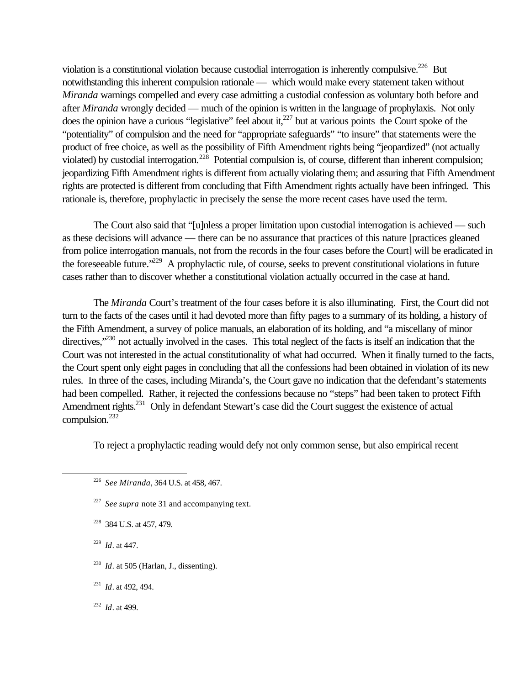violation is a constitutional violation because custodial interrogation is inherently compulsive.<sup>226</sup> But notwithstanding this inherent compulsion rationale — which would make every statement taken without *Miranda* warnings compelled and every case admitting a custodial confession as voluntary both before and after *Miranda* wrongly decided — much of the opinion is written in the language of prophylaxis. Not only does the opinion have a curious "legislative" feel about it, $^{227}$  but at various points the Court spoke of the "potentiality" of compulsion and the need for "appropriate safeguards" "to insure" that statements were the product of free choice, as well as the possibility of Fifth Amendment rights being "jeopardized" (not actually violated) by custodial interrogation.<sup>228</sup> Potential compulsion is, of course, different than inherent compulsion; jeopardizing Fifth Amendment rights is different from actually violating them; and assuring that Fifth Amendment rights are protected is different from concluding that Fifth Amendment rights actually have been infringed. This rationale is, therefore, prophylactic in precisely the sense the more recent cases have used the term.

The Court also said that "[u]nless a proper limitation upon custodial interrogation is achieved — such as these decisions will advance — there can be no assurance that practices of this nature [practices gleaned from police interrogation manuals, not from the records in the four cases before the Court] will be eradicated in the foreseeable future.<sup>329</sup> A prophylactic rule, of course, seeks to prevent constitutional violations in future cases rather than to discover whether a constitutional violation actually occurred in the case at hand.

The *Miranda* Court's treatment of the four cases before it is also illuminating. First, the Court did not turn to the facts of the cases until it had devoted more than fifty pages to a summary of its holding, a history of the Fifth Amendment, a survey of police manuals, an elaboration of its holding, and "a miscellany of minor directives,<sup>230</sup> not actually involved in the cases. This total neglect of the facts is itself an indication that the Court was not interested in the actual constitutionality of what had occurred. When it finally turned to the facts, the Court spent only eight pages in concluding that all the confessions had been obtained in violation of its new rules. In three of the cases, including Miranda's, the Court gave no indication that the defendant's statements had been compelled. Rather, it rejected the confessions because no "steps" had been taken to protect Fifth Amendment rights.<sup>231</sup> Only in defendant Stewart's case did the Court suggest the existence of actual compulsion.<sup>232</sup>

To reject a prophylactic reading would defy not only common sense, but also empirical recent

- <sup>228</sup> 384 U.S. at 457, 479.
- 229 *Id*. at 447.

- $^{230}$  *Id.* at 505 (Harlan, J., dissenting).
- <sup>231</sup> *Id*. at 492, 494.
- 232 *Id*. at 499.

<sup>226</sup> *See Miranda*, 364 U.S. at 458, 467.

<sup>&</sup>lt;sup>227</sup> See supra note 31 and accompanying text.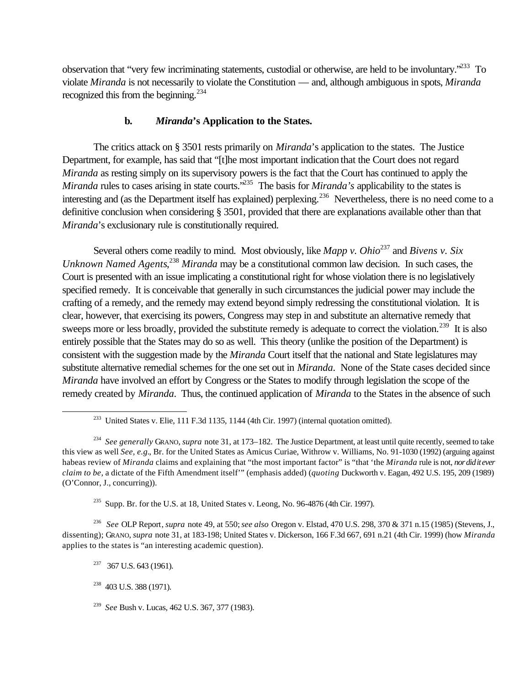observation that "very few incriminating statements, custodial or otherwise, are held to be involuntary."<sup>233</sup> To violate *Miranda* is not necessarily to violate the Constitution — and, although ambiguous in spots, *Miranda* recognized this from the beginning.<sup>234</sup>

# **b.** *Miranda***'s Application to the States.**

The critics attack on § 3501 rests primarily on *Miranda*'s application to the states. The Justice Department, for example, has said that "[t]he most important indication that the Court does not regard *Miranda* as resting simply on its supervisory powers is the fact that the Court has continued to apply the *Miranda* rules to cases arising in state courts.<sup>7235</sup> The basis for *Miranda's* applicability to the states is interesting and (as the Department itself has explained) perplexing.<sup>236</sup> Nevertheless, there is no need come to a definitive conclusion when considering § 3501, provided that there are explanations available other than that *Miranda*'s exclusionary rule is constitutionally required.

Several others come readily to mind. Most obviously, like *Mapp v. Ohio*<sup>237</sup> and *Bivens v. Six Unknown Named Agents*, <sup>238</sup> *Miranda* may be a constitutional common law decision. In such cases, the Court is presented with an issue implicating a constitutional right for whose violation there is no legislatively specified remedy. It is conceivable that generally in such circumstances the judicial power may include the crafting of a remedy, and the remedy may extend beyond simply redressing the constitutional violation. It is clear, however, that exercising its powers, Congress may step in and substitute an alternative remedy that sweeps more or less broadly, provided the substitute remedy is adequate to correct the violation.<sup>239</sup> It is also entirely possible that the States may do so as well. This theory (unlike the position of the Department) is consistent with the suggestion made by the *Miranda* Court itself that the national and State legislatures may substitute alternative remedial schemes for the one set out in *Miranda*. None of the State cases decided since *Miranda* have involved an effort by Congress or the States to modify through legislation the scope of the remedy created by *Miranda*. Thus, the continued application of *Miranda* to the States in the absence of such

 $235$  Supp. Br. for the U.S. at 18, United States v. Leong, No. 96-4876 (4th Cir. 1997).

236 *See* OLP Report, *supra* note 49, at 550; *see also* Oregon v. Elstad, 470 U.S. 298, 370 & 371 n.15 (1985) (Stevens, J., dissenting); GRANO, *supra* note 31, at 183-198; United States v. Dickerson, 166 F.3d 667, 691 n.21 (4th Cir. 1999) (how *Miranda* applies to the states is "an interesting academic question).

 $237$  367 U.S. 643 (1961).

<sup>&</sup>lt;sup>233</sup> United States v. Elie, 111 F.3d 1135, 1144 (4th Cir. 1997) (internal quotation omitted).

<sup>234</sup> *See generally* GRANO, *supra* note 31, at 173–182. The Justice Department, at least until quite recently, seemed to take this view as well *See, e.g.*, Br. for the United States as Amicus Curiae, Withrow v. Williams, No. 91-1030 (1992) (arguing against habeas review of *Miranda* claims and explaining that "the most important factor" is "that 'the *Miranda* rule is not, *nor did it ever claim to be*, a dictate of the Fifth Amendment itself'" (emphasis added) (*quoting* Duckworth v. Eagan, 492 U.S. 195, 209 (1989) (O'Connor, J., concurring)).

<sup>&</sup>lt;sup>238</sup> 403 U.S. 388 (1971).

<sup>239</sup> *See* Bush v. Lucas, 462 U.S. 367, 377 (1983).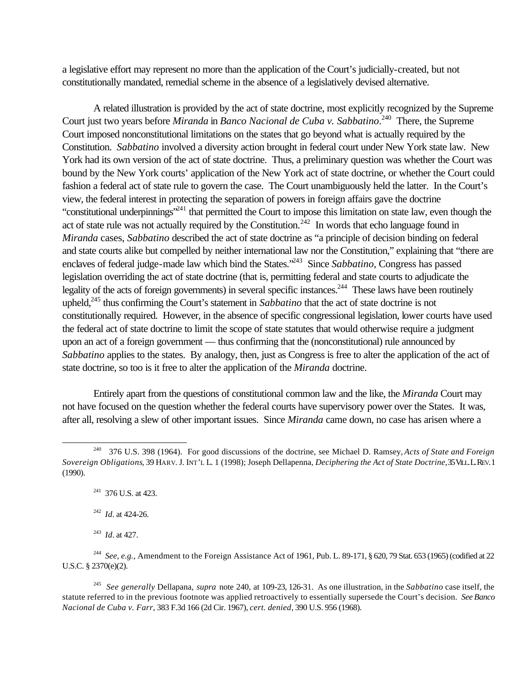a legislative effort may represent no more than the application of the Court's judicially-created, but not constitutionally mandated, remedial scheme in the absence of a legislatively devised alternative.

A related illustration is provided by the act of state doctrine, most explicitly recognized by the Supreme Court just two years before *Miranda* in *Banco Nacional de Cuba v. Sabbatino*. <sup>240</sup> There, the Supreme Court imposed nonconstitutional limitations on the states that go beyond what is actually required by the Constitution. *Sabbatino* involved a diversity action brought in federal court under New York state law. New York had its own version of the act of state doctrine. Thus, a preliminary question was whether the Court was bound by the New York courts' application of the New York act of state doctrine, or whether the Court could fashion a federal act of state rule to govern the case. The Court unambiguously held the latter. In the Court's view, the federal interest in protecting the separation of powers in foreign affairs gave the doctrine "constitutional underpinnings"<sup>241</sup> that permitted the Court to impose this limitation on state law, even though the act of state rule was not actually required by the Constitution.<sup> $242$ </sup> In words that echo language found in *Miranda* cases, *Sabbatino* described the act of state doctrine as "a principle of decision binding on federal and state courts alike but compelled by neither international law nor the Constitution," explaining that "there are enclaves of federal judge-made law which bind the States."<sup>243</sup> Since *Sabbatino*, Congress has passed legislation overriding the act of state doctrine (that is, permitting federal and state courts to adjudicate the legality of the acts of foreign governments) in several specific instances.<sup>244</sup> These laws have been routinely upheld,<sup>245</sup> thus confirming the Court's statement in *Sabbatino* that the act of state doctrine is not constitutionally required. However, in the absence of specific congressional legislation, lower courts have used the federal act of state doctrine to limit the scope of state statutes that would otherwise require a judgment upon an act of a foreign government — thus confirming that the (nonconstitutional) rule announced by *Sabbatino* applies to the states. By analogy, then, just as Congress is free to alter the application of the act of state doctrine, so too is it free to alter the application of the *Miranda* doctrine.

Entirely apart from the questions of constitutional common law and the like, the *Miranda* Court may not have focused on the question whether the federal courts have supervisory power over the States. It was, after all, resolving a slew of other important issues. Since *Miranda* came down, no case has arisen where a

<sup>240</sup> 376 U.S. 398 (1964). For good discussions of the doctrine, see Michael D. Ramsey, *Acts of State and Foreign Sovereign Obligations*, 39 HARV. J. INT'L L. 1 (1998); Joseph Dellapenna, *Deciphering the Act of State Doctrine*, 35 VILL. L. REV. 1 (1990).

<sup>&</sup>lt;sup>241</sup> 376 U.S. at 423.

<sup>242</sup> *Id.* at 424-26.

<sup>243</sup> *Id.* at 427.

<sup>244</sup> *See, e.g.,* Amendment to the Foreign Assistance Act of 1961, Pub. L. 89-171, § 620, 79 Stat. 653 (1965) (codified at 22 U.S.C. § 2370(e)(2).

<sup>245</sup> *See generally* Dellapana, *supra* note 240, at 109-23, 126-31. As one illustration, in the *Sabbatino* case itself, the statute referred to in the previous footnote was applied retroactively to essentially supersede the Court's decision. *See Banco Nacional de Cuba v. Farr*, 383 F.3d 166 (2d Cir. 1967), *cert. denied*, 390 U.S. 956 (1968).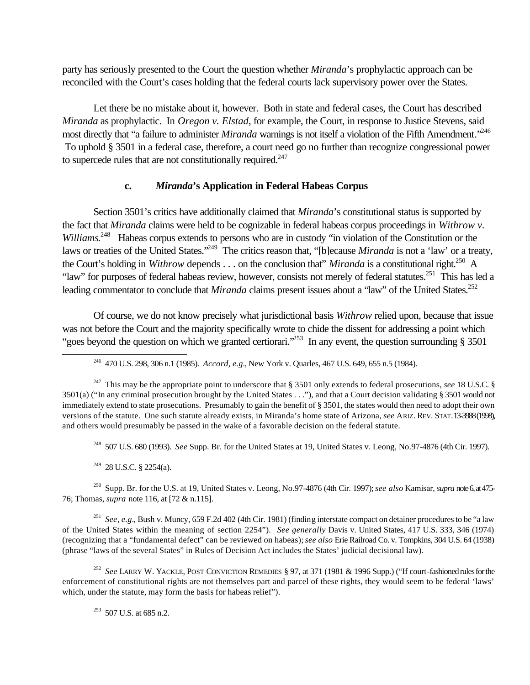party has seriously presented to the Court the question whether *Miranda*'s prophylactic approach can be reconciled with the Court's cases holding that the federal courts lack supervisory power over the States.

Let there be no mistake about it, however. Both in state and federal cases, the Court has described *Miranda* as prophylactic. In *Oregon v. Elstad*, for example, the Court, in response to Justice Stevens, said most directly that "a failure to administer *Miranda* warnings is not itself a violation of the Fifth Amendment."<sup>246</sup> To uphold § 3501 in a federal case, therefore, a court need go no further than recognize congressional power to supercede rules that are not constitutionally required. $247$ 

#### **c.** *Miranda***'s Application in Federal Habeas Corpus**

Section 3501's critics have additionally claimed that *Miranda*'s constitutional status is supported by the fact that *Miranda* claims were held to be cognizable in federal habeas corpus proceedings in *Withrow v.*  Williams.<sup>248</sup> Habeas corpus extends to persons who are in custody "in violation of the Constitution or the laws or treaties of the United States."<sup>249</sup> The critics reason that, "[b]ecause *Miranda* is not a 'law' or a treaty, the Court's holding in *Withrow* depends . . . on the conclusion that" *Miranda* is a constitutional right.<sup>250</sup> A "law" for purposes of federal habeas review, however, consists not merely of federal statutes.<sup>251</sup> This has led a leading commentator to conclude that *Miranda* claims present issues about a "law" of the United States.<sup>252</sup>

Of course, we do not know precisely what jurisdictional basis *Withrow* relied upon, because that issue was not before the Court and the majority specifically wrote to chide the dissent for addressing a point which "goes beyond the question on which we granted certiorari.<sup>253</sup> In any event, the question surrounding § 3501

<sup>246</sup> 470 U.S. 298, 306 n.1 (1985). *Accord, e.g.*, New York v. Quarles, 467 U.S. 649, 655 n.5 (1984).

<sup>248</sup> 507 U.S. 680 (1993). *See* Supp. Br. for the United States at 19, United States v. Leong, No.97-4876 (4th Cir. 1997).

 $249$  28 U.S.C. § 2254(a).

l

<sup>250</sup> Supp. Br. for the U.S. at 19, United States v. Leong, No.97-4876 (4th Cir. 1997); *see also* Kamisar, *supra* note 6, at 475- 76; Thomas, *supra* note 116, at [72 & n.115].

251 *See, e.g.*, Bush v. Muncy, 659 F.2d 402 (4th Cir. 1981) (finding interstate compact on detainer procedures to be "a law of the United States within the meaning of section 2254"). *See generally* Davis v. United States, 417 U.S. 333, 346 (1974) (recognizing that a "fundamental defect" can be reviewed on habeas); *see also* Erie Railroad Co. v. Tompkins, 304 U.S. 64 (1938) (phrase "laws of the several States" in Rules of Decision Act includes the States' judicial decisional law).

252 *See* LARRY W. YACKLE, POST CONVICTION REMEDIES § 97, at 371 (1981 & 1996 Supp.) ("If court-fashioned rules for the enforcement of constitutional rights are not themselves part and parcel of these rights, they would seem to be federal 'laws' which, under the statute, may form the basis for habeas relief").

 $253$  507 U.S. at 685 n.2.

<sup>&</sup>lt;sup>247</sup> This may be the appropriate point to underscore that  $\S 3501$  only extends to federal prosecutions, *see* 18 U.S.C.  $\S$ 3501(a) ("In any criminal prosecution brought by the United States . . ."), and that a Court decision validating § 3501 would not immediately extend to state prosecutions. Presumably to gain the benefit of § 3501, the states would then need to adopt their own versions of the statute. One such statute already exists, in Miranda's home state of Arizona, *see* ARIZ. REV. STAT. 13-3988 (1998), and others would presumably be passed in the wake of a favorable decision on the federal statute.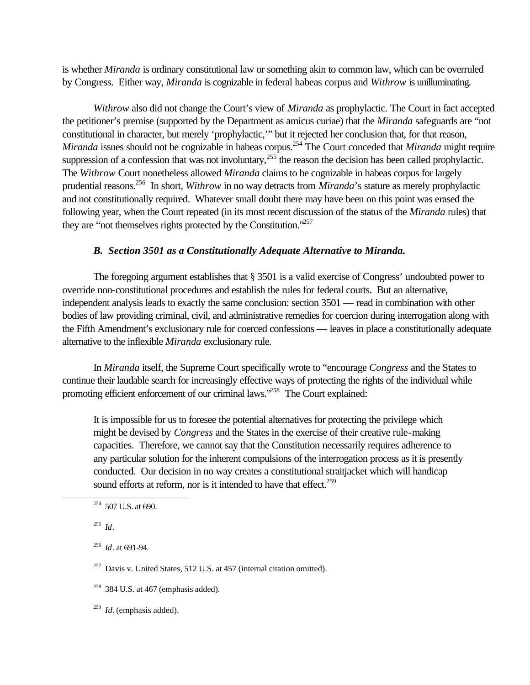is whether *Miranda* is ordinary constitutional law or something akin to common law, which can be overruled by Congress. Either way, *Miranda* is cognizable in federal habeas corpus and *Withrow* is unilluminating.

*Withrow* also did not change the Court's view of *Miranda* as prophylactic. The Court in fact accepted the petitioner's premise (supported by the Department as amicus curiae) that the *Miranda* safeguards are "not constitutional in character, but merely 'prophylactic,'" but it rejected her conclusion that, for that reason, *Miranda* issues should not be cognizable in habeas corpus.<sup>254</sup> The Court conceded that *Miranda* might require suppression of a confession that was not involuntary,  $255$  the reason the decision has been called prophylactic. The *Withrow* Court nonetheless allowed *Miranda* claims to be cognizable in habeas corpus for largely prudential reasons.<sup>256</sup> In short, *Withrow* in no way detracts from *Miranda*'s stature as merely prophylactic and not constitutionally required. Whatever small doubt there may have been on this point was erased the following year, when the Court repeated (in its most recent discussion of the status of the *Miranda* rules) that they are "not themselves rights protected by the Constitution."<sup>257</sup>

### *B. Section 3501 as a Constitutionally Adequate Alternative to Miranda.*

The foregoing argument establishes that § 3501 is a valid exercise of Congress' undoubted power to override non-constitutional procedures and establish the rules for federal courts. But an alternative, independent analysis leads to exactly the same conclusion: section 3501 — read in combination with other bodies of law providing criminal, civil, and administrative remedies for coercion during interrogation along with the Fifth Amendment's exclusionary rule for coerced confessions — leaves in place a constitutionally adequate alternative to the inflexible *Miranda* exclusionary rule.

In *Miranda* itself, the Supreme Court specifically wrote to "encourage *Congress* and the States to continue their laudable search for increasingly effective ways of protecting the rights of the individual while promoting efficient enforcement of our criminal laws.<sup>258</sup> The Court explained:

It is impossible for us to foresee the potential alternatives for protecting the privilege which might be devised by *Congress* and the States in the exercise of their creative rule-making capacities. Therefore, we cannot say that the Constitution necessarily requires adherence to any particular solution for the inherent compulsions of the interrogation process as it is presently conducted. Our decision in no way creates a constitutional straitjacket which will handicap sound efforts at reform, nor is it intended to have that effect.<sup>259</sup>

255 *Id*.

l

256 *Id*. at 691-94.

<sup>257</sup> Davis v. United States, 512 U.S. at 457 (internal citation omitted).

 $254$  507 U.S. at 690.

 $258$  384 U.S. at 467 (emphasis added).

<sup>259</sup> *Id.* (emphasis added).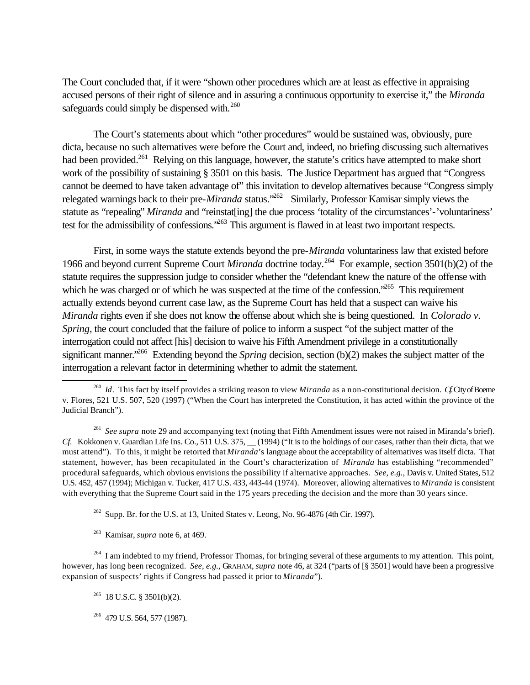The Court concluded that, if it were "shown other procedures which are at least as effective in appraising accused persons of their right of silence and in assuring a continuous opportunity to exercise it," the *Miranda* safeguards could simply be dispensed with.<sup>260</sup>

The Court's statements about which "other procedures" would be sustained was, obviously, pure dicta, because no such alternatives were before the Court and, indeed, no briefing discussing such alternatives had been provided.<sup>261</sup> Relying on this language, however, the statute's critics have attempted to make short work of the possibility of sustaining § 3501 on this basis. The Justice Department has argued that "Congress cannot be deemed to have taken advantage of" this invitation to develop alternatives because "Congress simply relegated warnings back to their pre-*Miranda* status.<sup>262</sup> Similarly, Professor Kamisar simply views the statute as "repealing" *Miranda* and "reinstat[ing] the due process 'totality of the circumstances'-'voluntariness' test for the admissibility of confessions.<sup>263</sup> This argument is flawed in at least two important respects.

First, in some ways the statute extends beyond the pre-*Miranda* voluntariness law that existed before 1966 and beyond current Supreme Court *Miranda* doctrine today.<sup>264</sup> For example, section 3501(b)(2) of the statute requires the suppression judge to consider whether the "defendant knew the nature of the offense with which he was charged or of which he was suspected at the time of the confession.<sup>265</sup> This requirement actually extends beyond current case law, as the Supreme Court has held that a suspect can waive his *Miranda* rights even if she does not know the offense about which she is being questioned. In *Colorado v. Spring*, the court concluded that the failure of police to inform a suspect "of the subject matter of the interrogation could not affect [his] decision to waive his Fifth Amendment privilege in a constitutionally significant manner.<sup>266</sup> Extending beyond the *Spring* decision, section (b)(2) makes the subject matter of the interrogation a relevant factor in determining whether to admit the statement.

 $^{262}$  Supp. Br. for the U.S. at 13, United States v. Leong, No. 96-4876 (4th Cir. 1997).

<sup>263</sup> Kamisar, *supra* note 6, at 469.

 $264$  I am indebted to my friend, Professor Thomas, for bringing several of these arguments to my attention. This point, however, has long been recognized. *See, e.g.,* GRAHAM, *supra* note 46, at 324 ("parts of [§ 3501] would have been a progressive expansion of suspects' rights if Congress had passed it prior to *Miranda*").

 $^{265}$  18 U.S.C. § 3501(b)(2).

l

<sup>266</sup> 479 U.S. 564, 577 (1987).

<sup>260</sup> *Id*. This fact by itself provides a striking reason to view *Miranda* as a non-constitutional decision. *Cf.* City of Boerne v. Flores, 521 U.S. 507, 520 (1997) ("When the Court has interpreted the Constitution, it has acted within the province of the Judicial Branch").

<sup>&</sup>lt;sup>261</sup> See supra note 29 and accompanying text (noting that Fifth Amendment issues were not raised in Miranda's brief). *Cf.* Kokkonen v. Guardian Life Ins. Co., 511 U.S. 375, (1994) ("It is to the holdings of our cases, rather than their dicta, that we must attend"). To this, it might be retorted that *Miranda*'s language about the acceptability of alternatives was itself dicta. That statement, however, has been recapitulated in the Court's characterization of *Miranda* has establishing "recommended" procedural safeguards, which obvious envisions the possibility if alternative approaches. *See, e.g.,* Davis v. United States, 512 U.S. 452, 457 (1994); Michigan v. Tucker, 417 U.S. 433, 443-44 (1974). Moreover, allowing alternatives to *Miranda* is consistent with everything that the Supreme Court said in the 175 years preceding the decision and the more than 30 years since.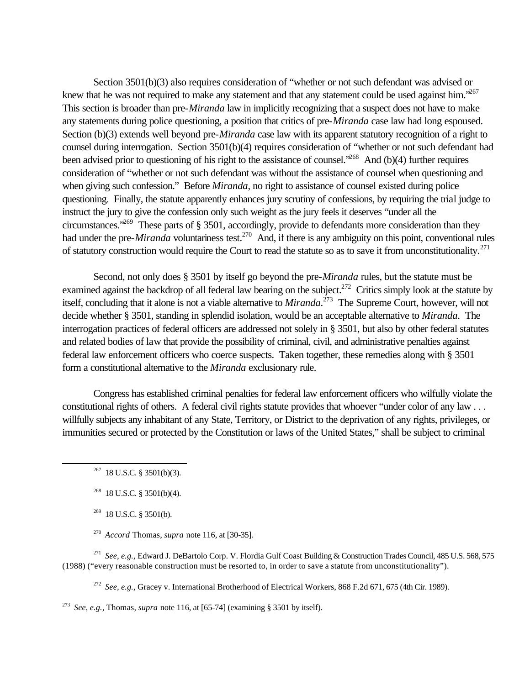Section 3501(b)(3) also requires consideration of "whether or not such defendant was advised or knew that he was not required to make any statement and that any statement could be used against him.<sup>5267</sup> This section is broader than pre-*Miranda* law in implicitly recognizing that a suspect does not have to make any statements during police questioning, a position that critics of pre-*Miranda* case law had long espoused. Section (b)(3) extends well beyond pre-*Miranda* case law with its apparent statutory recognition of a right to counsel during interrogation. Section 3501(b)(4) requires consideration of "whether or not such defendant had been advised prior to questioning of his right to the assistance of counsel.<sup>3268</sup> And (b)(4) further requires consideration of "whether or not such defendant was without the assistance of counsel when questioning and when giving such confession." Before *Miranda*, no right to assistance of counsel existed during police questioning. Finally, the statute apparently enhances jury scrutiny of confessions, by requiring the trial judge to instruct the jury to give the confession only such weight as the jury feels it deserves "under all the circumstances."<sup>269</sup> These parts of § 3501, accordingly, provide to defendants more consideration than they had under the pre-*Miranda* voluntariness test.<sup>270</sup> And, if there is any ambiguity on this point, conventional rules of statutory construction would require the Court to read the statute so as to save it from unconstitutionality.<sup>271</sup>

Second, not only does § 3501 by itself go beyond the pre-*Miranda* rules, but the statute must be examined against the backdrop of all federal law bearing on the subject.<sup>272</sup> Critics simply look at the statute by itself, concluding that it alone is not a viable alternative to *Miranda*. <sup>273</sup> The Supreme Court, however, will not decide whether § 3501, standing in splendid isolation, would be an acceptable alternative to *Miranda*. The interrogation practices of federal officers are addressed not solely in § 3501, but also by other federal statutes and related bodies of law that provide the possibility of criminal, civil, and administrative penalties against federal law enforcement officers who coerce suspects. Taken together, these remedies along with § 3501 form a constitutional alternative to the *Miranda* exclusionary rule.

Congress has established criminal penalties for federal law enforcement officers who wilfully violate the constitutional rights of others. A federal civil rights statute provides that whoever "under color of any law . . . willfully subjects any inhabitant of any State, Territory, or District to the deprivation of any rights, privileges, or immunities secured or protected by the Constitution or laws of the United States," shall be subject to criminal

l

271 *See, e.g.,* Edward J. DeBartolo Corp. V. Flordia Gulf Coast Building & Construction Trades Council, 485 U.S. 568, 575 (1988) ("every reasonable construction must be resorted to, in order to save a statute from unconstitutionality").

272 *See, e.g.,* Gracey v. International Brotherhood of Electrical Workers, 868 F.2d 671, 675 (4th Cir. 1989).

273 *See, e.g.,* Thomas, *supra* note 116, at [65-74] (examining § 3501 by itself).

 $267$  18 U.S.C. § 3501(b)(3).

 $268$  18 U.S.C. § 3501(b)(4).

 $269$  18 U.S.C. § 3501(b).

<sup>270</sup> *Accord* Thomas, *supra* note 116, at [30-35].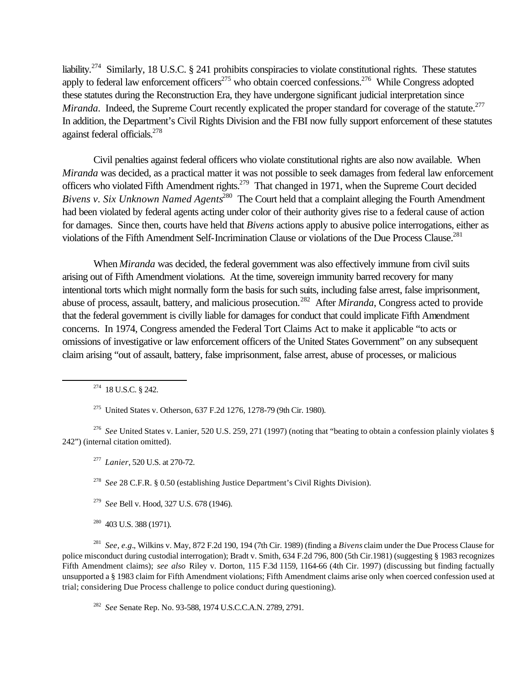liability.<sup>274</sup> Similarly, 18 U.S.C. § 241 prohibits conspiracies to violate constitutional rights. These statutes apply to federal law enforcement officers<sup>275</sup> who obtain coerced confessions.<sup>276</sup> While Congress adopted these statutes during the Reconstruction Era, they have undergone significant judicial interpretation since *Miranda*. Indeed, the Supreme Court recently explicated the proper standard for coverage of the statute.<sup>277</sup> In addition, the Department's Civil Rights Division and the FBI now fully support enforcement of these statutes against federal officials.<sup>278</sup>

Civil penalties against federal officers who violate constitutional rights are also now available. When *Miranda* was decided, as a practical matter it was not possible to seek damages from federal law enforcement officers who violated Fifth Amendment rights.<sup>279</sup> That changed in 1971, when the Supreme Court decided *Bivens v. Six Unknown Named Agents*<sup>280</sup> The Court held that a complaint alleging the Fourth Amendment had been violated by federal agents acting under color of their authority gives rise to a federal cause of action for damages. Since then, courts have held that *Bivens* actions apply to abusive police interrogations, either as violations of the Fifth Amendment Self-Incrimination Clause or violations of the Due Process Clause.<sup>281</sup>

When *Miranda* was decided, the federal government was also effectively immune from civil suits arising out of Fifth Amendment violations. At the time, sovereign immunity barred recovery for many intentional torts which might normally form the basis for such suits, including false arrest, false imprisonment, abuse of process, assault, battery, and malicious prosecution.<sup>282</sup> After *Miranda*, Congress acted to provide that the federal government is civilly liable for damages for conduct that could implicate Fifth Amendment concerns. In 1974, Congress amended the Federal Tort Claims Act to make it applicable "to acts or omissions of investigative or law enforcement officers of the United States Government" on any subsequent claim arising "out of assault, battery, false imprisonment, false arrest, abuse of processes, or malicious

<sup>274</sup> 18 U.S.C. § 242.

l

<sup>275</sup> United States v. Otherson, 637 F.2d 1276, 1278-79 (9th Cir. 1980).

276 *See* United States v. Lanier, 520 U.S. 259, 271 (1997) (noting that "beating to obtain a confession plainly violates § 242") (internal citation omitted).

277 *Lanier*, 520 U.S. at 270-72.

278 *See* 28 C.F.R. § 0.50 (establishing Justice Department's Civil Rights Division).

279 *See* Bell v. Hood, 327 U.S. 678 (1946).

<sup>280</sup> 403 U.S. 388 (1971).

281 *See, e.g.*, Wilkins v. May, 872 F.2d 190, 194 (7th Cir. 1989) (finding a *Bivens* claim under the Due Process Clause for police misconduct during custodial interrogation); Bradt v. Smith, 634 F.2d 796, 800 (5th Cir.1981) (suggesting § 1983 recognizes Fifth Amendment claims); *see also* Riley v. Dorton, 115 F.3d 1159, 1164-66 (4th Cir. 1997) (discussing but finding factually unsupported a § 1983 claim for Fifth Amendment violations; Fifth Amendment claims arise only when coerced confession used at trial; considering Due Process challenge to police conduct during questioning).

282 *See* Senate Rep. No. 93-588, 1974 U.S.C.C.A.N. 2789, 2791.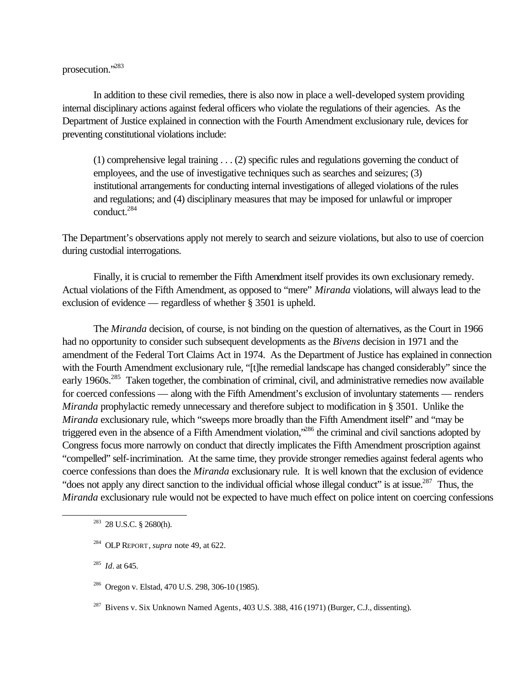prosecution."<sup>283</sup>

In addition to these civil remedies, there is also now in place a well-developed system providing internal disciplinary actions against federal officers who violate the regulations of their agencies. As the Department of Justice explained in connection with the Fourth Amendment exclusionary rule, devices for preventing constitutional violations include:

(1) comprehensive legal training . . . (2) specific rules and regulations governing the conduct of employees, and the use of investigative techniques such as searches and seizures; (3) institutional arrangements for conducting internal investigations of alleged violations of the rules and regulations; and (4) disciplinary measures that may be imposed for unlawful or improper conduct.<sup>284</sup>

The Department's observations apply not merely to search and seizure violations, but also to use of coercion during custodial interrogations.

Finally, it is crucial to remember the Fifth Amendment itself provides its own exclusionary remedy. Actual violations of the Fifth Amendment, as opposed to "mere" *Miranda* violations, will always lead to the exclusion of evidence — regardless of whether § 3501 is upheld.

The *Miranda* decision, of course, is not binding on the question of alternatives, as the Court in 1966 had no opportunity to consider such subsequent developments as the *Bivens* decision in 1971 and the amendment of the Federal Tort Claims Act in 1974. As the Department of Justice has explained in connection with the Fourth Amendment exclusionary rule, "[t]he remedial landscape has changed considerably" since the early 1960s.<sup>285</sup> Taken together, the combination of criminal, civil, and administrative remedies now available for coerced confessions — along with the Fifth Amendment's exclusion of involuntary statements — renders *Miranda* prophylactic remedy unnecessary and therefore subject to modification in § 3501. Unlike the *Miranda* exclusionary rule, which "sweeps more broadly than the Fifth Amendment itself" and "may be triggered even in the absence of a Fifth Amendment violation,"<sup>286</sup> the criminal and civil sanctions adopted by Congress focus more narrowly on conduct that directly implicates the Fifth Amendment proscription against "compelled" self-incrimination. At the same time, they provide stronger remedies against federal agents who coerce confessions than does the *Miranda* exclusionary rule. It is well known that the exclusion of evidence "does not apply any direct sanction to the individual official whose illegal conduct" is at issue.<sup>287</sup> Thus, the *Miranda* exclusionary rule would not be expected to have much effect on police intent on coercing confessions

<sup>283</sup> 28 U.S.C. § 2680(h).

285 *Id.* at 645.

<sup>284</sup> OLP REPORT, *supra* note 49, at 622.

<sup>286</sup> Oregon v. Elstad, 470 U.S. 298, 306-10 (1985).

 $287$  Bivens v. Six Unknown Named Agents, 403 U.S. 388, 416 (1971) (Burger, C.J., dissenting).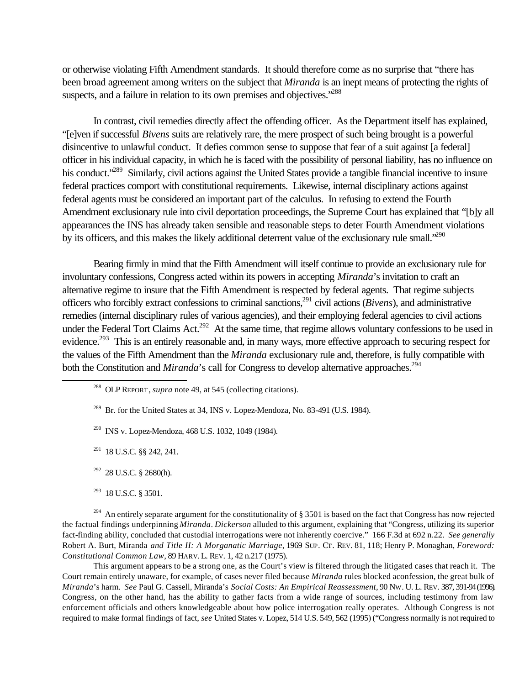or otherwise violating Fifth Amendment standards. It should therefore come as no surprise that "there has been broad agreement among writers on the subject that *Miranda* is an inept means of protecting the rights of suspects, and a failure in relation to its own premises and objectives.<sup>288</sup>

In contrast, civil remedies directly affect the offending officer. As the Department itself has explained, "[e]ven if successful *Bivens* suits are relatively rare, the mere prospect of such being brought is a powerful disincentive to unlawful conduct. It defies common sense to suppose that fear of a suit against [a federal] officer in his individual capacity, in which he is faced with the possibility of personal liability, has no influence on his conduct.<sup>289</sup> Similarly, civil actions against the United States provide a tangible financial incentive to insure federal practices comport with constitutional requirements. Likewise, internal disciplinary actions against federal agents must be considered an important part of the calculus. In refusing to extend the Fourth Amendment exclusionary rule into civil deportation proceedings, the Supreme Court has explained that "[b]y all appearances the INS has already taken sensible and reasonable steps to deter Fourth Amendment violations by its officers, and this makes the likely additional deterrent value of the exclusionary rule small.<sup>290</sup>

Bearing firmly in mind that the Fifth Amendment will itself continue to provide an exclusionary rule for involuntary confessions, Congress acted within its powers in accepting *Miranda*'s invitation to craft an alternative regime to insure that the Fifth Amendment is respected by federal agents. That regime subjects officers who forcibly extract confessions to criminal sanctions,<sup>291</sup> civil actions (*Bivens*), and administrative remedies (internal disciplinary rules of various agencies), and their employing federal agencies to civil actions under the Federal Tort Claims Act.<sup>292</sup> At the same time, that regime allows voluntary confessions to be used in evidence.<sup>293</sup> This is an entirely reasonable and, in many ways, more effective approach to securing respect for the values of the Fifth Amendment than the *Miranda* exclusionary rule and, therefore, is fully compatible with both the Constitution and *Miranda*'s call for Congress to develop alternative approaches.<sup>294</sup>

l

<sup>294</sup> An entirely separate argument for the constitutionality of § 3501 is based on the fact that Congress has now rejected the factual findings underpinning *Miranda*. *Dickerson* alluded to this argument, explaining that "Congress, utilizing its superior fact-finding ability, concluded that custodial interrogations were not inherently coercive." 166 F.3d at 692 n.22. *See generally* Robert A. Burt, Miranda *and Title II: A Morganatic Marriage*, 1969 SUP. CT. REV. 81, 118; Henry P. Monaghan, *Foreword: Constitutional Common Law*, 89 HARV. L. REV. 1, 42 n.217 (1975).

This argument appears to be a strong one, as the Court's view is filtered through the litigated cases that reach it. The Court remain entirely unaware, for example, of cases never filed because *Miranda* rules blocked aconfession, the great bulk of *Miranda*'s harm. *See* Paul G. Cassell, Miranda's *Social Costs: An Empirical Reassessment,* 90 NW. U. L. REV. 387, 391-94 (1996). Congress, on the other hand, has the ability to gather facts from a wide range of sources, including testimony from law enforcement officials and others knowledgeable about how police interrogation really operates. Although Congress is not required to make formal findings of fact, *see* United States v. Lopez, 514 U.S. 549, 562 (1995) ("Congress normally is not required to

<sup>288</sup> OLP REPORT, *supra* note 49, at 545 (collecting citations).

<sup>&</sup>lt;sup>289</sup> Br. for the United States at 34, INS v. Lopez-Mendoza, No. 83-491 (U.S. 1984).

<sup>290</sup> INS v. Lopez-Mendoza, 468 U.S. 1032, 1049 (1984).

 $291$  18 U.S.C. §§ 242, 241.

 $292$  28 U.S.C. § 2680(h).

 $293$  18 U.S.C. § 3501.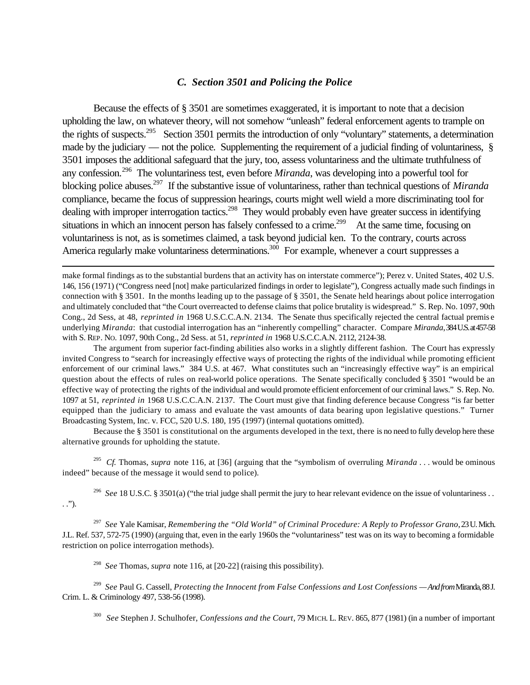#### *C. Section 3501 and Policing the Police*

Because the effects of § 3501 are sometimes exaggerated, it is important to note that a decision upholding the law, on whatever theory, will not somehow "unleash" federal enforcement agents to trample on the rights of suspects.<sup>295</sup> Section 3501 permits the introduction of only "voluntary" statements, a determination made by the judiciary — not the police. Supplementing the requirement of a judicial finding of voluntariness, § 3501 imposes the additional safeguard that the jury, too, assess voluntariness and the ultimate truthfulness of any confession.<sup>296</sup> The voluntariness test, even before *Miranda*, was developing into a powerful tool for blocking police abuses.<sup>297</sup> If the substantive issue of voluntariness, rather than technical questions of *Miranda* compliance, became the focus of suppression hearings, courts might well wield a more discriminating tool for dealing with improper interrogation tactics.<sup>298</sup> They would probably even have greater success in identifying situations in which an innocent person has falsely confessed to a crime.<sup>299</sup> At the same time, focusing on voluntariness is not, as is sometimes claimed, a task beyond judicial ken. To the contrary, courts across America regularly make voluntariness determinations.<sup>300</sup> For example, whenever a court suppresses a

The argument from superior fact-finding abilities also works in a slightly different fashion. The Court has expressly invited Congress to "search for increasingly effective ways of protecting the rights of the individual while promoting efficient enforcement of our criminal laws." 384 U.S. at 467. What constitutes such an "increasingly effective way" is an empirical question about the effects of rules on real-world police operations. The Senate specifically concluded § 3501 "would be an effective way of protecting the rights of the individual and would promote efficient enforcement of our criminal laws." S. Rep. No. 1097 at 51, *reprinted in* 1968 U.S.C.C.A.N. 2137. The Court must give that finding deference because Congress "is far better equipped than the judiciary to amass and evaluate the vast amounts of data bearing upon legislative questions." Turner Broadcasting System, Inc. v. FCC, 520 U.S. 180, 195 (1997) (internal quotations omitted).

Because the § 3501 is constitutional on the arguments developed in the text, there is no need to fully develop here these alternative grounds for upholding the statute.

295 *Cf.* Thomas, *supra* note 116, at [36] (arguing that the "symbolism of overruling *Miranda* . . . would be ominous indeed" because of the message it would send to police).

<sup>296</sup> See 18 U.S.C. § 3501(a) ("the trial judge shall permit the jury to hear relevant evidence on the issue of voluntariness . . . .").

297 *See* Yale Kamisar, *Remembering the "Old World" of Criminal Procedure: A Reply to Professor Grano*, 23 U. Mich. J.L. Ref. 537, 572-75 (1990) (arguing that, even in the early 1960s the "voluntariness" test was on its way to becoming a formidable restriction on police interrogation methods).

298 *See* Thomas, *supra* note 116, at [20-22] (raising this possibility).

l

<sup>299</sup> *See* Paul G. Cassell, *Protecting the Innocent from False Confessions and Lost Confessions — And from* Miranda, 88 J. Crim. L. & Criminology 497, 538-56 (1998).

300 *See* Stephen J. Schulhofer, *Confessions and the Court*, 79 MICH. L. REV. 865, 877 (1981) (in a number of important

make formal findings as to the substantial burdens that an activity has on interstate commerce"); Perez v. United States, 402 U.S. 146, 156 (1971) ("Congress need [not] make particularized findings in order to legislate"), Congress actually made such findings in connection with § 3501. In the months leading up to the passage of § 3501, the Senate held hearings about police interrogation and ultimately concluded that "the Court overreacted to defense claims that police brutality is widespread." S. Rep. No. 1097, 90th Cong., 2d Sess, at 48, *reprinted in* 1968 U.S.C.C.A.N. 2134. The Senate thus specifically rejected the central factual premis e underlying *Miranda*: that custodial interrogation has an "inherently compelling" character. Compare *Miranda*, 384 U.S. at 457-58 with S. REP. NO. 1097, 90th Cong., 2d Sess. at 51, *reprinted in* 1968 U.S.C.C.A.N. 2112, 2124-38.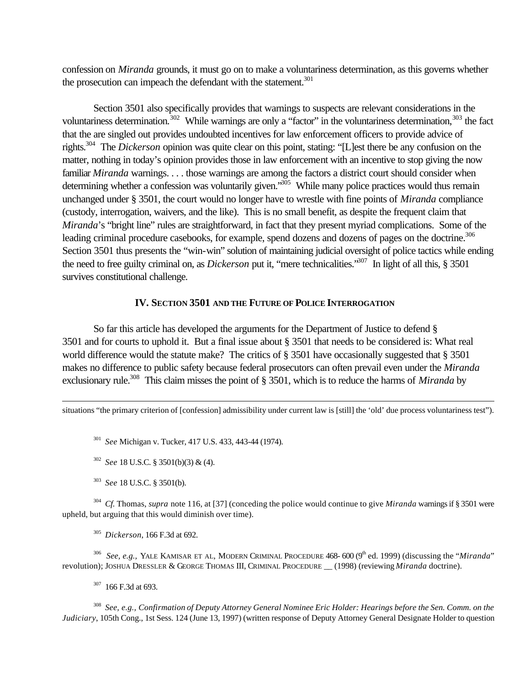confession on *Miranda* grounds, it must go on to make a voluntariness determination, as this governs whether the prosecution can impeach the defendant with the statement.<sup>301</sup>

Section 3501 also specifically provides that warnings to suspects are relevant considerations in the voluntariness determination.<sup>302</sup> While warnings are only a "factor" in the voluntariness determination,  $303$  the fact that the are singled out provides undoubted incentives for law enforcement officers to provide advice of rights.<sup>304</sup> The *Dickerson* opinion was quite clear on this point, stating: "[L]est there be any confusion on the matter, nothing in today's opinion provides those in law enforcement with an incentive to stop giving the now familiar *Miranda* warnings. . . . those warnings are among the factors a district court should consider when determining whether a confession was voluntarily given.<sup>305</sup> While many police practices would thus remain unchanged under § 3501, the court would no longer have to wrestle with fine points of *Miranda* compliance (custody, interrogation, waivers, and the like). This is no small benefit, as despite the frequent claim that *Miranda*'s "bright line" rules are straightforward, in fact that they present myriad complications. Some of the leading criminal procedure casebooks, for example, spend dozens and dozens of pages on the doctrine.<sup>306</sup> Section 3501 thus presents the "win-win" solution of maintaining judicial oversight of police tactics while ending the need to free guilty criminal on, as *Dickerson* put it, "mere technicalities."<sup>307</sup> In light of all this, § 3501 survives constitutional challenge.

#### **IV. SECTION 3501 AND THE FUTURE OF POLICE INTERROGATION**

So far this article has developed the arguments for the Department of Justice to defend § 3501 and for courts to uphold it. But a final issue about § 3501 that needs to be considered is: What real world difference would the statute make? The critics of § 3501 have occasionally suggested that § 3501 makes no difference to public safety because federal prosecutors can often prevail even under the *Miranda* exclusionary rule.<sup>308</sup> This claim misses the point of § 3501, which is to reduce the harms of *Miranda* by

situations "the primary criterion of [confession] admissibility under current law is [still] the 'old' due process voluntariness test").

301 *See* Michigan v. Tucker, 417 U.S. 433, 443-44 (1974).

302 *See* 18 U.S.C. § 3501(b)(3) & (4).

303 *See* 18 U.S.C. § 3501(b).

l

304 *Cf.* Thomas, *supra* note 116, at [37] (conceding the police would continue to give *Miranda* warnings if § 3501 were upheld, but arguing that this would diminish over time).

305 *Dickerson*, 166 F.3d at 692.

<sup>306</sup> See, e.g., YALE KAMISAR ET AL, MODERN CRIMINAL PROCEDURE 468- 600 (9<sup>th</sup> ed. 1999) (discussing the "*Miranda*" revolution); JOSHUA DRESSLER & GEORGE THOMAS III, CRIMINAL PROCEDURE \_\_ (1998) (reviewing *Miranda* doctrine).

<sup>307</sup> 166 F.3d at 693.

<sup>308</sup> See, e.g., Confirmation of Deputy Attorney General Nominee Eric Holder: Hearings before the Sen. Comm. on the *Judiciary*, 105th Cong., 1st Sess. 124 (June 13, 1997) (written response of Deputy Attorney General Designate Holder to question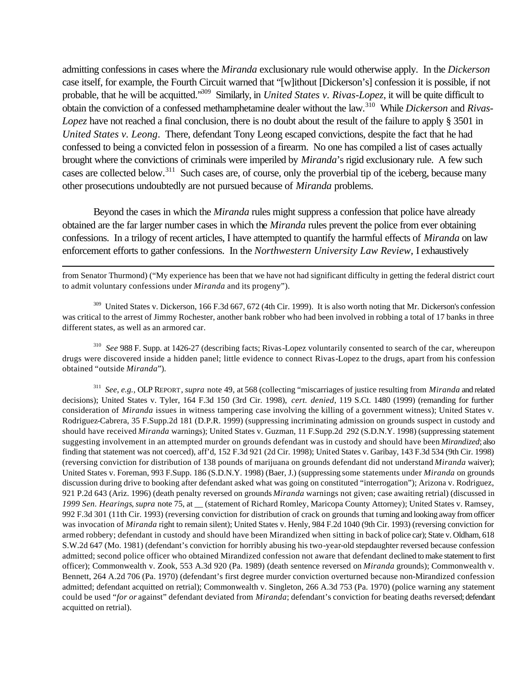admitting confessions in cases where the *Miranda* exclusionary rule would otherwise apply. In the *Dickerson* case itself, for example, the Fourth Circuit warned that "[w]ithout [Dickerson's] confession it is possible, if not probable, that he will be acquitted."<sup>309</sup> Similarly, in *United States v. Rivas-Lopez*, it will be quite difficult to obtain the conviction of a confessed methamphetamine dealer without the law.<sup>310</sup> While *Dickerson* and *Rivas-Lopez* have not reached a final conclusion, there is no doubt about the result of the failure to apply § 3501 in *United States v. Leong*. There, defendant Tony Leong escaped convictions, despite the fact that he had confessed to being a convicted felon in possession of a firearm. No one has compiled a list of cases actually brought where the convictions of criminals were imperiled by *Miranda*'s rigid exclusionary rule. A few such cases are collected below.<sup>311</sup> Such cases are, of course, only the proverbial tip of the iceberg, because many other prosecutions undoubtedly are not pursued because of *Miranda* problems.

Beyond the cases in which the *Miranda* rules might suppress a confession that police have already obtained are the far larger number cases in which the *Miranda* rules prevent the police from ever obtaining confessions. In a trilogy of recent articles, I have attempted to quantify the harmful effects of *Miranda* on law enforcement efforts to gather confessions. In the *Northwestern University Law Review*, I exhaustively

from Senator Thurmond) ("My experience has been that we have not had significant difficulty in getting the federal district court to admit voluntary confessions under *Miranda* and its progeny").

l

<sup>309</sup> United States v. Dickerson, 166 F.3d 667, 672 (4th Cir. 1999). It is also worth noting that Mr. Dickerson's confession was critical to the arrest of Jimmy Rochester, another bank robber who had been involved in robbing a total of 17 banks in three different states, as well as an armored car.

310 *See* 988 F. Supp. at 1426-27 (describing facts; Rivas-Lopez voluntarily consented to search of the car, whereupon drugs were discovered inside a hidden panel; little evidence to connect Rivas-Lopez to the drugs, apart from his confession obtained "outside *Miranda*").

311 *See, e.g.,* OLP REPORT, *supra* note 49, at 568 (collecting "miscarriages of justice resulting from *Miranda* and related decisions); United States v. Tyler, 164 F.3d 150 (3rd Cir. 1998), *cert. denied*, 119 S.Ct. 1480 (1999) (remanding for further consideration of *Miranda* issues in witness tampering case involving the killing of a government witness); United States v. Rodriguez-Cabrera, 35 F.Supp.2d 181 (D.P.R. 1999) (suppressing incriminating admission on grounds suspect in custody and should have received *Miranda* warnings); United States v. Guzman, 11 F.Supp.2d 292 (S.D.N.Y. 1998) (suppressing statement suggesting involvement in an attempted murder on grounds defendant was in custody and should have been *Mirandized*; also finding that statement was not coerced), aff'd, 152 F.3d 921 (2d Cir. 1998); United States v. Garibay, 143 F.3d 534 (9th Cir. 1998) (reversing conviction for distribution of 138 pounds of marijuana on grounds defendant did not understand *Miranda* waiver); United States v. Foreman, 993 F.Supp. 186 (S.D.N.Y. 1998) (Baer, J.) (suppressing some statements under *Miranda* on grounds discussion during drive to booking after defendant asked what was going on constituted "interrogation"); Arizona v. Rodriguez, 921 P.2d 643 (Ariz. 1996) (death penalty reversed on grounds *Miranda* warnings not given; case awaiting retrial) (discussed in *1999 Sen. Hearings*, *supra* note 75, at \_\_ (statement of Richard Romley, Maricopa County Attorney); United States v. Ramsey, 992 F.3d 301 (11th Cir. 1993) (reversing conviction for distribution of crack on grounds that turning and looking away from officer was invocation of *Miranda* right to remain silent); United States v. Henly, 984 F.2d 1040 (9th Cir. 1993) (reversing conviction for armed robbery; defendant in custody and should have been Mirandized when sitting in back of police car); State v. Oldham, 618 S.W.2d 647 (Mo. 1981) (defendant's conviction for horribly abusing his two-year-old stepdaughter reversed because confession admitted; second police officer who obtained Mirandized confession not aware that defendant declined to make statement to first officer); Commonwealth v. Zook, 553 A.3d 920 (Pa. 1989) (death sentence reversed on *Miranda* grounds); Commonwealth v. Bennett, 264 A.2d 706 (Pa. 1970) (defendant's first degree murder conviction overturned because non-Mirandized confession admitted; defendant acquitted on retrial); Commonwealth v. Singleton, 266 A.3d 753 (Pa. 1970) (police warning any statement could be used "*for or* against" defendant deviated from *Miranda*; defendant's conviction for beating deaths reversed; defendant acquitted on retrial).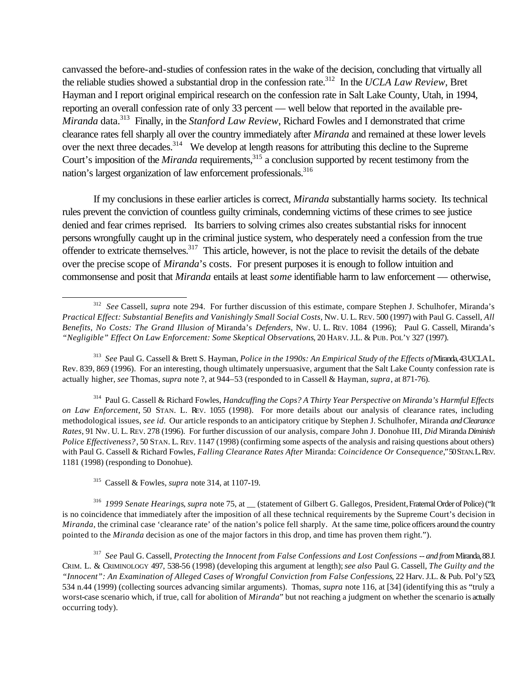canvassed the before-and-studies of confession rates in the wake of the decision, concluding that virtually all the reliable studies showed a substantial drop in the confession rate.<sup>312</sup> In the *UCLA Law Review*, Bret Hayman and I report original empirical research on the confession rate in Salt Lake County, Utah, in 1994, reporting an overall confession rate of only 33 percent — well below that reported in the available pre-*Miranda* data.<sup>313</sup> Finally, in the *Stanford Law Review*, Richard Fowles and I demonstrated that crime clearance rates fell sharply all over the country immediately after *Miranda* and remained at these lower levels over the next three decades.<sup>314</sup> We develop at length reasons for attributing this decline to the Supreme Court's imposition of the *Miranda* requirements,<sup>315</sup> a conclusion supported by recent testimony from the nation's largest organization of law enforcement professionals.<sup>316</sup>

If my conclusions in these earlier articles is correct, *Miranda* substantially harms society. Its technical rules prevent the conviction of countless guilty criminals, condemning victims of these crimes to see justice denied and fear crimes reprised. Its barriers to solving crimes also creates substantial risks for innocent persons wrongfully caught up in the criminal justice system, who desperately need a confession from the true offender to extricate themselves.<sup>317</sup> This article, however, is not the place to revisit the details of the debate over the precise scope of *Miranda*'s costs. For present purposes it is enough to follow intuition and commonsense and posit that *Miranda* entails at least *some* identifiable harm to law enforcement — otherwise,

<sup>314</sup> Paul G. Cassell & Richard Fowles, *Handcuffing the Cops? A Thirty Year Perspective on Miranda's Harmful Effects on Law Enforcement*, 50 STAN. L. REV. 1055 (1998). For more details about our analysis of clearance rates, including methodological issues, *see id.* Our article responds to an anticipatory critique by Stephen J. Schulhofer, Miranda *and Clearance Rates*, 91 NW. U. L. REV. 278 (1996). For further discussion of our analysis, compare John J. Donohue III, *Did* Miranda *Diminish Police Effectiveness?*, 50 STAN. L. REV. 1147 (1998) (confirming some aspects of the analysis and raising questions about others) with Paul G. Cassell & Richard Fowles, *Falling Clearance Rates After* Miranda: *Coincidence Or Consequence*," 50 STAN. L. REV. 1181 (1998) (responding to Donohue).

<sup>315</sup> Cassell & Fowles, *supra* note 314, at 1107-19.

l

316 *1999 Senate Hearings*, *supra* note 75, at \_\_ (statement of Gilbert G. Gallegos, President, Fraternal Order of Police) ("It is no coincidence that immediately after the imposition of all these technical requirements by the Supreme Court's decision in *Miranda*, the criminal case 'clearance rate' of the nation's police fell sharply. At the same time, police officers around the country pointed to the *Miranda* decision as one of the major factors in this drop, and time has proven them right.").

317 *See* Paul G. Cassell, *Protecting the Innocent from False Confessions and Lost Confessions -- and from* Miranda, 88 J. CRIM. L. & CRIMINOLOGY 497, 538-56 (1998) (developing this argument at length); *see also* Paul G. Cassell, *The Guilty and the "Innocent": An Examination of Alleged Cases of Wrongful Conviction from False Confessions*, 22 Harv. J.L. & Pub. Pol'y 523, 534 n.44 (1999) (collecting sources advancing similar arguments). Thomas, *supra* note 116, at [34] (identifying this as "truly a worst-case scenario which, if true, call for abolition of *Miranda*" but not reaching a judgment on whether the scenario is actually occurring tody).

<sup>312</sup> *See* Cassell, *supra* note 294. For further discussion of this estimate, compare Stephen J. Schulhofer, Miranda's *Practical Effect: Substantial Benefits and Vanishingly Small Social Costs*, NW. U. L. REV. 500 (1997) with Paul G. Cassell, *All Benefits, No Costs: The Grand Illusion of* Miranda's *Defenders*, NW. U. L. REV. 1084 (1996); Paul G. Cassell, Miranda's *"Negligible" Effect On Law Enforcement: Some Skeptical Observations*, 20 HARV. J.L. & PUB. POL'Y 327 (1997).

<sup>313</sup> *See* Paul G. Cassell & Brett S. Hayman, *Police in the 1990s: An Empirical Study of the Effects of* Miranda, 43 UCLA L. Rev. 839, 869 (1996). For an interesting, though ultimately unpersuasive, argument that the Salt Lake County confession rate is actually higher, *see* Thomas, *supra* note ?, at 944–53 (responded to in Cassell & Hayman, *supra*, at 871-76).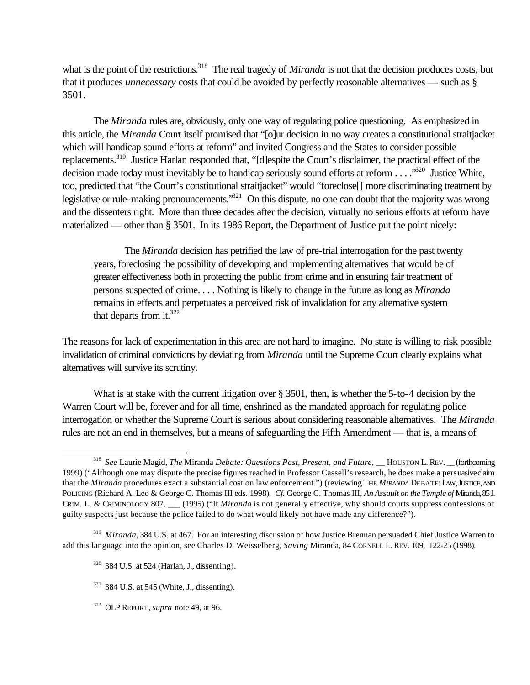what is the point of the restrictions.<sup>318</sup> The real tragedy of *Miranda* is not that the decision produces costs, but that it produces *unnecessary* costs that could be avoided by perfectly reasonable alternatives — such as § 3501.

The *Miranda* rules are, obviously, only one way of regulating police questioning. As emphasized in this article, the *Miranda* Court itself promised that "[o]ur decision in no way creates a constitutional straitjacket which will handicap sound efforts at reform" and invited Congress and the States to consider possible replacements.<sup>319</sup> Justice Harlan responded that, "[d]espite the Court's disclaimer, the practical effect of the decision made today must inevitably be to handicap seriously sound efforts at reform  $\dots$ .  $\cdot$ <sup>320</sup> Justice White, too, predicted that "the Court's constitutional straitjacket" would "foreclose[] more discriminating treatment by legislative or rule-making pronouncements.<sup>321</sup> On this dispute, no one can doubt that the majority was wrong and the dissenters right. More than three decades after the decision, virtually no serious efforts at reform have materialized — other than § 3501. In its 1986 Report, the Department of Justice put the point nicely:

The *Miranda* decision has petrified the law of pre-trial interrogation for the past twenty years, foreclosing the possibility of developing and implementing alternatives that would be of greater effectiveness both in protecting the public from crime and in ensuring fair treatment of persons suspected of crime. . . . Nothing is likely to change in the future as long as *Miranda* remains in effects and perpetuates a perceived risk of invalidation for any alternative system that departs from it. $322$ 

The reasons for lack of experimentation in this area are not hard to imagine. No state is willing to risk possible invalidation of criminal convictions by deviating from *Miranda* until the Supreme Court clearly explains what alternatives will survive its scrutiny.

What is at stake with the current litigation over § 3501, then, is whether the 5-to-4 decision by the Warren Court will be, forever and for all time, enshrined as the mandated approach for regulating police interrogation or whether the Supreme Court is serious about considering reasonable alternatives. The *Miranda* rules are not an end in themselves, but a means of safeguarding the Fifth Amendment — that is, a means of

<sup>320</sup> 384 U.S. at 524 (Harlan, J., dissenting).

- $321$  384 U.S. at 545 (White, J., dissenting).
- 322 OLP REPORT, *supra* note 49, at 96.

<sup>&</sup>lt;sup>318</sup> See Laurie Magid, *The Miranda Debate: Questions Past, Present, and Future*, \_\_HOUSTON L. REV. \_\_ (forthcoming 1999) ("Although one may dispute the precise figures reached in Professor Cassell's research, he does make a persuasive claim that the *Miranda* procedures exact a substantial cost on law enforcement.") (reviewing THE *MIRANDA* DEBATE: LAW, JUSTICE, AND POLICING (Richard A. Leo & George C. Thomas III eds. 1998). *Cf.* George C. Thomas III, *An Assault on the Temple of* Miranda, 85 J. CRIM. L. & CRIMINOLOGY 807, \_\_\_ (1995) ("If *Miranda* is not generally effective, why should courts suppress confessions of guilty suspects just because the police failed to do what would likely not have made any difference?").

<sup>319</sup> *Miranda*, 384 U.S. at 467. For an interesting discussion of how Justice Brennan persuaded Chief Justice Warren to add this language into the opinion, see Charles D. Weisselberg, *Saving* Miranda, 84 CORNELL L. REV. 109, 122-25 (1998).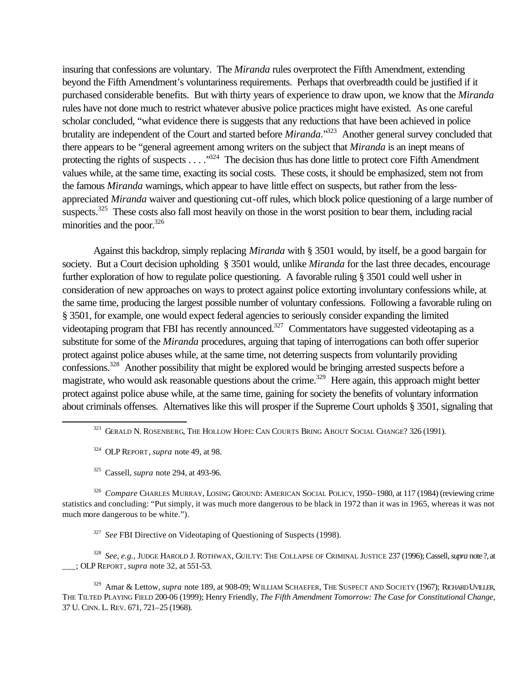insuring that confessions are voluntary. The *Miranda* rules overprotect the Fifth Amendment, extending beyond the Fifth Amendment's voluntariness requirements. Perhaps that overbreadth could be justified if it purchased considerable benefits. But with thirty years of experience to draw upon, we know that the *Miranda* rules have not done much to restrict whatever abusive police practices might have existed. As one careful scholar concluded, "what evidence there is suggests that any reductions that have been achieved in police brutality are independent of the Court and started before *Miranda*."<sup>323</sup> Another general survey concluded that there appears to be "general agreement among writers on the subject that *Miranda* is an inept means of protecting the rights of suspects . . . .<sup>324</sup> The decision thus has done little to protect core Fifth Amendment values while, at the same time, exacting its social costs. These costs, it should be emphasized, stem not from the famous *Miranda* warnings, which appear to have little effect on suspects, but rather from the lessappreciated *Miranda* waiver and questioning cut-off rules, which block police questioning of a large number of suspects.<sup>325</sup> These costs also fall most heavily on those in the worst position to bear them, including racial minorities and the poor. $326$ 

Against this backdrop, simply replacing *Miranda* with § 3501 would, by itself, be a good bargain for society. But a Court decision upholding § 3501 would, unlike *Miranda* for the last three decades, encourage further exploration of how to regulate police questioning. A favorable ruling § 3501 could well usher in consideration of new approaches on ways to protect against police extorting involuntary confessions while, at the same time, producing the largest possible number of voluntary confessions. Following a favorable ruling on § 3501, for example, one would expect federal agencies to seriously consider expanding the limited videotaping program that FBI has recently announced.<sup>327</sup> Commentators have suggested videotaping as a substitute for some of the *Miranda* procedures, arguing that taping of interrogations can both offer superior protect against police abuses while, at the same time, not deterring suspects from voluntarily providing confessions.<sup>328</sup> Another possibility that might be explored would be bringing arrested suspects before a magistrate, who would ask reasonable questions about the crime.<sup>329</sup> Here again, this approach might better protect against police abuse while, at the same time, gaining for society the benefits of voluntary information about criminals offenses. Alternatives like this will prosper if the Supreme Court upholds § 3501, signaling that

324 OLP REPORT, *supra* note 49, at 98.

l

<sup>325</sup> Cassell, *supra* note 294, at 493-96.

326 *Compare* CHARLES MURRAY, LOSING GROUND: AMERICAN SOCIAL POLICY, 1950–1980, at 117 (1984) (reviewing crime statistics and concluding: "Put simply, it was much more dangerous to be black in 1972 than it was in 1965, whereas it was not much more dangerous to be white.").

<sup>327</sup> See FBI Directive on Videotaping of Questioning of Suspects (1998).

328 *See, e.g.,* JUDGE HAROLD J. ROTHWAX, GUILTY: THE COLLAPSE OF CRIMINAL JUSTICE 237 (1996); Cassell, *supra* note ?, at \_\_\_; OLP REPORT, *supra* note 32, at 551-53.

<sup>329</sup> Amar & Lettow, *supra* note 189, at 908-09; WILLIAM SCHAEFER, THE SUSPECT AND SOCIETY (1967); RICHARD UVILLER, THE TILTED PLAYING FIELD 200-06 (1999); Henry Friendly, *The Fifth Amendment Tomorrow: The Case for Constitutional Change*, 37 U. CINN. L. REV. 671, 721–25 (1968).

<sup>&</sup>lt;sup>323</sup> Gerald N. Rosenberg, The Hollow Hope: Can Courts Bring About Social Change? 326 (1991).